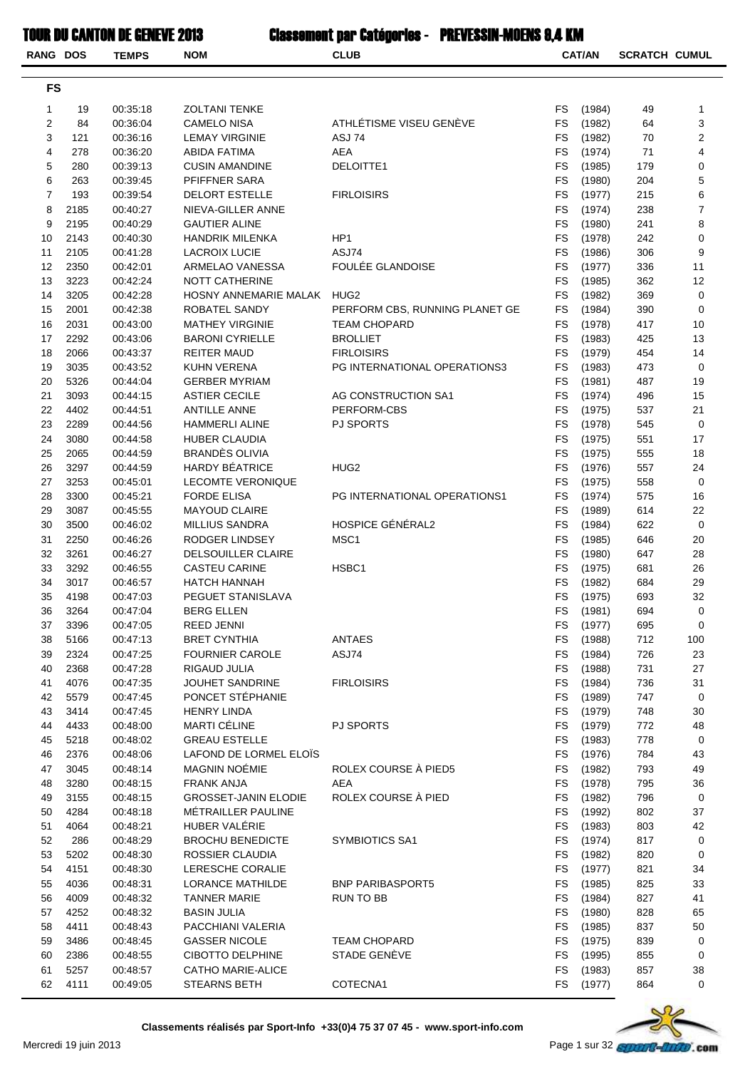| <b>RANG DOS</b> |              | <b>TEMPS</b>         | <b>NOM</b>                                        | <b>CLUB</b>                    |                        | <b>CAT/AN</b>    | <b>SCRATCH CUMUL</b> |                     |
|-----------------|--------------|----------------------|---------------------------------------------------|--------------------------------|------------------------|------------------|----------------------|---------------------|
| <b>FS</b>       |              |                      |                                                   |                                |                        |                  |                      |                     |
| 1               | 19           | 00:35:18             | <b>ZOLTANI TENKE</b>                              |                                | FS                     | (1984)           | 49                   | $\mathbf{1}$        |
| 2               | 84           | 00:36:04             | CAMELO NISA                                       | ATHLÉTISME VISEU GENÈVE        | <b>FS</b>              | (1982)           | 64                   | 3                   |
| 3               | 121          | 00:36:16             | <b>LEMAY VIRGINIE</b>                             | ASJ 74                         | <b>FS</b>              | (1982)           | 70                   | $\boldsymbol{2}$    |
| 4               | 278          | 00:36:20             | ABIDA FATIMA                                      | <b>AEA</b>                     | <b>FS</b>              | (1974)           | 71                   | 4                   |
| 5               | 280          | 00:39:13             | <b>CUSIN AMANDINE</b>                             | DELOITTE1                      | FS                     | (1985)           | 179                  | 0                   |
| 6               | 263          | 00:39:45             | PFIFFNER SARA                                     |                                | FS                     | (1980)           | 204                  | 5                   |
| 7               | 193          | 00:39:54             | <b>DELORT ESTELLE</b>                             | <b>FIRLOISIRS</b>              | FS                     | (1977)           | 215                  | 6<br>$\overline{7}$ |
| 8<br>9          | 2185<br>2195 | 00:40:27<br>00:40:29 | NIEVA-GILLER ANNE<br><b>GAUTIER ALINE</b>         |                                | FS<br><b>FS</b>        | (1974)<br>(1980) | 238<br>241           | 8                   |
| 10              | 2143         | 00:40:30             | <b>HANDRIK MILENKA</b>                            | HP <sub>1</sub>                | <b>FS</b>              | (1978)           | 242                  | 0                   |
| 11              | 2105         | 00:41:28             | <b>LACROIX LUCIE</b>                              | ASJ74                          | <b>FS</b>              | (1986)           | 306                  | 9                   |
| 12              | 2350         | 00:42:01             | ARMELAO VANESSA                                   | FOULÉE GLANDOISE               | <b>FS</b>              | (1977)           | 336                  | 11                  |
| 13              | 3223         | 00:42:24             | <b>NOTT CATHERINE</b>                             |                                | <b>FS</b>              | (1985)           | 362                  | 12                  |
| 14              | 3205         | 00:42:28             | HOSNY ANNEMARIE MALAK                             | HUG <sub>2</sub>               | FS                     | (1982)           | 369                  | 0                   |
| 15              | 2001         | 00:42:38             | ROBATEL SANDY                                     | PERFORM CBS, RUNNING PLANET GE | <b>FS</b>              | (1984)           | 390                  | 0                   |
| 16              | 2031         | 00:43:00             | <b>MATHEY VIRGINIE</b>                            | <b>TEAM CHOPARD</b>            | FS                     | (1978)           | 417                  | 10                  |
| 17              | 2292         | 00:43:06             | <b>BARONI CYRIELLE</b>                            | <b>BROLLIET</b>                | <b>FS</b>              | (1983)           | 425                  | 13                  |
| 18              | 2066         | 00:43:37             | REITER MAUD                                       | <b>FIRLOISIRS</b>              | <b>FS</b>              | (1979)           | 454                  | 14                  |
| 19              | 3035         | 00:43:52             | KUHN VERENA                                       | PG INTERNATIONAL OPERATIONS3   | <b>FS</b>              | (1983)           | 473                  | 0                   |
| 20              | 5326         | 00:44:04             | <b>GERBER MYRIAM</b>                              | AG CONSTRUCTION SA1            | <b>FS</b><br><b>FS</b> | (1981)           | 487                  | 19                  |
| 21<br>22        | 3093<br>4402 | 00:44:15<br>00:44:51 | <b>ASTIER CECILE</b><br><b>ANTILLE ANNE</b>       | PERFORM-CBS                    | <b>FS</b>              | (1974)<br>(1975) | 496<br>537           | 15<br>21            |
| 23              | 2289         | 00:44:56             | <b>HAMMERLI ALINE</b>                             | <b>PJ SPORTS</b>               | FS                     | (1978)           | 545                  | 0                   |
| 24              | 3080         | 00:44:58             | <b>HUBER CLAUDIA</b>                              |                                | FS                     | (1975)           | 551                  | 17                  |
| 25              | 2065         | 00:44:59             | BRANDÈS OLIVIA                                    |                                | FS                     | (1975)           | 555                  | 18                  |
| 26              | 3297         | 00:44:59             | <b>HARDY BÉATRICE</b>                             | HUG <sub>2</sub>               | <b>FS</b>              | (1976)           | 557                  | 24                  |
| 27              | 3253         | 00:45:01             | <b>LECOMTE VERONIQUE</b>                          |                                | <b>FS</b>              | (1975)           | 558                  | 0                   |
| 28              | 3300         | 00:45:21             | <b>FORDE ELISA</b>                                | PG INTERNATIONAL OPERATIONS1   | <b>FS</b>              | (1974)           | 575                  | 16                  |
| 29              | 3087         | 00:45:55             | <b>MAYOUD CLAIRE</b>                              |                                | <b>FS</b>              | (1989)           | 614                  | 22                  |
| 30              | 3500         | 00:46:02             | <b>MILLIUS SANDRA</b>                             | HOSPICE GÉNÉRAL2               | <b>FS</b>              | (1984)           | 622                  | 0                   |
| 31              | 2250         | 00:46:26             | RODGER LINDSEY                                    | MSC <sub>1</sub>               | FS                     | (1985)           | 646                  | 20                  |
| 32              | 3261         | 00:46:27             | <b>DELSOUILLER CLAIRE</b>                         |                                | FS                     | (1980)           | 647                  | 28                  |
| 33              | 3292         | 00:46:55             | <b>CASTEU CARINE</b>                              | HSBC <sub>1</sub>              | FS                     | (1975)           | 681                  | 26                  |
| 34              | 3017         | 00:46:57             | <b>HATCH HANNAH</b><br>PEGUET STANISLAVA          |                                | <b>FS</b>              | (1982)           | 684                  | 29                  |
| 35<br>36        | 4198<br>3264 | 00:47:03<br>00:47:04 | <b>BERG ELLEN</b>                                 |                                | FS<br>${\sf FS}$       | (1975)<br>(1981) | 693<br>694           | 32<br>$\pmb{0}$     |
| 37              | 3396         | 00:47:05             | <b>REED JENNI</b>                                 |                                | FS                     | (1977)           | 695                  | 0                   |
| 38              | 5166         | 00:47:13             | <b>BRET CYNTHIA</b>                               | <b>ANTAES</b>                  | FS                     | (1988)           | 712                  | 100                 |
| 39              | 2324         | 00:47:25             | <b>FOURNIER CAROLE</b>                            | ASJ74                          | FS                     | (1984)           | 726                  | 23                  |
| 40              | 2368         | 00:47:28             | RIGAUD JULIA                                      |                                | FS                     | (1988)           | 731                  | 27                  |
| 41              | 4076         | 00:47:35             | JOUHET SANDRINE                                   | <b>FIRLOISIRS</b>              | FS                     | (1984)           | 736                  | 31                  |
| 42              | 5579         | 00:47:45             | PONCET STÉPHANIE                                  |                                | FS                     | (1989)           | 747                  | 0                   |
| 43              | 3414         | 00:47:45             | <b>HENRY LINDA</b>                                |                                | <b>FS</b>              | (1979)           | 748                  | 30                  |
| 44              | 4433         | 00:48:00             | MARTI CÉLINE                                      | <b>PJ SPORTS</b>               | FS                     | (1979)           | 772                  | 48                  |
| 45              | 5218         | 00:48:02             | <b>GREAU ESTELLE</b>                              |                                | <b>FS</b>              | (1983)           | 778                  | $\pmb{0}$           |
| 46              | 2376         | 00:48:06             | LAFOND DE LORMEL ELOÏS                            |                                | <b>FS</b>              | (1976)           | 784                  | 43                  |
| 47              | 3045         | 00:48:14             | <b>MAGNIN NOÉMIE</b>                              | ROLEX COURSE À PIED5           | FS                     | (1982)           | 793                  | 49                  |
| 48              | 3280         | 00:48:15             | <b>FRANK ANJA</b>                                 | AEA<br>ROLEX COURSE À PIED     | FS                     | (1978)           | 795                  | 36                  |
| 49<br>50        | 3155<br>4284 | 00:48:15<br>00:48:18 | <b>GROSSET-JANIN ELODIE</b><br>MÉTRAILLER PAULINE |                                | FS<br>FS               | (1982)<br>(1992) | 796<br>802           | 0<br>37             |
| 51              | 4064         | 00:48:21             | HUBER VALÉRIE                                     |                                | FS                     | (1983)           | 803                  | 42                  |
| 52              | 286          | 00:48:29             | <b>BROCHU BENEDICTE</b>                           | <b>SYMBIOTICS SA1</b>          | <b>FS</b>              | (1974)           | 817                  | 0                   |
| 53              | 5202         | 00:48:30             | ROSSIER CLAUDIA                                   |                                | FS                     | (1982)           | 820                  | 0                   |
| 54              | 4151         | 00:48:30             | LERESCHE CORALIE                                  |                                | FS                     | (1977)           | 821                  | 34                  |
| 55              | 4036         | 00:48:31             | LORANCE MATHILDE                                  | <b>BNP PARIBASPORT5</b>        | <b>FS</b>              | (1985)           | 825                  | 33                  |
| 56              | 4009         | 00:48:32             | <b>TANNER MARIE</b>                               | RUN TO BB                      | FS                     | (1984)           | 827                  | 41                  |
| 57              | 4252         | 00:48:32             | <b>BASIN JULIA</b>                                |                                | FS                     | (1980)           | 828                  | 65                  |
| 58              | 4411         | 00:48:43             | PACCHIANI VALERIA                                 |                                | FS                     | (1985)           | 837                  | 50                  |
| 59              | 3486         | 00:48:45             | <b>GASSER NICOLE</b>                              | <b>TEAM CHOPARD</b>            | FS                     | (1975)           | 839                  | 0                   |
| 60              | 2386         | 00:48:55             | <b>CIBOTTO DELPHINE</b>                           | STADE GENÈVE                   | FS                     | (1995)           | 855                  | 0                   |
| 61              | 5257         | 00:48:57             | <b>CATHO MARIE-ALICE</b>                          |                                | <b>FS</b><br>FS        | (1983)           | 857                  | 38                  |
| 62              | 4111         | 00:49:05             | STEARNS BETH                                      | COTECNA1                       |                        | (1977)           | 864                  | 0                   |

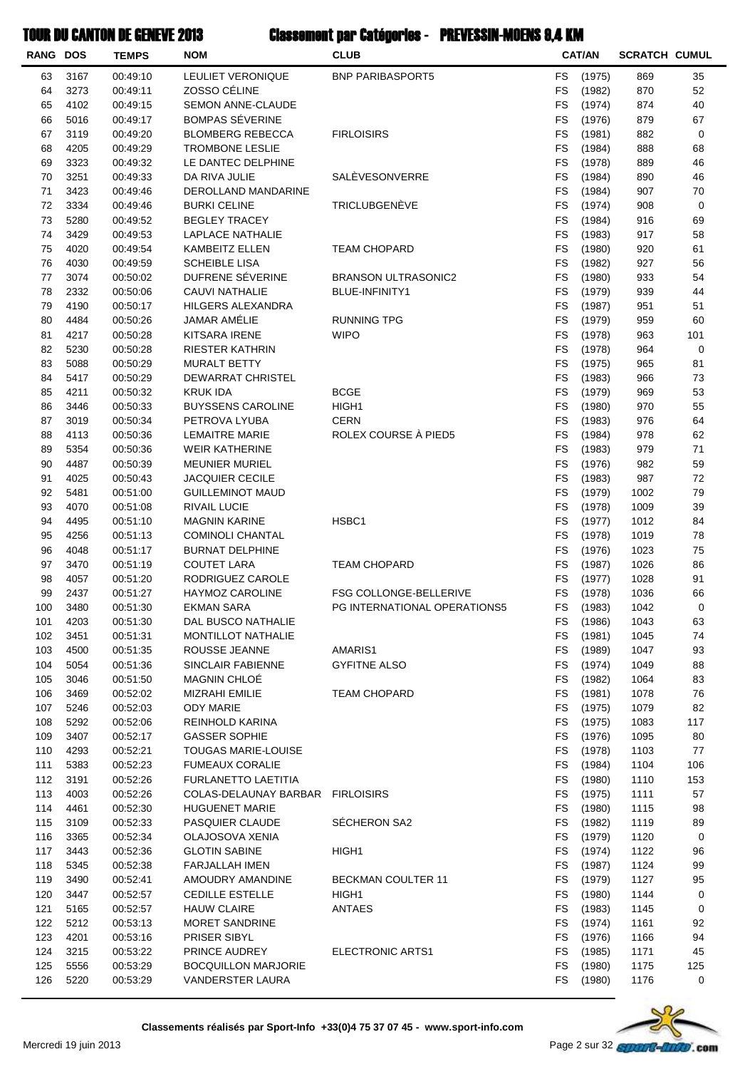| <b>RANG DOS</b> |              | <b>TEMPS</b>         | <b>NOM</b>                                          | <b>CLUB</b>                                                   |                        | <b>CAT/AN</b>    | <b>SCRATCH CUMUL</b> |           |
|-----------------|--------------|----------------------|-----------------------------------------------------|---------------------------------------------------------------|------------------------|------------------|----------------------|-----------|
| 63              | 3167         | 00:49:10             | LEULIET VERONIQUE                                   | <b>BNP PARIBASPORT5</b>                                       | FS                     | (1975)           | 869                  | 35        |
| 64              | 3273         | 00:49:11             | ZOSSO CÉLINE                                        |                                                               | <b>FS</b>              | (1982)           | 870                  | 52        |
| 65              | 4102         | 00:49:15             | SEMON ANNE-CLAUDE                                   |                                                               | FS                     | (1974)           | 874                  | 40        |
| 66              | 5016         | 00:49:17             | <b>BOMPAS SÉVERINE</b>                              |                                                               | FS                     | (1976)           | 879                  | 67        |
| 67              | 3119         | 00:49:20             | <b>BLOMBERG REBECCA</b>                             | <b>FIRLOISIRS</b>                                             | FS                     | (1981)           | 882                  | 0         |
| 68              | 4205         | 00:49:29             | <b>TROMBONE LESLIE</b>                              |                                                               | <b>FS</b>              | (1984)           | 888                  | 68        |
| 69              | 3323         | 00:49:32             | LE DANTEC DELPHINE                                  |                                                               | FS                     | (1978)           | 889                  | 46        |
| 70              | 3251         | 00:49:33             | DA RIVA JULIE                                       | SALÈVESONVERRE                                                | <b>FS</b>              | (1984)           | 890                  | 46        |
| 71<br>72        | 3423<br>3334 | 00:49:46             | DEROLLAND MANDARINE<br><b>BURKI CELINE</b>          | TRICLUBGENÈVE                                                 | <b>FS</b><br><b>FS</b> | (1984)<br>(1974) | 907<br>908           | 70<br>0   |
| 73              | 5280         | 00:49:46<br>00:49:52 | <b>BEGLEY TRACEY</b>                                |                                                               | FS                     | (1984)           | 916                  | 69        |
| 74              | 3429         | 00:49:53             | LAPLACE NATHALIE                                    |                                                               | FS                     | (1983)           | 917                  | 58        |
| 75              | 4020         | 00:49:54             | <b>KAMBEITZ ELLEN</b>                               | <b>TEAM CHOPARD</b>                                           | FS                     | (1980)           | 920                  | 61        |
| 76              | 4030         | 00:49:59             | <b>SCHEIBLE LISA</b>                                |                                                               | FS                     | (1982)           | 927                  | 56        |
| 77              | 3074         | 00:50:02             | DUFRENE SÉVERINE                                    | <b>BRANSON ULTRASONIC2</b>                                    | <b>FS</b>              | (1980)           | 933                  | 54        |
| 78              | 2332         | 00:50:06             | <b>CAUVI NATHALIE</b>                               | <b>BLUE-INFINITY1</b>                                         | <b>FS</b>              | (1979)           | 939                  | 44        |
| 79              | 4190         | 00:50:17             | HILGERS ALEXANDRA                                   |                                                               | <b>FS</b>              | (1987)           | 951                  | 51        |
| 80              | 4484         | 00:50:26             | <b>JAMAR AMÉLIE</b>                                 | <b>RUNNING TPG</b>                                            | <b>FS</b>              | (1979)           | 959                  | 60        |
| 81              | 4217         | 00:50:28             | KITSARA IRENE                                       | <b>WIPO</b>                                                   | <b>FS</b>              | (1978)           | 963                  | 101       |
| 82              | 5230         | 00:50:28             | RIESTER KATHRIN                                     |                                                               | FS                     | (1978)           | 964                  | 0         |
| 83              | 5088         | 00:50:29             | <b>MURALT BETTY</b>                                 |                                                               | FS                     | (1975)           | 965                  | 81        |
| 84              | 5417         | 00:50:29             | <b>DEWARRAT CHRISTEL</b>                            |                                                               | FS                     | (1983)           | 966                  | 73        |
| 85              | 4211         | 00:50:32             | <b>KRUK IDA</b><br><b>BUYSSENS CAROLINE</b>         | <b>BCGE</b>                                                   | <b>FS</b>              | (1979)           | 969                  | 53<br>55  |
| 86<br>87        | 3446<br>3019 | 00:50:33<br>00:50:34 | PETROVA LYUBA                                       | HIGH1<br><b>CERN</b>                                          | FS<br><b>FS</b>        | (1980)<br>(1983) | 970<br>976           | 64        |
| 88              | 4113         | 00:50:36             | <b>LEMAITRE MARIE</b>                               | ROLEX COURSE À PIED5                                          | <b>FS</b>              | (1984)           | 978                  | 62        |
| 89              | 5354         | 00:50:36             | <b>WEIR KATHERINE</b>                               |                                                               | <b>FS</b>              | (1983)           | 979                  | 71        |
| 90              | 4487         | 00:50:39             | <b>MEUNIER MURIEL</b>                               |                                                               | <b>FS</b>              | (1976)           | 982                  | 59        |
| 91              | 4025         | 00:50:43             | <b>JACQUIER CECILE</b>                              |                                                               | FS                     | (1983)           | 987                  | 72        |
| 92              | 5481         | 00:51:00             | <b>GUILLEMINOT MAUD</b>                             |                                                               | FS                     | (1979)           | 1002                 | 79        |
| 93              | 4070         | 00:51:08             | RIVAIL LUCIE                                        |                                                               | FS                     | (1978)           | 1009                 | 39        |
| 94              | 4495         | 00:51:10             | <b>MAGNIN KARINE</b>                                | HSBC1                                                         | <b>FS</b>              | (1977)           | 1012                 | 84        |
| 95              | 4256         | 00:51:13             | <b>COMINOLI CHANTAL</b>                             |                                                               | <b>FS</b>              | (1978)           | 1019                 | 78        |
| 96              | 4048         | 00:51:17             | <b>BURNAT DELPHINE</b>                              |                                                               | <b>FS</b>              | (1976)           | 1023                 | 75        |
| 97              | 3470         | 00:51:19             | <b>COUTET LARA</b>                                  | <b>TEAM CHOPARD</b>                                           | <b>FS</b>              | (1987)           | 1026                 | 86        |
| 98              | 4057         | 00:51:20             | RODRIGUEZ CAROLE                                    |                                                               | <b>FS</b>              | (1977)           | 1028                 | 91        |
| 99<br>100       | 2437<br>3480 | 00:51:27<br>00:51:30 | <b>HAYMOZ CAROLINE</b><br>EKMAN SARA                | <b>FSG COLLONGE-BELLERIVE</b><br>PG INTERNATIONAL OPERATIONS5 | <b>FS</b><br><b>FS</b> | (1978)           | 1036<br>1042         | 66<br>0   |
| 101             | 4203         | 00:51:30             | DAL BUSCO NATHALIE                                  |                                                               | FS                     | (1983)<br>(1986) | 1043                 | 63        |
| 102             | 3451         | 00:51:31             | MONTILLOT NATHALIE                                  |                                                               | FS                     | (1981)           | 1045                 | 74        |
| 103             | 4500         | 00:51:35             | ROUSSE JEANNE                                       | AMARIS1                                                       | FS                     | (1989)           | 1047                 | 93        |
| 104             | 5054         | 00:51:36             | SINCLAIR FABIENNE                                   | <b>GYFITNE ALSO</b>                                           | FS                     | (1974)           | 1049                 | 88        |
| 105             | 3046         | 00:51:50             | MAGNIN CHLOÉ                                        |                                                               | FS                     | (1982)           | 1064                 | 83        |
| 106             | 3469         | 00:52:02             | MIZRAHI EMILIE                                      | <b>TEAM CHOPARD</b>                                           | FS                     | (1981)           | 1078                 | 76        |
| 107             | 5246         | 00:52:03             | <b>ODY MARIE</b>                                    |                                                               | FS                     | (1975)           | 1079                 | 82        |
| 108             | 5292         | 00:52:06             | REINHOLD KARINA                                     |                                                               | FS                     | (1975)           | 1083                 | 117       |
| 109             | 3407         | 00:52:17             | <b>GASSER SOPHIE</b>                                |                                                               | <b>FS</b>              | (1976)           | 1095                 | 80        |
| 110             | 4293         | 00:52:21             | TOUGAS MARIE-LOUISE                                 |                                                               | FS                     | (1978)           | 1103                 | 77        |
| 111             | 5383         | 00:52:23             | <b>FUMEAUX CORALIE</b>                              |                                                               | <b>FS</b>              | (1984)           | 1104                 | 106       |
| 112<br>113      | 3191<br>4003 | 00:52:26<br>00:52:26 | <b>FURLANETTO LAETITIA</b><br>COLAS-DELAUNAY BARBAR | <b>FIRLOISIRS</b>                                             | FS<br>FS               | (1980)<br>(1975) | 1110<br>1111         | 153<br>57 |
| 114             | 4461         | 00:52:30             | <b>HUGUENET MARIE</b>                               |                                                               | FS                     | (1980)           | 1115                 | 98        |
| 115             | 3109         | 00:52:33             | PASQUIER CLAUDE                                     | SÉCHERON SA2                                                  | FS                     | (1982)           | 1119                 | 89        |
| 116             | 3365         | 00:52:34             | OLAJOSOVA XENIA                                     |                                                               | FS                     | (1979)           | 1120                 | 0         |
| 117             | 3443         | 00:52:36             | <b>GLOTIN SABINE</b>                                | HIGH1                                                         | <b>FS</b>              | (1974)           | 1122                 | 96        |
| 118             | 5345         | 00:52:38             | FARJALLAH IMEN                                      |                                                               | FS                     | (1987)           | 1124                 | 99        |
| 119             | 3490         | 00:52:41             | AMOUDRY AMANDINE                                    | <b>BECKMAN COULTER 11</b>                                     | <b>FS</b>              | (1979)           | 1127                 | 95        |
| 120             | 3447         | 00:52:57             | <b>CEDILLE ESTELLE</b>                              | HIGH1                                                         | FS                     | (1980)           | 1144                 | 0         |
| 121             | 5165         | 00:52:57             | <b>HAUW CLAIRE</b>                                  | ANTAES                                                        | FS                     | (1983)           | 1145                 | 0         |
| 122             | 5212         | 00:53:13             | MORET SANDRINE                                      |                                                               | FS                     | (1974)           | 1161                 | 92        |
| 123             | 4201         | 00:53:16             | PRISER SIBYL                                        |                                                               | FS                     | (1976)           | 1166                 | 94        |
| 124             | 3215         | 00:53:22             | PRINCE AUDREY                                       | ELECTRONIC ARTS1                                              | FS                     | (1985)           | 1171                 | 45        |
| 125             | 5556         | 00:53:29             | <b>BOCQUILLON MARJORIE</b>                          |                                                               | <b>FS</b>              | (1980)           | 1175                 | 125       |
| 126             | 5220         | 00:53:29             | VANDERSTER LAURA                                    |                                                               | FS                     | (1980)           | 1176                 | 0         |

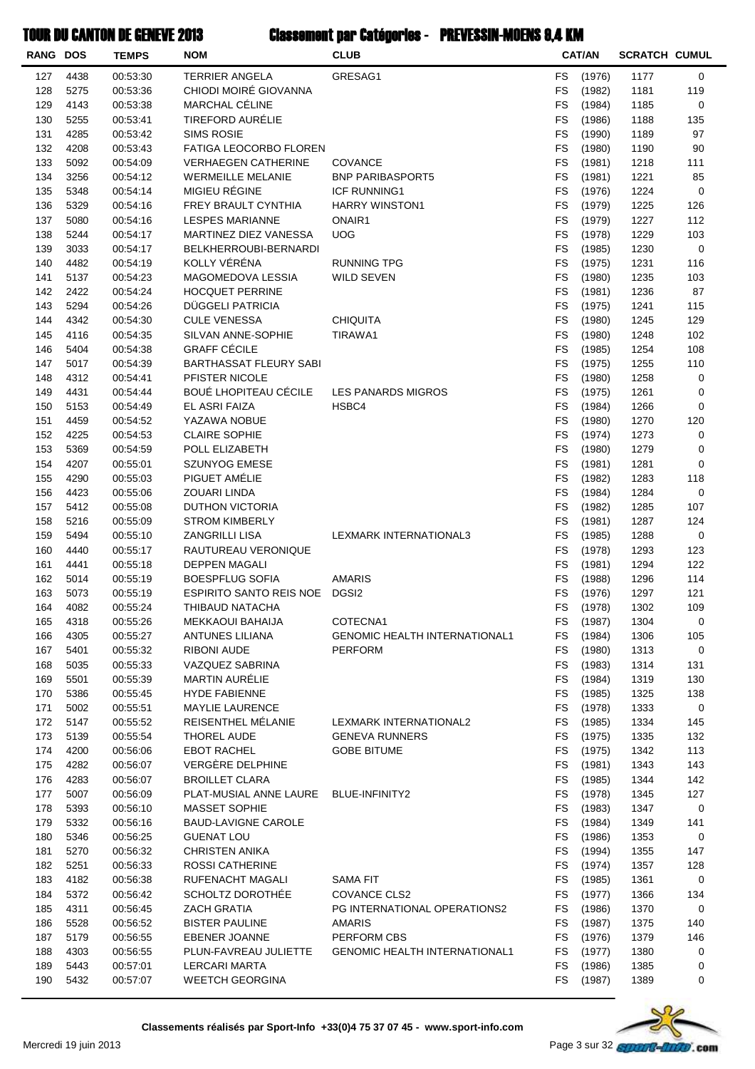| <b>RANG DOS</b> |              | <b>TEMPS</b>         | <b>NOM</b>                                    | <b>CLUB</b>                          |                        | <b>CAT/AN</b>    | <b>SCRATCH CUMUL</b> |            |
|-----------------|--------------|----------------------|-----------------------------------------------|--------------------------------------|------------------------|------------------|----------------------|------------|
| 127             | 4438         | 00:53:30             | <b>TERRIER ANGELA</b>                         | GRESAG1                              | <b>FS</b>              | (1976)           | 1177                 | 0          |
| 128             | 5275         | 00:53:36             | CHIODI MOIRÉ GIOVANNA                         |                                      | <b>FS</b>              | (1982)           | 1181                 | 119        |
| 129             | 4143         | 00:53:38             | MARCHAL CÉLINE                                |                                      | <b>FS</b>              | (1984)           | 1185                 | 0          |
| 130             | 5255         | 00:53:41             | <b>TIREFORD AURÉLIE</b>                       |                                      | FS                     | (1986)           | 1188                 | 135        |
| 131             | 4285         | 00:53:42             | <b>SIMS ROSIE</b>                             |                                      | FS                     | (1990)           | 1189                 | 97         |
| 132             | 4208         | 00:53:43             | FATIGA LEOCORBO FLOREN                        |                                      | <b>FS</b>              | (1980)           | 1190                 | 90         |
| 133             | 5092         | 00:54:09             | <b>VERHAEGEN CATHERINE</b>                    | <b>COVANCE</b>                       | <b>FS</b>              | (1981)           | 1218                 | 111        |
| 134             | 3256         | 00:54:12             | <b>WERMEILLE MELANIE</b>                      | <b>BNP PARIBASPORT5</b>              | <b>FS</b>              | (1981)           | 1221                 | 85         |
| 135             | 5348         | 00:54:14             | MIGIEU RÉGINE                                 | <b>ICF RUNNING1</b>                  | <b>FS</b>              | (1976)           | 1224                 | 0          |
| 136             | 5329         | 00:54:16             | FREY BRAULT CYNTHIA<br><b>LESPES MARIANNE</b> | <b>HARRY WINSTON1</b>                | <b>FS</b><br><b>FS</b> | (1979)           | 1225                 | 126        |
| 137<br>138      | 5080<br>5244 | 00:54:16<br>00:54:17 | MARTINEZ DIEZ VANESSA                         | ONAIR1<br><b>UOG</b>                 | <b>FS</b>              | (1979)<br>(1978) | 1227<br>1229         | 112<br>103 |
| 139             | 3033         | 00:54:17             | BELKHERROUBI-BERNARDI                         |                                      | FS                     | (1985)           | 1230                 | 0          |
| 140             | 4482         | 00:54:19             | KOLLY VÉRÉNA                                  | <b>RUNNING TPG</b>                   | <b>FS</b>              | (1975)           | 1231                 | 116        |
| 141             | 5137         | 00:54:23             | MAGOMEDOVA LESSIA                             | <b>WILD SEVEN</b>                    | <b>FS</b>              | (1980)           | 1235                 | 103        |
| 142             | 2422         | 00:54:24             | <b>HOCQUET PERRINE</b>                        |                                      | <b>FS</b>              | (1981)           | 1236                 | 87         |
| 143             | 5294         | 00:54:26             | DÜGGELI PATRICIA                              |                                      | <b>FS</b>              | (1975)           | 1241                 | 115        |
| 144             | 4342         | 00:54:30             | <b>CULE VENESSA</b>                           | <b>CHIQUITA</b>                      | <b>FS</b>              | (1980)           | 1245                 | 129        |
| 145             | 4116         | 00:54:35             | SILVAN ANNE-SOPHIE                            | TIRAWA1                              | <b>FS</b>              | (1980)           | 1248                 | 102        |
| 146             | 5404         | 00:54:38             | <b>GRAFF CÉCILE</b>                           |                                      | FS                     | (1985)           | 1254                 | 108        |
| 147             | 5017         | 00:54:39             | <b>BARTHASSAT FLEURY SABI</b>                 |                                      | <b>FS</b>              | (1975)           | 1255                 | 110        |
| 148             | 4312         | 00:54:41             | PFISTER NICOLE                                |                                      | FS                     | (1980)           | 1258                 | 0          |
| 149             | 4431         | 00:54:44             | <b>BOUÉ LHOPITEAU CÉCILE</b>                  | <b>LES PANARDS MIGROS</b>            | <b>FS</b>              | (1975)           | 1261                 | 0          |
| 150             | 5153         | 00:54:49             | EL ASRI FAIZA                                 | HSBC4                                | <b>FS</b>              | (1984)           | 1266                 | 0          |
| 151             | 4459         | 00:54:52             | YAZAWA NOBUE                                  |                                      | <b>FS</b>              | (1980)           | 1270                 | 120        |
| 152             | 4225         | 00:54:53             | <b>CLAIRE SOPHIE</b>                          |                                      | <b>FS</b>              | (1974)           | 1273                 | 0          |
| 153             | 5369         | 00:54:59             | POLL ELIZABETH                                |                                      | <b>FS</b>              | (1980)           | 1279                 | 0          |
| 154             | 4207         | 00:55:01             | <b>SZUNYOG EMESE</b>                          |                                      | <b>FS</b>              | (1981)           | 1281                 | 0          |
| 155             | 4290         | 00:55:03             | PIGUET AMÉLIE                                 |                                      | FS                     | (1982)           | 1283                 | 118        |
| 156             | 4423         | 00:55:06             | ZOUARI LINDA                                  |                                      | <b>FS</b>              | (1984)           | 1284                 | 0          |
| 157             | 5412         | 00:55:08             | DUTHON VICTORIA                               |                                      | <b>FS</b>              | (1982)           | 1285                 | 107        |
| 158             | 5216         | 00:55:09             | <b>STROM KIMBERLY</b>                         |                                      | <b>FS</b>              | (1981)           | 1287                 | 124        |
| 159             | 5494         | 00:55:10             | ZANGRILLI LISA                                | LEXMARK INTERNATIONAL3               | <b>FS</b><br><b>FS</b> | (1985)           | 1288                 | 0          |
| 160<br>161      | 4440<br>4441 | 00:55:17<br>00:55:18 | RAUTUREAU VERONIQUE<br><b>DEPPEN MAGALI</b>   |                                      | <b>FS</b>              | (1978)<br>(1981) | 1293<br>1294         | 123<br>122 |
| 162             | 5014         | 00:55:19             | <b>BOESPFLUG SOFIA</b>                        | <b>AMARIS</b>                        | <b>FS</b>              | (1988)           | 1296                 | 114        |
| 163             | 5073         | 00:55:19             | <b>ESPIRITO SANTO REIS NOE</b>                | DGSI <sub>2</sub>                    | <b>FS</b>              | (1976)           | 1297                 | 121        |
| 164             | 4082         | 00:55:24             | THIBAUD NATACHA                               |                                      | <b>FS</b>              | (1978)           | 1302                 | 109        |
| 165             | 4318         | 00:55:26             | <b>MEKKAOUI BAHAIJA</b>                       | COTECNA1                             | FS                     | (1987)           | 1304                 | 0          |
| 166             | 4305         | 00:55:27             | ANTUNES LILIANA                               | <b>GENOMIC HEALTH INTERNATIONAL1</b> | <b>FS</b>              | (1984)           | 1306                 | 105        |
| 167             | 5401         | 00:55:32             | RIBONI AUDE                                   | <b>PERFORM</b>                       | FS                     | (1980)           | 1313                 | 0          |
| 168             | 5035         | 00:55:33             | VAZQUEZ SABRINA                               |                                      | <b>FS</b>              | (1983)           | 1314                 | 131        |
| 169             | 5501         | 00:55:39             | <b>MARTIN AURÉLIE</b>                         |                                      | <b>FS</b>              | (1984)           | 1319                 | 130        |
| 170             | 5386         | 00:55:45             | <b>HYDE FABIENNE</b>                          |                                      | <b>FS</b>              | (1985)           | 1325                 | 138        |
| 171             | 5002         | 00:55:51             | <b>MAYLIE LAURENCE</b>                        |                                      | <b>FS</b>              | (1978)           | 1333                 | 0          |
| 172             | 5147         | 00:55:52             | REISENTHEL MÉLANIE                            | LEXMARK INTERNATIONAL2               | FS                     | (1985)           | 1334                 | 145        |
| 173             | 5139         | 00:55:54             | THOREL AUDE                                   | <b>GENEVA RUNNERS</b>                | FS                     | (1975)           | 1335                 | 132        |
| 174             | 4200         | 00:56:06             | <b>EBOT RACHEL</b>                            | <b>GOBE BITUME</b>                   | FS                     | (1975)           | 1342                 | 113        |
| 175             | 4282         | 00:56:07             | VERGÈRE DELPHINE                              |                                      | <b>FS</b>              | (1981)           | 1343                 | 143        |
| 176             | 4283         | 00:56:07             | <b>BROILLET CLARA</b>                         |                                      | FS                     | (1985)           | 1344                 | 142        |
| 177             | 5007         | 00:56:09             | PLAT-MUSIAL ANNE LAURE BLUE-INFINITY2         |                                      | <b>FS</b>              | (1978)           | 1345                 | 127        |
| 178             | 5393         | 00:56:10             | <b>MASSET SOPHIE</b>                          |                                      | <b>FS</b>              | (1983)           | 1347                 | 0          |
| 179             | 5332         | 00:56:16             | <b>BAUD-LAVIGNE CAROLE</b>                    |                                      | FS                     | (1984)           | 1349                 | 141        |
| 180<br>181      | 5346<br>5270 | 00:56:25<br>00:56:32 | <b>GUENAT LOU</b><br><b>CHRISTEN ANIKA</b>    |                                      | FS<br><b>FS</b>        | (1986)<br>(1994) | 1353<br>1355         | 0<br>147   |
| 182             | 5251         | 00:56:33             | <b>ROSSI CATHERINE</b>                        |                                      | FS                     | (1974)           | 1357                 | 128        |
| 183             | 4182         | 00:56:38             | RUFENACHT MAGALI                              | SAMA FIT                             | FS                     | (1985)           | 1361                 | 0          |
| 184             | 5372         | 00:56:42             | SCHOLTZ DOROTHÉE                              | COVANCE CLS2                         | <b>FS</b>              | (1977)           | 1366                 | 134        |
| 185             | 4311         | 00:56:45             | <b>ZACH GRATIA</b>                            | PG INTERNATIONAL OPERATIONS2         | <b>FS</b>              | (1986)           | 1370                 | 0          |
| 186             | 5528         | 00:56:52             | <b>BISTER PAULINE</b>                         | <b>AMARIS</b>                        | FS                     | (1987)           | 1375                 | 140        |
| 187             | 5179         | 00:56:55             | <b>EBENER JOANNE</b>                          | PERFORM CBS                          | <b>FS</b>              | (1976)           | 1379                 | 146        |
| 188             | 4303         | 00:56:55             | PLUN-FAVREAU JULIETTE                         | <b>GENOMIC HEALTH INTERNATIONAL1</b> | FS                     | (1977)           | 1380                 | 0          |
| 189             | 5443         | 00:57:01             | <b>LERCARI MARTA</b>                          |                                      | FS                     | (1986)           | 1385                 | 0          |
| 190             | 5432         | 00:57:07             | <b>WEETCH GEORGINA</b>                        |                                      | FS                     | (1987)           | 1389                 | 0          |
|                 |              |                      |                                               |                                      |                        |                  |                      |            |

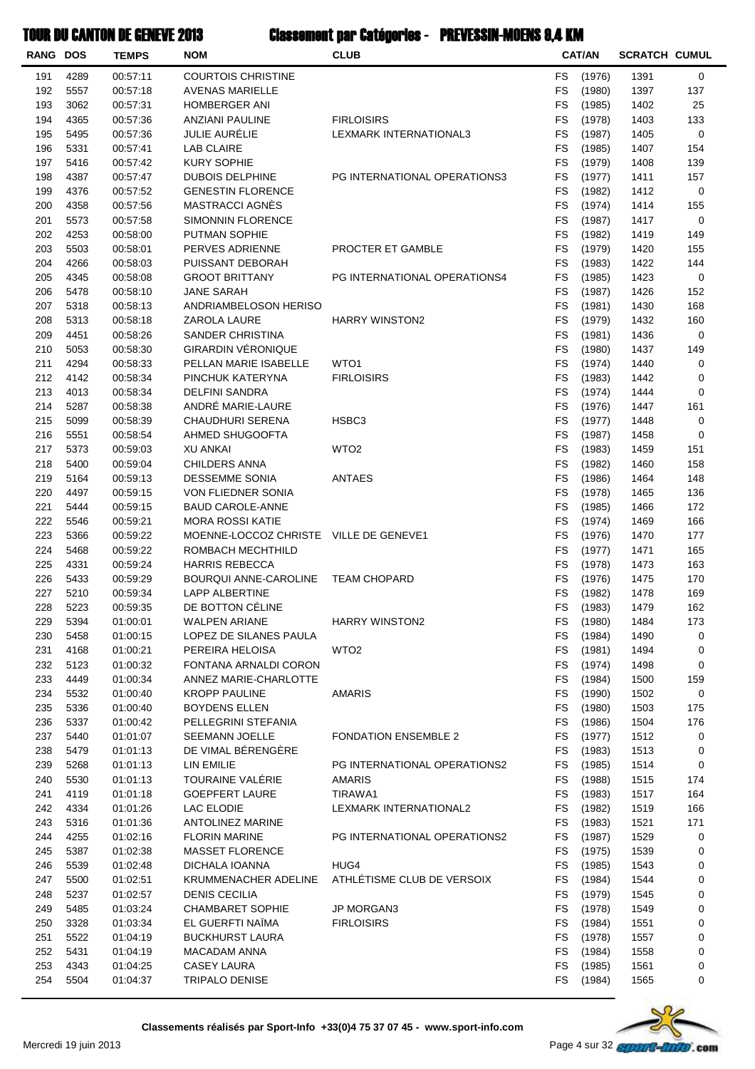### Classement par Catégories - PREVESSIN-MOENS 9,4 KMTOUR DU CANTON DE GENEVE 2013

| <b>RANG DOS</b> |              | UANI UN DL ULIULTL ZU IU<br><b>TEMPS</b> | <b>NOM</b>                                    | viuvvuinunt pun vutvyvi ivo<br>ILVVIN IVIVLINU V <del>, T</del> kuvi<br><b>CLUB</b> |                        | <b>CAT/AN</b>    | <b>SCRATCH CUMUL</b> |             |
|-----------------|--------------|------------------------------------------|-----------------------------------------------|-------------------------------------------------------------------------------------|------------------------|------------------|----------------------|-------------|
|                 |              |                                          |                                               |                                                                                     |                        |                  |                      |             |
| 191             | 4289         | 00:57:11                                 | <b>COURTOIS CHRISTINE</b>                     |                                                                                     | <b>FS</b>              | (1976)           | 1391                 | 0           |
| 192             | 5557         | 00:57:18                                 | <b>AVENAS MARIELLE</b>                        |                                                                                     | <b>FS</b>              | (1980)           | 1397                 | 137         |
| 193             | 3062         | 00:57:31                                 | <b>HOMBERGER ANI</b>                          |                                                                                     | <b>FS</b>              | (1985)           | 1402                 | 25          |
| 194             | 4365         | 00:57:36                                 | <b>ANZIANI PAULINE</b>                        | <b>FIRLOISIRS</b>                                                                   | <b>FS</b>              | (1978)           | 1403                 | 133         |
| 195             | 5495         | 00:57:36                                 | JULIE AURÉLIE                                 | LEXMARK INTERNATIONAL3                                                              | <b>FS</b><br><b>FS</b> | (1987)           | 1405                 | 0           |
| 196<br>197      | 5331<br>5416 | 00:57:41<br>00:57:42                     | <b>LAB CLAIRE</b><br><b>KURY SOPHIE</b>       |                                                                                     | <b>FS</b>              | (1985)<br>(1979) | 1407<br>1408         | 154<br>139  |
| 198             | 4387         | 00:57:47                                 | <b>DUBOIS DELPHINE</b>                        | PG INTERNATIONAL OPERATIONS3                                                        | FS                     | (1977)           | 1411                 | 157         |
| 199             | 4376         | 00:57:52                                 | <b>GENESTIN FLORENCE</b>                      |                                                                                     | <b>FS</b>              | (1982)           | 1412                 | 0           |
| 200             | 4358         | 00:57:56                                 | MASTRACCI AGNÈS                               |                                                                                     | <b>FS</b>              | (1974)           | 1414                 | 155         |
| 201             | 5573         | 00:57:58                                 | <b>SIMONNIN FLORENCE</b>                      |                                                                                     | <b>FS</b>              | (1987)           | 1417                 | 0           |
| 202             | 4253         | 00:58:00                                 | PUTMAN SOPHIE                                 |                                                                                     | <b>FS</b>              | (1982)           | 1419                 | 149         |
| 203             | 5503         | 00:58:01                                 | PERVES ADRIENNE                               | PROCTER ET GAMBLE                                                                   | <b>FS</b>              | (1979)           | 1420                 | 155         |
| 204             | 4266         | 00:58:03                                 | PUISSANT DEBORAH                              |                                                                                     | FS                     | (1983)           | 1422                 | 144         |
| 205             | 4345         | 00:58:08                                 | <b>GROOT BRITTANY</b>                         | PG INTERNATIONAL OPERATIONS4                                                        | <b>FS</b>              | (1985)           | 1423                 | 0           |
| 206             | 5478         | 00:58:10                                 | JANE SARAH                                    |                                                                                     | <b>FS</b>              | (1987)           | 1426                 | 152         |
| 207             | 5318         | 00:58:13                                 | ANDRIAMBELOSON HERISO                         |                                                                                     | <b>FS</b>              | (1981)           | 1430                 | 168         |
| 208             | 5313         | 00:58:18                                 | ZAROLA LAURE                                  | <b>HARRY WINSTON2</b>                                                               | <b>FS</b>              | (1979)           | 1432                 | 160         |
| 209             | 4451         | 00:58:26                                 | <b>SANDER CHRISTINA</b>                       |                                                                                     | <b>FS</b>              | (1981)           | 1436                 | $\mathbf 0$ |
| 210             | 5053         | 00:58:30                                 | <b>GIRARDIN VÉRONIQUE</b>                     |                                                                                     | <b>FS</b>              | (1980)           | 1437                 | 149         |
| 211             | 4294         | 00:58:33                                 | PELLAN MARIE ISABELLE                         | WTO1                                                                                | <b>FS</b>              | (1974)           | 1440                 | 0           |
| 212             | 4142         | 00:58:34                                 | PINCHUK KATERYNA                              | <b>FIRLOISIRS</b>                                                                   | <b>FS</b>              | (1983)           | 1442                 | 0           |
| 213             | 4013         | 00:58:34                                 | <b>DELFINI SANDRA</b>                         |                                                                                     | FS                     | (1974)           | 1444                 | 0           |
| 214             | 5287         | 00:58:38                                 | ANDRÉ MARIE-LAURE                             |                                                                                     | <b>FS</b>              | (1976)           | 1447                 | 161         |
| 215             | 5099         | 00:58:39                                 | <b>CHAUDHURI SERENA</b>                       | HSBC <sub>3</sub>                                                                   | FS                     | (1977)           | 1448                 | 0           |
| 216             | 5551         | 00:58:54                                 | AHMED SHUGOOFTA                               |                                                                                     | <b>FS</b>              | (1987)           | 1458                 | 0           |
| 217             | 5373         | 00:59:03                                 | <b>XU ANKAI</b>                               | WTO <sub>2</sub>                                                                    | <b>FS</b>              | (1983)           | 1459                 | 151         |
| 218             | 5400         | 00:59:04                                 | <b>CHILDERS ANNA</b>                          |                                                                                     | <b>FS</b>              | (1982)           | 1460                 | 158         |
| 219             | 5164         | 00:59:13                                 | <b>DESSEMME SONIA</b>                         | <b>ANTAES</b>                                                                       | <b>FS</b>              | (1986)           | 1464                 | 148         |
| 220<br>221      | 4497<br>5444 | 00:59:15<br>00:59:15                     | VON FLIEDNER SONIA<br><b>BAUD CAROLE-ANNE</b> |                                                                                     | <b>FS</b><br><b>FS</b> | (1978)<br>(1985) | 1465<br>1466         | 136<br>172  |
| 222             | 5546         | 00:59:21                                 | <b>MORA ROSSI KATIE</b>                       |                                                                                     | FS                     | (1974)           | 1469                 | 166         |
| 223             | 5366         | 00:59:22                                 | MOENNE-LOCCOZ CHRISTE VILLE DE GENEVE1        |                                                                                     | FS                     | (1976)           | 1470                 | 177         |
| 224             | 5468         | 00:59:22                                 | ROMBACH MECHTHILD                             |                                                                                     | FS                     | (1977)           | 1471                 | 165         |
| 225             | 4331         | 00:59:24                                 | <b>HARRIS REBECCA</b>                         |                                                                                     | <b>FS</b>              | (1978)           | 1473                 | 163         |
| 226             | 5433         | 00:59:29                                 | BOURQUI ANNE-CAROLINE                         | <b>TEAM CHOPARD</b>                                                                 | <b>FS</b>              | (1976)           | 1475                 | 170         |
| 227             | 5210         | 00:59:34                                 | <b>LAPP ALBERTINE</b>                         |                                                                                     | <b>FS</b>              | (1982)           | 1478                 | 169         |
| 228             | 5223         | 00:59:35                                 | DE BOTTON CÉLINE                              |                                                                                     |                        | FS (1983)        | 1479                 | 162         |
| 229             | 5394         | 01:00:01                                 | <b>WALPEN ARIANE</b>                          | <b>HARRY WINSTON2</b>                                                               | FS                     | (1980)           | 1484                 | 173         |
| 230             | 5458         | 01:00:15                                 | LOPEZ DE SILANES PAULA                        |                                                                                     | FS                     | (1984)           | 1490                 | 0           |
| 231             | 4168         | 01:00:21                                 | PEREIRA HELOISA                               | WTO <sub>2</sub>                                                                    | FS                     | (1981)           | 1494                 | 0           |
| 232             | 5123         | 01:00:32                                 | FONTANA ARNALDI CORON                         |                                                                                     | FS                     | (1974)           | 1498                 | 0           |
| 233             | 4449         | 01:00:34                                 | ANNEZ MARIE-CHARLOTTE                         |                                                                                     | FS                     | (1984)           | 1500                 | 159         |
| 234             | 5532         | 01:00:40                                 | <b>KROPP PAULINE</b>                          | <b>AMARIS</b>                                                                       | <b>FS</b>              | (1990)           | 1502                 | 0           |
| 235             | 5336         | 01:00:40                                 | <b>BOYDENS ELLEN</b>                          |                                                                                     | FS                     | (1980)           | 1503                 | 175         |
| 236             | 5337         | 01:00:42                                 | PELLEGRINI STEFANIA                           |                                                                                     | <b>FS</b>              | (1986)           | 1504                 | 176         |
| 237             | 5440         | 01:01:07                                 | SEEMANN JOELLE                                | <b>FONDATION ENSEMBLE 2</b>                                                         | FS                     | (1977)           | 1512                 | 0           |
| 238             | 5479         | 01:01:13                                 | DE VIMAL BÉRENGÈRE                            |                                                                                     | FS                     | (1983)           | 1513                 | 0           |
| 239             | 5268         | 01:01:13                                 | LIN EMILIE                                    | PG INTERNATIONAL OPERATIONS2                                                        | FS                     | (1985)           | 1514                 | 0           |
| 240             | 5530         | 01:01:13                                 | TOURAINE VALÉRIE                              | <b>AMARIS</b>                                                                       | FS                     | (1988)           | 1515                 | 174         |
| 241             | 4119         | 01:01:18                                 | <b>GOEPFERT LAURE</b>                         | TIRAWA1                                                                             | FS                     | (1983)           | 1517                 | 164         |
| 242             | 4334         | 01:01:26                                 | LAC ELODIE                                    | LEXMARK INTERNATIONAL2                                                              | FS                     | (1982)           | 1519                 | 166         |
| 243<br>244      | 5316<br>4255 | 01:01:36<br>01:02:16                     | ANTOLINEZ MARINE                              | PG INTERNATIONAL OPERATIONS2                                                        | FS<br><b>FS</b>        | (1983)           | 1521<br>1529         | 171<br>0    |
| 245             | 5387         | 01:02:38                                 | <b>FLORIN MARINE</b><br>MASSET FLORENCE       |                                                                                     | FS                     | (1987)<br>(1975) | 1539                 | 0           |
| 246             | 5539         | 01:02:48                                 | DICHALA IOANNA                                | HUG4                                                                                | <b>FS</b>              | (1985)           | 1543                 | 0           |
| 247             | 5500         | 01:02:51                                 | KRUMMENACHER ADELINE                          | ATHLÉTISME CLUB DE VERSOIX                                                          | FS                     | (1984)           | 1544                 | 0           |
| 248             | 5237         | 01:02:57                                 | <b>DENIS CECILIA</b>                          |                                                                                     | FS                     | (1979)           | 1545                 | 0           |
| 249             | 5485         | 01:03:24                                 | <b>CHAMBARET SOPHIE</b>                       | <b>JP MORGAN3</b>                                                                   | FS                     | (1978)           | 1549                 | 0           |
| 250             | 3328         | 01:03:34                                 | EL GUERFTI NAÏMA                              | <b>FIRLOISIRS</b>                                                                   | FS                     | (1984)           | 1551                 | 0           |
| 251             | 5522         | 01:04:19                                 | <b>BUCKHURST LAURA</b>                        |                                                                                     | <b>FS</b>              | (1978)           | 1557                 | 0           |
| 252             | 5431         | 01:04:19                                 | MACADAM ANNA                                  |                                                                                     | FS                     | (1984)           | 1558                 | 0           |
| 253             | 4343         | 01:04:25                                 | <b>CASEY LAURA</b>                            |                                                                                     | <b>FS</b>              | (1985)           | 1561                 | 0           |
| 254             | 5504         | 01:04:37                                 | TRIPALO DENISE                                |                                                                                     | FS                     | (1984)           | 1565                 | 0           |
|                 |              |                                          |                                               |                                                                                     |                        |                  |                      |             |

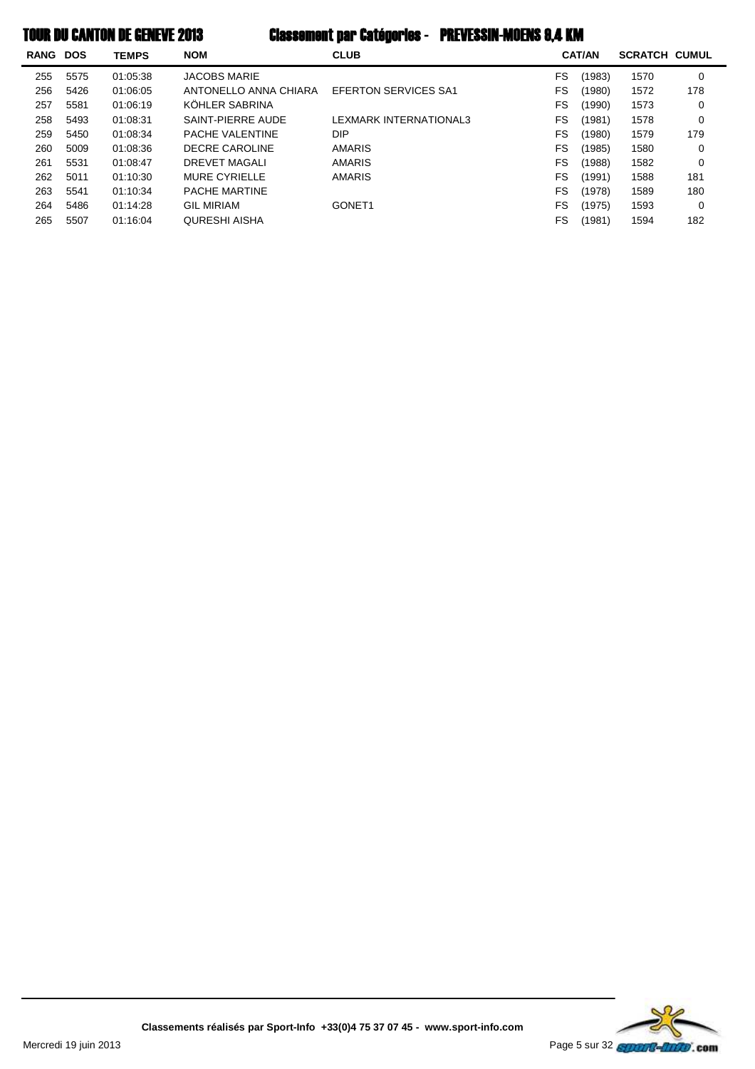| <b>RANG DOS</b> |      | <b>TEMPS</b> | <b>NOM</b>            | <b>CLUB</b>                 |           | <b>CAT/AN</b> | <b>SCRATCH CUMUL</b> |     |
|-----------------|------|--------------|-----------------------|-----------------------------|-----------|---------------|----------------------|-----|
| 255             | 5575 | 01:05:38     | <b>JACOBS MARIE</b>   |                             | FS        | (1983)        | 1570                 | 0   |
| 256             | 5426 | 01:06:05     | ANTONELLO ANNA CHIARA | <b>EFERTON SERVICES SA1</b> | FS        | (1980)        | 1572                 | 178 |
| 257             | 5581 | 01:06:19     | KÖHLER SABRINA        |                             | FS        | (1990)        | 1573                 | 0   |
| 258             | 5493 | 01:08:31     | SAINT-PIERRE AUDE     | LEXMARK INTERNATIONAL3      | FS        | (1981)        | 1578                 | 0   |
| 259             | 5450 | 01:08:34     | PACHE VALENTINE       | DIP.                        | FS        | (1980)        | 1579                 | 179 |
| 260             | 5009 | 01:08:36     | DECRE CAROLINE        | <b>AMARIS</b>               | FS        | (1985)        | 1580                 | 0   |
| 261             | 5531 | 01:08:47     | <b>DREVET MAGALI</b>  | <b>AMARIS</b>               | FS        | (1988)        | 1582                 | 0   |
| 262             | 5011 | 01:10:30     | <b>MURE CYRIELLE</b>  | <b>AMARIS</b>               | FS        | (1991)        | 1588                 | 181 |
| 263             | 5541 | 01:10:34     | PACHE MARTINE         |                             | <b>FS</b> | (1978)        | 1589                 | 180 |
| 264             | 5486 | 01:14:28     | <b>GIL MIRIAM</b>     | GONET <sub>1</sub>          | FS        | (1975)        | 1593                 | 0   |
| 265             | 5507 | 01:16:04     | QURESHI AISHA         |                             | FS        | (1981)        | 1594                 | 182 |

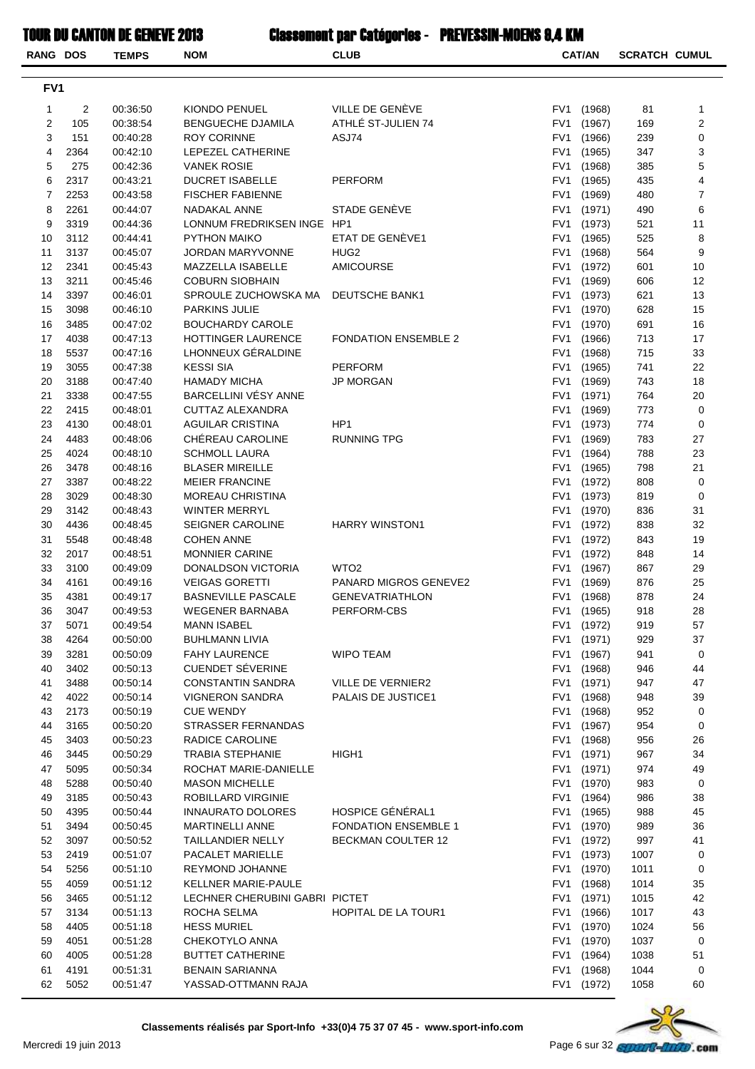| RANG DOS        |                | <b>TEMPS</b>         | <b>NOM</b>                                   | <b>CLUB</b>                          |                 | <b>CAT/AN</b>    | <b>SCRATCH CUMUL</b> |                |
|-----------------|----------------|----------------------|----------------------------------------------|--------------------------------------|-----------------|------------------|----------------------|----------------|
| FV <sub>1</sub> |                |                      |                                              |                                      |                 |                  |                      |                |
| 1               | $\overline{c}$ | 00:36:50             | KIONDO PENUEL                                | VILLE DE GENÈVE                      | FV1             | (1968)           | 81                   | 1              |
| 2               | 105            | 00:38:54             | <b>BENGUECHE DJAMILA</b>                     | ATHLÉ ST-JULIEN 74                   | FV1             | (1967)           | 169                  | 2              |
| 3               | 151            | 00:40:28             | <b>ROY CORINNE</b>                           | ASJ74                                | FV1             | (1966)           | 239                  | $\mathbf 0$    |
| 4               | 2364           | 00:42:10             | LEPEZEL CATHERINE                            |                                      | FV1             | (1965)           | 347                  | 3              |
| 5               | 275            | 00:42:36             | <b>VANEK ROSIE</b>                           |                                      | FV1             | (1968)           | 385                  | 5              |
| 6               | 2317           | 00:43:21             | <b>DUCRET ISABELLE</b>                       | <b>PERFORM</b>                       | FV1             | (1965)           | 435                  | 4              |
| $\overline{7}$  | 2253           | 00:43:58             | <b>FISCHER FABIENNE</b>                      |                                      | FV1             | (1969)           | 480                  | $\overline{7}$ |
| 8               | 2261           | 00:44:07             | NADAKAL ANNE                                 | STADE GENÈVE                         | FV1             | (1971)           | 490                  | 6              |
| 9               | 3319           | 00:44:36             | LONNUM FREDRIKSEN INGE HP1                   |                                      | FV1             | (1973)           | 521                  | 11             |
| 10              | 3112           | 00:44:41             | PYTHON MAIKO                                 | ETAT DE GENÈVE1                      | FV <sub>1</sub> | (1965)           | 525                  | 8              |
| 11<br>12        | 3137<br>2341   | 00:45:07<br>00:45:43 | <b>JORDAN MARYVONNE</b><br>MAZZELLA ISABELLE | HUG <sub>2</sub><br><b>AMICOURSE</b> | FV1<br>FV1      | (1968)<br>(1972) | 564<br>601           | 9<br>10        |
| 13              | 3211           | 00:45:46             | <b>COBURN SIOBHAIN</b>                       |                                      | FV1             | (1969)           | 606                  | 12             |
| 14              | 3397           | 00:46:01             | SPROULE ZUCHOWSKA MA                         | <b>DEUTSCHE BANK1</b>                | FV1             | (1973)           | 621                  | 13             |
| 15              | 3098           | 00:46:10             | <b>PARKINS JULIE</b>                         |                                      | FV1             | (1970)           | 628                  | 15             |
| 16              | 3485           | 00:47:02             | <b>BOUCHARDY CAROLE</b>                      |                                      | FV1             | (1970)           | 691                  | 16             |
| 17              | 4038           | 00:47:13             | HOTTINGER LAURENCE                           | <b>FONDATION ENSEMBLE 2</b>          | FV1             | (1966)           | 713                  | 17             |
| 18              | 5537           | 00:47:16             | LHONNEUX GÉRALDINE                           |                                      | FV1             | (1968)           | 715                  | 33             |
| 19              | 3055           | 00:47:38             | <b>KESSI SIA</b>                             | <b>PERFORM</b>                       | FV1             | (1965)           | 741                  | 22             |
| 20              | 3188           | 00:47:40             | <b>HAMADY MICHA</b>                          | <b>JP MORGAN</b>                     | FV1             | (1969)           | 743                  | 18             |
| 21              | 3338           | 00:47:55             | BARCELLINI VÉSY ANNE                         |                                      | FV1             | (1971)           | 764                  | 20             |
| 22              | 2415           | 00:48:01             | <b>CUTTAZ ALEXANDRA</b>                      |                                      | FV1             | (1969)           | 773                  | 0              |
| 23              | 4130           | 00:48:01             | <b>AGUILAR CRISTINA</b>                      | HP <sub>1</sub>                      | FV1             | (1973)           | 774                  | 0              |
| 24              | 4483           | 00:48:06             | CHÉREAU CAROLINE                             | <b>RUNNING TPG</b>                   | FV1             | (1969)           | 783                  | 27             |
| 25              | 4024           | 00:48:10             | <b>SCHMOLL LAURA</b>                         |                                      | FV1             | (1964)           | 788                  | 23             |
| 26              | 3478           | 00:48:16             | <b>BLASER MIREILLE</b>                       |                                      | FV1             | (1965)           | 798                  | 21             |
| 27              | 3387           | 00:48:22             | <b>MEIER FRANCINE</b>                        |                                      | FV1             | (1972)           | 808                  | 0              |
| 28<br>29        | 3029<br>3142   | 00:48:30<br>00:48:43 | MOREAU CHRISTINA<br><b>WINTER MERRYL</b>     |                                      | FV1<br>FV1      | (1973)           | 819<br>836           | 0<br>31        |
| 30              | 4436           | 00:48:45             | <b>SEIGNER CAROLINE</b>                      | <b>HARRY WINSTON1</b>                | FV1             | (1970)<br>(1972) | 838                  | 32             |
| 31              | 5548           | 00:48:48             | <b>COHEN ANNE</b>                            |                                      | FV1             | (1972)           | 843                  | 19             |
| 32              | 2017           | 00:48:51             | <b>MONNIER CARINE</b>                        |                                      | FV1             | (1972)           | 848                  | 14             |
| 33              | 3100           | 00:49:09             | DONALDSON VICTORIA                           | WTO <sub>2</sub>                     | FV1             | (1967)           | 867                  | 29             |
| 34              | 4161           | 00:49:16             | <b>VEIGAS GORETTI</b>                        | PANARD MIGROS GENEVE2                | FV1             | (1969)           | 876                  | 25             |
| 35              | 4381           | 00:49:17             | <b>BASNEVILLE PASCALE</b>                    | <b>GENEVATRIATHLON</b>               |                 | FV1 (1968)       | 878                  | 24             |
| 36              | 3047           | 00:49:53             | <b>WEGENER BARNABA</b>                       | PERFORM-CBS                          | FV1             | (1965)           | 918                  | 28             |
| 37              | 5071           | 00:49:54             | <b>MANN ISABEL</b>                           |                                      | FV1             | (1972)           | 919                  | 57             |
| 38              | 4264           | 00:50:00             | <b>BUHLMANN LIVIA</b>                        |                                      | FV1             | (1971)           | 929                  | 37             |
| 39              | 3281           | 00:50:09             | <b>FAHY LAURENCE</b>                         | <b>WIPO TEAM</b>                     | FV1             | (1967)           | 941                  | 0              |
| 40              | 3402           | 00:50:13             | <b>CUENDET SÉVERINE</b>                      |                                      | FV1             | (1968)           | 946                  | 44             |
| 41              | 3488           | 00:50:14             | <b>CONSTANTIN SANDRA</b>                     | <b>VILLE DE VERNIER2</b>             | FV1             | (1971)           | 947                  | 47             |
| 42              | 4022           | 00:50:14             | <b>VIGNERON SANDRA</b>                       | PALAIS DE JUSTICE1                   | FV1             | (1968)           | 948                  | 39             |
| 43<br>44        | 2173<br>3165   | 00:50:19<br>00:50:20 | <b>CUE WENDY</b><br>STRASSER FERNANDAS       |                                      | FV1<br>FV1      | (1968)<br>(1967) | 952<br>954           | 0<br>0         |
| 45              | 3403           | 00:50:23             | RADICE CAROLINE                              |                                      | FV1             | (1968)           | 956                  | 26             |
| 46              | 3445           | 00:50:29             | <b>TRABIA STEPHANIE</b>                      | HIGH1                                | FV1             | (1971)           | 967                  | 34             |
| 47              | 5095           | 00:50:34             | ROCHAT MARIE-DANIELLE                        |                                      |                 | FV1 (1971)       | 974                  | 49             |
| 48              | 5288           | 00:50:40             | <b>MASON MICHELLE</b>                        |                                      | FV1             | (1970)           | 983                  | 0              |
| 49              | 3185           | 00:50:43             | ROBILLARD VIRGINIE                           |                                      | FV1             | (1964)           | 986                  | 38             |
| 50              | 4395           | 00:50:44             | <b>INNAURATO DOLORES</b>                     | HOSPICE GÉNÉRAL1                     | FV1             | (1965)           | 988                  | 45             |
| 51              | 3494           | 00:50:45             | MARTINELLI ANNE                              | <b>FONDATION ENSEMBLE 1</b>          | FV1             | (1970)           | 989                  | 36             |
| 52              | 3097           | 00:50:52             | TAILLANDIER NELLY                            | BECKMAN COULTER 12                   | FV1             | (1972)           | 997                  | 41             |
| 53              | 2419           | 00:51:07             | PACALET MARIELLE                             |                                      | FV1             | (1973)           | 1007                 | 0              |
| 54              | 5256           | 00:51:10             | REYMOND JOHANNE                              |                                      | FV1             | (1970)           | 1011                 | 0              |
| 55              | 4059           | 00:51:12             | KELLNER MARIE-PAULE                          |                                      | FV1             | (1968)           | 1014                 | 35             |
| 56              | 3465           | 00:51:12             | LECHNER CHERUBINI GABRI PICTET               |                                      | FV1             | (1971)           | 1015                 | 42             |
| 57              | 3134           | 00:51:13             | ROCHA SELMA                                  | <b>HOPITAL DE LA TOUR1</b>           | FV1             | (1966)           | 1017                 | 43             |
| 58              | 4405           | 00:51:18             | <b>HESS MURIEL</b>                           |                                      | FV1             | (1970)           | 1024                 | 56             |
| 59<br>60        | 4051<br>4005   | 00:51:28<br>00:51:28 | CHEKOTYLO ANNA<br><b>BUTTET CATHERINE</b>    |                                      | FV1<br>FV1      | (1970)<br>(1964) | 1037<br>1038         | 0<br>51        |
| 61              | 4191           | 00:51:31             | <b>BENAIN SARIANNA</b>                       |                                      | FV1             | (1968)           | 1044                 | 0              |
| 62              | 5052           | 00:51:47             | YASSAD-OTTMANN RAJA                          |                                      |                 | FV1 (1972)       | 1058                 | 60             |

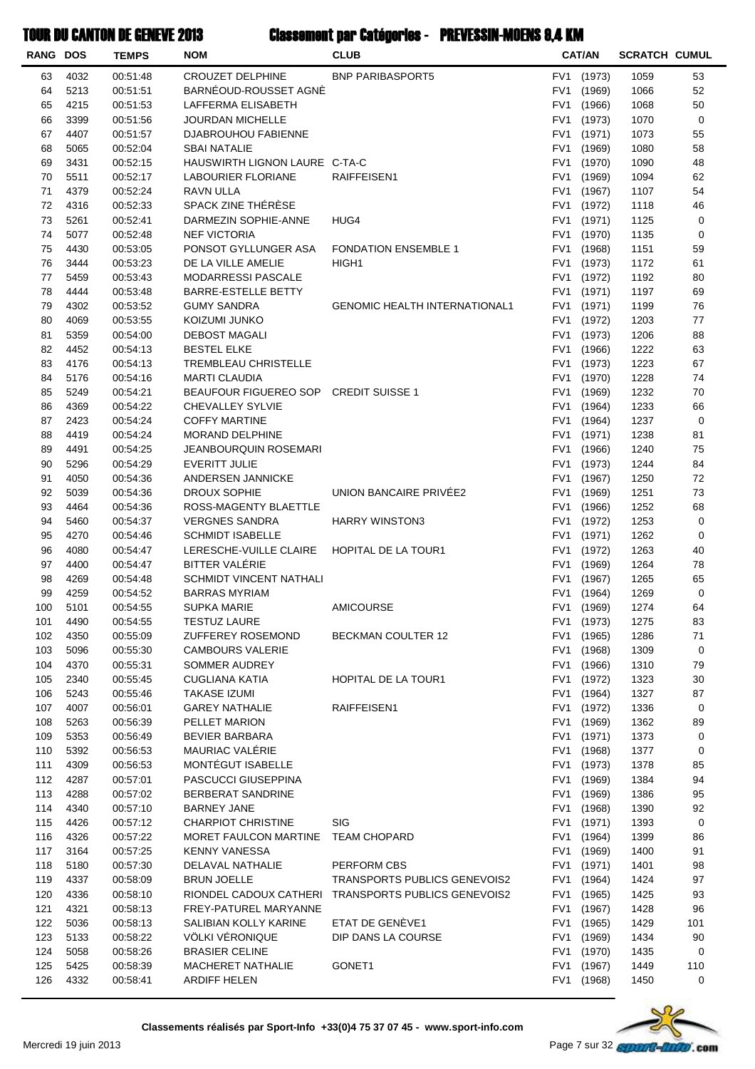| <b>RANG DOS</b> |              | <b>TEMPS</b>         | <b>NOM</b>                                           | <b>CLUB</b>                          |                                    | <b>CAT/AN</b>    | <b>SCRATCH CUMUL</b> |           |
|-----------------|--------------|----------------------|------------------------------------------------------|--------------------------------------|------------------------------------|------------------|----------------------|-----------|
| 63              | 4032         | 00:51:48             | <b>CROUZET DELPHINE</b>                              | <b>BNP PARIBASPORT5</b>              | FV <sub>1</sub>                    | (1973)           | 1059                 | 53        |
| 64              | 5213         | 00:51:51             | BARNÉOUD-ROUSSET AGNÈ                                |                                      | FV1                                | (1969)           | 1066                 | 52        |
| 65              | 4215         | 00:51:53             | LAFFERMA ELISABETH                                   |                                      | FV1                                | (1966)           | 1068                 | 50        |
| 66              | 3399         | 00:51:56             | <b>JOURDAN MICHELLE</b>                              |                                      | FV1                                | (1973)           | 1070                 | 0         |
| 67              | 4407         | 00:51:57             | DJABROUHOU FABIENNE                                  |                                      | FV <sub>1</sub>                    | (1971)           | 1073                 | 55        |
| 68              | 5065         | 00:52:04             | <b>SBAI NATALIE</b>                                  |                                      | FV1                                | (1969)           | 1080                 | 58        |
| 69              | 3431         | 00:52:15             | HAUSWIRTH LIGNON LAURE C-TA-C                        |                                      | FV <sub>1</sub>                    | (1970)           | 1090                 | 48        |
| 70              | 5511         | 00:52:17             | LABOURIER FLORIANE                                   | RAIFFEISEN1                          | FV <sub>1</sub>                    | (1969)           | 1094                 | 62        |
| 71<br>72        | 4379<br>4316 | 00:52:24<br>00:52:33 | RAVN ULLA<br>SPACK ZINE THÉRÈSE                      |                                      | FV <sub>1</sub><br>FV <sub>1</sub> | (1967)<br>(1972) | 1107<br>1118         | 54<br>46  |
| 73              | 5261         | 00:52:41             | DARMEZIN SOPHIE-ANNE                                 | HUG4                                 | FV1                                | (1971)           | 1125                 | 0         |
| 74              | 5077         | 00:52:48             | <b>NEF VICTORIA</b>                                  |                                      | FV1                                | (1970)           | 1135                 | 0         |
| 75              | 4430         | 00:53:05             | PONSOT GYLLUNGER ASA                                 | <b>FONDATION ENSEMBLE 1</b>          | FV1                                | (1968)           | 1151                 | 59        |
| 76              | 3444         | 00:53:23             | DE LA VILLE AMELIE                                   | HIGH <sub>1</sub>                    | FV1                                | (1973)           | 1172                 | 61        |
| 77              | 5459         | 00:53:43             | <b>MODARRESSI PASCALE</b>                            |                                      | FV <sub>1</sub>                    | (1972)           | 1192                 | 80        |
| 78              | 4444         | 00:53:48             | <b>BARRE-ESTELLE BETTY</b>                           |                                      | FV <sub>1</sub>                    | (1971)           | 1197                 | 69        |
| 79              | 4302         | 00:53:52             | <b>GUMY SANDRA</b>                                   | <b>GENOMIC HEALTH INTERNATIONAL1</b> | FV1                                | (1971)           | 1199                 | 76        |
| 80              | 4069         | 00:53:55             | KOIZUMI JUNKO                                        |                                      | FV <sub>1</sub>                    | (1972)           | 1203                 | 77        |
| 81              | 5359         | 00:54:00             | <b>DEBOST MAGALI</b>                                 |                                      | FV1                                | (1973)           | 1206                 | 88        |
| 82              | 4452         | 00:54:13             | <b>BESTEL ELKE</b>                                   |                                      | FV1                                | (1966)           | 1222                 | 63        |
| 83              | 4176         | 00:54:13             | TREMBLEAU CHRISTELLE                                 |                                      | FV1                                | (1973)           | 1223                 | 67        |
| 84              | 5176         | 00:54:16             | <b>MARTI CLAUDIA</b>                                 |                                      | FV1                                | (1970)           | 1228                 | 74        |
| 85              | 5249         | 00:54:21             | BEAUFOUR FIGUEREO SOP CREDIT SUISSE 1                |                                      | FV <sub>1</sub>                    | (1969)           | 1232                 | 70        |
| 86              | 4369         | 00:54:22             | <b>CHEVALLEY SYLVIE</b>                              |                                      | FV <sub>1</sub>                    | (1964)           | 1233                 | 66        |
| 87              | 2423         | 00:54:24             | <b>COFFY MARTINE</b>                                 |                                      | FV1                                | (1964)           | 1237                 | 0         |
| 88<br>89        | 4419<br>4491 | 00:54:24             | MORAND DELPHINE                                      |                                      | FV1                                | (1971)           | 1238                 | 81<br>75  |
| 90              | 5296         | 00:54:25<br>00:54:29 | <b>JEANBOURQUIN ROSEMARI</b><br><b>EVERITT JULIE</b> |                                      | FV1<br>FV1                         | (1966)<br>(1973) | 1240<br>1244         | 84        |
| 91              | 4050         | 00:54:36             | ANDERSEN JANNICKE                                    |                                      | FV1                                | (1967)           | 1250                 | 72        |
| 92              | 5039         | 00:54:36             | DROUX SOPHIE                                         | UNION BANCAIRE PRIVÉE2               | FV1                                | (1969)           | 1251                 | 73        |
| 93              | 4464         | 00:54:36             | ROSS-MAGENTY BLAETTLE                                |                                      | FV <sub>1</sub>                    | (1966)           | 1252                 | 68        |
| 94              | 5460         | 00:54:37             | <b>VERGNES SANDRA</b>                                | <b>HARRY WINSTON3</b>                | FV1                                | (1972)           | 1253                 | 0         |
| 95              | 4270         | 00:54:46             | <b>SCHMIDT ISABELLE</b>                              |                                      | FV1                                | (1971)           | 1262                 | 0         |
| 96              | 4080         | 00:54:47             | LERESCHE-VUILLE CLAIRE                               | <b>HOPITAL DE LA TOUR1</b>           | FV1                                | (1972)           | 1263                 | 40        |
| 97              | 4400         | 00:54:47             | BITTER VALÉRIE                                       |                                      | FV1                                | (1969)           | 1264                 | 78        |
| 98              | 4269         | 00:54:48             | <b>SCHMIDT VINCENT NATHALI</b>                       |                                      | FV1                                | (1967)           | 1265                 | 65        |
| 99              | 4259         | 00:54:52             | <b>BARRAS MYRIAM</b>                                 |                                      | FV1                                | (1964)           | 1269                 | 0         |
| 100             | 5101         | 00:54:55             | <b>SUPKA MARIE</b>                                   | <b>AMICOURSE</b>                     | FV1                                | (1969)           | 1274                 | 64        |
| 101             | 4490         | 00:54:55             | <b>TESTUZ LAURE</b>                                  |                                      | FV1                                | (1973)           | 1275                 | 83        |
| 102             | 4350         | 00:55:09             | ZUFFEREY ROSEMOND                                    | BECKMAN COULTER 12                   | FV1                                | (1965)           | 1286                 | 71        |
| 103             | 5096         | 00:55:30             | <b>CAMBOURS VALERIE</b>                              |                                      | FV1                                | (1968)           | 1309                 | 0         |
| 104             | 4370         | 00:55:31             | SOMMER AUDREY                                        |                                      | FV1                                | (1966)           | 1310                 | 79        |
| 105<br>106      | 2340<br>5243 | 00:55:45<br>00:55:46 | <b>CUGLIANA KATIA</b><br><b>TAKASE IZUMI</b>         | <b>HOPITAL DE LA TOUR1</b>           | FV1<br>FV1                         | (1972)<br>(1964) | 1323<br>1327         | 30<br>87  |
| 107             | 4007         | 00:56:01             | <b>GAREY NATHALIE</b>                                | RAIFFEISEN1                          | FV1                                | (1972)           | 1336                 | 0         |
| 108             | 5263         | 00:56:39             | PELLET MARION                                        |                                      | FV1                                | (1969)           | 1362                 | 89        |
| 109             | 5353         | 00:56:49             | <b>BEVIER BARBARA</b>                                |                                      | FV1                                | (1971)           | 1373                 | 0         |
| 110             | 5392         | 00:56:53             | MAURIAC VALERIE                                      |                                      | FV <sub>1</sub>                    | (1968)           | 1377                 | 0         |
| 111             | 4309         | 00:56:53             | MONTÉGUT ISABELLE                                    |                                      | FV1                                | (1973)           | 1378                 | 85        |
| 112             | 4287         | 00:57:01             | PASCUCCI GIUSEPPINA                                  |                                      | FV1                                | (1969)           | 1384                 | 94        |
| 113             | 4288         | 00:57:02             | BERBERAT SANDRINE                                    |                                      | FV1                                | (1969)           | 1386                 | 95        |
| 114             | 4340         | 00:57:10             | <b>BARNEY JANE</b>                                   |                                      | FV1                                | (1968)           | 1390                 | 92        |
| 115             | 4426         | 00:57:12             | <b>CHARPIOT CHRISTINE</b>                            | <b>SIG</b>                           | FV1                                | (1971)           | 1393                 | 0         |
| 116             | 4326         | 00:57:22             | MORET FAULCON MARTINE                                | <b>TEAM CHOPARD</b>                  | FV1                                | (1964)           | 1399                 | 86        |
| 117             | 3164         | 00:57:25             | <b>KENNY VANESSA</b>                                 |                                      | FV1                                | (1969)           | 1400                 | 91        |
| 118             | 5180         | 00:57:30             | DELAVAL NATHALIE                                     | PERFORM CBS                          | FV1                                | (1971)           | 1401                 | 98        |
| 119             | 4337         | 00:58:09             | <b>BRUN JOELLE</b>                                   | TRANSPORTS PUBLICS GENEVOIS2         | FV1                                | (1964)           | 1424                 | 97        |
| 120             | 4336         | 00:58:10             | RIONDEL CADOUX CATHERI                               | <b>TRANSPORTS PUBLICS GENEVOIS2</b>  | FV1                                | (1965)           | 1425                 | 93        |
| 121<br>122      | 4321<br>5036 | 00:58:13<br>00:58:13 | FREY-PATUREL MARYANNE<br>SALIBIAN KOLLY KARINE       | ETAT DE GENÈVE1                      | FV1<br>FV1                         | (1967)<br>(1965) | 1428<br>1429         | 96<br>101 |
| 123             | 5133         | 00:58:22             | VÖLKI VÉRONIQUE                                      | DIP DANS LA COURSE                   | FV1                                | (1969)           | 1434                 | 90        |
| 124             | 5058         | 00:58:26             | <b>BRASIER CELINE</b>                                |                                      | FV1                                | (1970)           | 1435                 | 0         |
| 125             | 5425         | 00:58:39             | MACHERET NATHALIE                                    | GONET1                               | FV1                                | (1967)           | 1449                 | 110       |
| 126             | 4332         | 00:58:41             | ARDIFF HELEN                                         |                                      | FV1                                | (1968)           | 1450                 | 0         |
|                 |              |                      |                                                      |                                      |                                    |                  |                      |           |

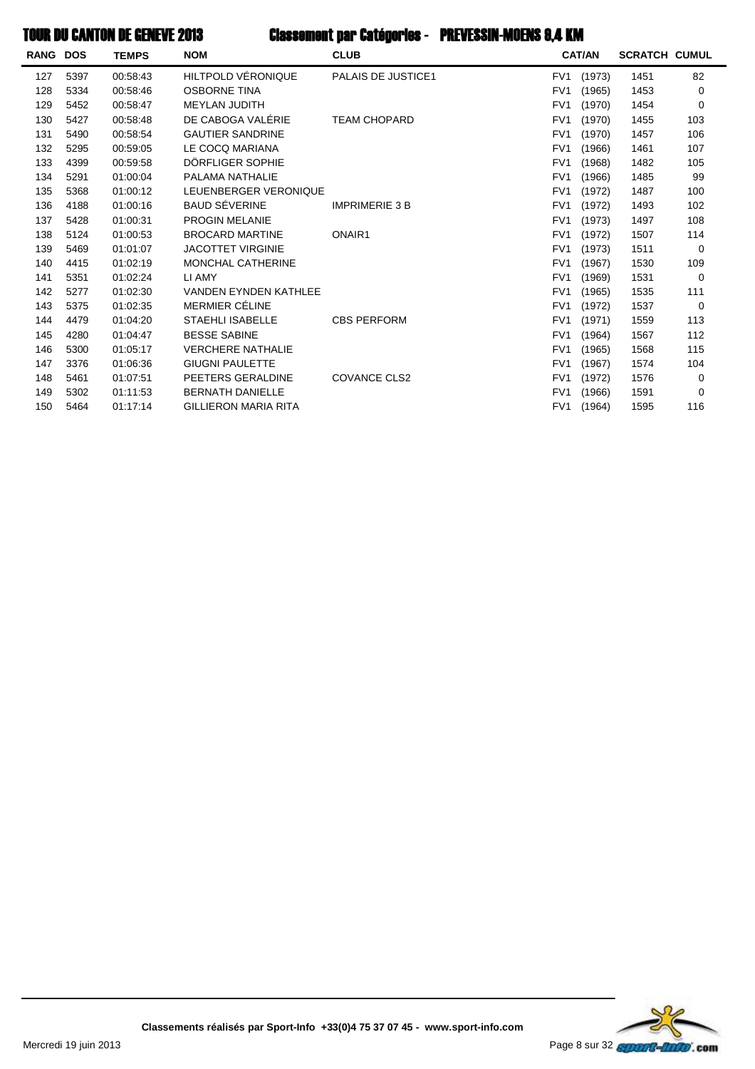| RANG | <b>DOS</b> | <b>TEMPS</b> | <b>NOM</b>                   | <b>CLUB</b>               |                 | <b>CAT/AN</b> | <b>SCRATCH CUMUL</b> |     |
|------|------------|--------------|------------------------------|---------------------------|-----------------|---------------|----------------------|-----|
| 127  | 5397       | 00:58:43     | HILTPOLD VÉRONIQUE           | <b>PALAIS DE JUSTICE1</b> | FV <sub>1</sub> | (1973)        | 1451                 | 82  |
| 128  | 5334       | 00:58:46     | <b>OSBORNE TINA</b>          |                           | FV <sub>1</sub> | (1965)        | 1453                 | 0   |
| 129  | 5452       | 00:58:47     | <b>MEYLAN JUDITH</b>         |                           | FV <sub>1</sub> | (1970)        | 1454                 | 0   |
| 130  | 5427       | 00:58:48     | DE CABOGA VALÉRIE            | <b>TEAM CHOPARD</b>       | FV <sub>1</sub> | (1970)        | 1455                 | 103 |
| 131  | 5490       | 00:58:54     | <b>GAUTIER SANDRINE</b>      |                           | FV <sub>1</sub> | (1970)        | 1457                 | 106 |
| 132  | 5295       | 00:59:05     | LE COCQ MARIANA              |                           | FV <sub>1</sub> | (1966)        | 1461                 | 107 |
| 133  | 4399       | 00:59:58     | DÖRFLIGER SOPHIE             |                           | FV <sub>1</sub> | (1968)        | 1482                 | 105 |
| 134  | 5291       | 01:00:04     | PALAMA NATHALIE              |                           | FV <sub>1</sub> | (1966)        | 1485                 | 99  |
| 135  | 5368       | 01:00:12     | LEUENBERGER VERONIQUE        |                           | FV <sub>1</sub> | (1972)        | 1487                 | 100 |
| 136  | 4188       | 01:00:16     | <b>BAUD SÉVERINE</b>         | <b>IMPRIMERIE 3 B</b>     | FV <sub>1</sub> | (1972)        | 1493                 | 102 |
| 137  | 5428       | 01:00:31     | <b>PROGIN MELANIE</b>        |                           | FV <sub>1</sub> | (1973)        | 1497                 | 108 |
| 138  | 5124       | 01:00:53     | <b>BROCARD MARTINE</b>       | ONAIR1                    | FV <sub>1</sub> | (1972)        | 1507                 | 114 |
| 139  | 5469       | 01:01:07     | <b>JACOTTET VIRGINIE</b>     |                           | FV <sub>1</sub> | (1973)        | 1511                 | 0   |
| 140  | 4415       | 01:02:19     | <b>MONCHAL CATHERINE</b>     |                           | FV <sub>1</sub> | (1967)        | 1530                 | 109 |
| 141  | 5351       | 01:02:24     | LI AMY                       |                           | FV <sub>1</sub> | (1969)        | 1531                 | 0   |
| 142  | 5277       | 01:02:30     | <b>VANDEN EYNDEN KATHLEE</b> |                           | FV <sub>1</sub> | (1965)        | 1535                 | 111 |
| 143  | 5375       | 01:02:35     | MERMIER CÉLINE               |                           | FV <sub>1</sub> | (1972)        | 1537                 | 0   |
| 144  | 4479       | 01:04:20     | <b>STAEHLI ISABELLE</b>      | <b>CBS PERFORM</b>        | FV <sub>1</sub> | (1971)        | 1559                 | 113 |
| 145  | 4280       | 01:04:47     | <b>BESSE SABINE</b>          |                           | FV <sub>1</sub> | (1964)        | 1567                 | 112 |
| 146  | 5300       | 01:05:17     | <b>VERCHERE NATHALIE</b>     |                           | FV <sub>1</sub> | (1965)        | 1568                 | 115 |
| 147  | 3376       | 01:06:36     | <b>GIUGNI PAULETTE</b>       |                           | FV <sub>1</sub> | (1967)        | 1574                 | 104 |
| 148  | 5461       | 01:07:51     | PEETERS GERALDINE            | <b>COVANCE CLS2</b>       | FV <sub>1</sub> | (1972)        | 1576                 | 0   |
| 149  | 5302       | 01:11:53     | <b>BERNATH DANIELLE</b>      |                           | FV <sub>1</sub> | (1966)        | 1591                 | 0   |
| 150  | 5464       | 01:17:14     | <b>GILLIERON MARIA RITA</b>  |                           | FV <sub>1</sub> | (1964)        | 1595                 | 116 |
|      |            |              |                              |                           |                 |               |                      |     |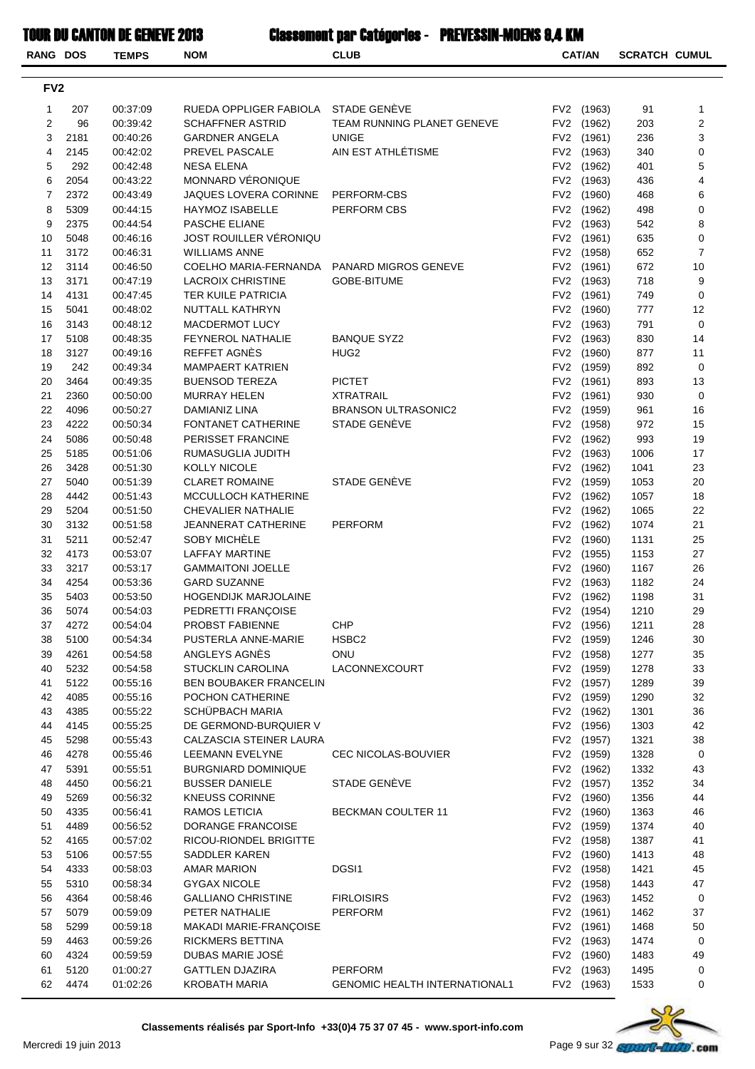| <b>RANG DOS</b> |              | <b>TEMPS</b>         | <b>NOM</b>                                         | <b>CLUB</b>                          |                 | <b>CAT/AN</b>            | <b>SCRATCH CUMUL</b> |                |
|-----------------|--------------|----------------------|----------------------------------------------------|--------------------------------------|-----------------|--------------------------|----------------------|----------------|
|                 |              |                      |                                                    |                                      |                 |                          |                      |                |
| FV <sub>2</sub> |              |                      |                                                    |                                      |                 |                          |                      |                |
| 1               | 207          | 00:37:09             | RUEDA OPPLIGER FABIOLA                             | STADE GENÈVE                         |                 | FV2 (1963)               | 91                   | $\mathbf{1}$   |
| 2               | 96           | 00:39:42             | <b>SCHAFFNER ASTRID</b>                            | TEAM RUNNING PLANET GENEVE           |                 | FV2 (1962)               | 203                  | $\overline{2}$ |
| 3               | 2181         | 00:40:26             | <b>GARDNER ANGELA</b>                              | <b>UNIGE</b>                         |                 | FV2 (1961)               | 236                  | 3              |
| 4               | 2145         | 00:42:02             | PREVEL PASCALE                                     | AIN EST ATHLÉTISME                   |                 | FV2 (1963)               | 340                  | 0              |
| 5               | 292          | 00:42:48             | <b>NESA ELENA</b>                                  |                                      |                 | FV2 (1962)               | 401                  | 5              |
| 6               | 2054         | 00:43:22             | MONNARD VÉRONIQUE                                  |                                      |                 | FV2 (1963)               | 436                  | 4              |
| $\overline{7}$  | 2372         | 00:43:49             | JAQUES LOVERA CORINNE                              | PERFORM-CBS                          |                 | FV2 (1960)               | 468                  | 6              |
| 8<br>9          | 5309<br>2375 | 00:44:15             | HAYMOZ ISABELLE<br>PASCHE ELIANE                   | PERFORM CBS                          |                 | FV2 (1962)<br>FV2 (1963) | 498                  | 0<br>8         |
| 10              | 5048         | 00:44:54<br>00:46:16 | JOST ROUILLER VÉRONIQU                             |                                      |                 | FV2 (1961)               | 542<br>635           | 0              |
| 11              | 3172         | 00:46:31             | <b>WILLIAMS ANNE</b>                               |                                      |                 | FV2 (1958)               | 652                  | $\overline{7}$ |
| 12              | 3114         | 00:46:50             | COELHO MARIA-FERNANDA                              | PANARD MIGROS GENEVE                 |                 | FV2 (1961)               | 672                  | 10             |
| 13              | 3171         | 00:47:19             | <b>LACROIX CHRISTINE</b>                           | <b>GOBE-BITUME</b>                   |                 | FV2 (1963)               | 718                  | 9              |
| 14              | 4131         | 00:47:45             | TER KUILE PATRICIA                                 |                                      | FV <sub>2</sub> | (1961)                   | 749                  | $\pmb{0}$      |
| 15              | 5041         | 00:48:02             | NUTTALL KATHRYN                                    |                                      |                 | FV2 (1960)               | 777                  | 12             |
| 16              | 3143         | 00:48:12             | MACDERMOT LUCY                                     |                                      |                 | FV2 (1963)               | 791                  | $\pmb{0}$      |
| 17              | 5108         | 00:48:35             | <b>FEYNEROL NATHALIE</b>                           | <b>BANQUE SYZ2</b>                   |                 | FV2 (1963)               | 830                  | 14             |
| 18              | 3127         | 00:49:16             | REFFET AGNÈS                                       | HUG2                                 |                 | FV2 (1960)               | 877                  | 11             |
| 19              | 242          | 00:49:34             | <b>MAMPAERT KATRIEN</b>                            |                                      |                 | FV2 (1959)               | 892                  | 0              |
| 20              | 3464         | 00:49:35             | <b>BUENSOD TEREZA</b>                              | <b>PICTET</b>                        |                 | FV2 (1961)               | 893                  | 13             |
| 21              | 2360         | 00:50:00             | <b>MURRAY HELEN</b>                                | <b>XTRATRAIL</b>                     |                 | FV2 (1961)               | 930                  | 0              |
| 22              | 4096         | 00:50:27             | DAMIANIZ LINA                                      | <b>BRANSON ULTRASONIC2</b>           |                 | FV2 (1959)               | 961                  | 16             |
| 23              | 4222         | 00:50:34             | FONTANET CATHERINE                                 | STADE GENÈVE                         |                 | FV2 (1958)               | 972                  | 15             |
| 24              | 5086         | 00:50:48             | PERISSET FRANCINE                                  |                                      |                 | FV2 (1962)               | 993                  | 19             |
| 25              | 5185         | 00:51:06             | RUMASUGLIA JUDITH                                  |                                      |                 | FV2 (1963)               | 1006                 | 17             |
| 26              | 3428         | 00:51:30             | <b>KOLLY NICOLE</b>                                |                                      |                 | FV2 (1962)               | 1041                 | 23             |
| 27              | 5040         | 00:51:39             | <b>CLARET ROMAINE</b>                              | STADE GENÈVE                         |                 | FV2 (1959)               | 1053                 | 20             |
| 28              | 4442         | 00:51:43             | MCCULLOCH KATHERINE                                |                                      |                 | FV2 (1962)               | 1057                 | 18             |
| 29              | 5204         | 00:51:50             | <b>CHEVALIER NATHALIE</b>                          |                                      |                 | FV2 (1962)               | 1065                 | 22             |
| 30              | 3132         | 00:51:58             | JEANNERAT CATHERINE                                | <b>PERFORM</b>                       |                 | FV2 (1962)               | 1074                 | 21             |
| 31              | 5211         | 00:52:47             | SOBY MICHELE                                       |                                      | FV <sub>2</sub> | (1960)                   | 1131                 | 25             |
| 32              | 4173         | 00:53:07             | <b>LAFFAY MARTINE</b>                              |                                      |                 | FV2 (1955)               | 1153                 | 27             |
| 33<br>34        | 3217<br>4254 | 00:53:17             | <b>GAMMAITONI JOELLE</b>                           |                                      |                 | FV2 (1960)               | 1167                 | 26<br>24       |
| 35              | 5403         | 00:53:36<br>00:53:50 | <b>GARD SUZANNE</b><br><b>HOGENDIJK MARJOLAINE</b> |                                      |                 | FV2 (1963)<br>FV2 (1962) | 1182<br>1198         | 31             |
| 36              | 5074         | 00:54:03             | PEDRETTI FRANÇOISE                                 |                                      |                 | FV2 (1954)               | 1210                 | 29             |
| 37              | 4272         | 00:54:04             | PROBST FABIENNE                                    | <b>CHP</b>                           |                 | FV2 (1956)               | 1211                 | 28             |
| 38              | 5100         | 00:54:34             | PUSTERLA ANNE-MARIE                                | HSBC <sub>2</sub>                    |                 | FV2 (1959)               | 1246                 | 30             |
| 39              | 4261         | 00:54:58             | ANGLEYS AGNES                                      | ONU                                  |                 | FV2 (1958)               | 1277                 | 35             |
| 40              | 5232         | 00:54:58             | <b>STUCKLIN CAROLINA</b>                           | LACONNEXCOURT                        |                 | FV2 (1959)               | 1278                 | 33             |
| 41              | 5122         | 00:55:16             | <b>BEN BOUBAKER FRANCELIN</b>                      |                                      |                 | FV2 (1957)               | 1289                 | 39             |
| 42              | 4085         | 00:55:16             | POCHON CATHERINE                                   |                                      |                 | FV2 (1959)               | 1290                 | 32             |
| 43              | 4385         | 00:55:22             | <b>SCHÜPBACH MARIA</b>                             |                                      |                 | FV2 (1962)               | 1301                 | 36             |
| 44              | 4145         | 00:55:25             | DE GERMOND-BURQUIER V                              |                                      |                 | FV2 (1956)               | 1303                 | 42             |
| 45              | 5298         | 00:55:43             | CALZASCIA STEINER LAURA                            |                                      |                 | FV2 (1957)               | 1321                 | 38             |
| 46              | 4278         | 00:55:46             | LEEMANN EVELYNE                                    | CEC NICOLAS-BOUVIER                  |                 | FV2 (1959)               | 1328                 | 0              |
| 47              | 5391         | 00:55:51             | <b>BURGNIARD DOMINIQUE</b>                         |                                      |                 | FV2 (1962)               | 1332                 | 43             |
| 48              | 4450         | 00:56:21             | <b>BUSSER DANIELE</b>                              | STADE GENÈVE                         |                 | FV2 (1957)               | 1352                 | 34             |
| 49              | 5269         | 00:56:32             | <b>KNEUSS CORINNE</b>                              |                                      |                 | FV2 (1960)               | 1356                 | 44             |
| 50              | 4335         | 00:56:41             | RAMOS LETICIA                                      | <b>BECKMAN COULTER 11</b>            |                 | FV2 (1960)               | 1363                 | 46             |
| 51              | 4489         | 00:56:52             | DORANGE FRANCOISE                                  |                                      |                 | FV2 (1959)               | 1374                 | 40             |
| 52              | 4165         | 00:57:02             | RICOU-RIONDEL BRIGITTE                             |                                      |                 | FV2 (1958)               | 1387                 | 41             |
| 53              | 5106         | 00:57:55             | SADDLER KAREN                                      |                                      |                 | FV2 (1960)               | 1413                 | 48             |
| 54              | 4333         | 00:58:03             | AMAR MARION                                        | DGSI1                                |                 | FV2 (1958)               | 1421                 | 45             |
| 55              | 5310         | 00:58:34             | <b>GYGAX NICOLE</b>                                |                                      |                 | FV2 (1958)               | 1443                 | 47             |
| 56<br>57        | 4364<br>5079 | 00:58:46             | <b>GALLIANO CHRISTINE</b><br>PETER NATHALIE        | <b>FIRLOISIRS</b><br>PERFORM         |                 | FV2 (1963)<br>FV2 (1961) | 1452<br>1462         | 0<br>37        |
| 58              | 5299         | 00:59:09<br>00:59:18 | MAKADI MARIE-FRANÇOISE                             |                                      |                 | FV2 (1961)               | 1468                 | 50             |
| 59              | 4463         | 00:59:26             | RICKMERS BETTINA                                   |                                      |                 | FV2 (1963)               | 1474                 | 0              |
| 60              | 4324         | 00:59:59             | DUBAS MARIE JOSÉ                                   |                                      |                 | FV2 (1960)               | 1483                 | 49             |
| 61              | 5120         | 01:00:27             | <b>GATTLEN DJAZIRA</b>                             | <b>PERFORM</b>                       |                 | FV2 (1963)               | 1495                 | 0              |
| 62              | 4474         | 01:02:26             | <b>KROBATH MARIA</b>                               | <b>GENOMIC HEALTH INTERNATIONAL1</b> |                 | FV2 (1963)               | 1533                 | 0              |

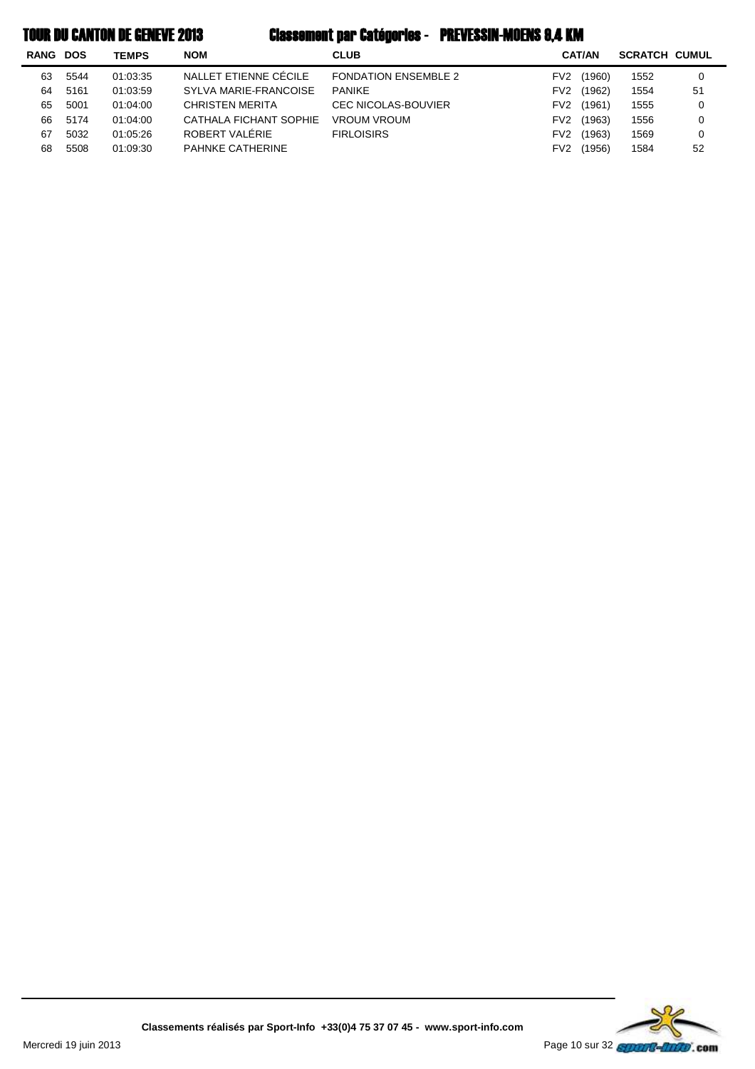|  |  | <b>TOUR DU CANTON DE GENEVE 2013</b> |  |
|--|--|--------------------------------------|--|
|--|--|--------------------------------------|--|

# Classement par Catégories - PREVESSIN-MOENS 9,4 KM

| <b>RANG</b> | <b>DOS</b> | <b>TEMPS</b> | <b>NOM</b>              | <b>CLUB</b>                 |                 | <b>CAT/AN</b> | <b>SCRATCH CUMUL</b> |    |
|-------------|------------|--------------|-------------------------|-----------------------------|-----------------|---------------|----------------------|----|
| 63          | 5544       | 01:03:35     | NALLET ETIENNE CÉCILE   | <b>FONDATION ENSEMBLE 2</b> | FV <sub>2</sub> | (1960)        | 1552                 | 0  |
| 64          | 5161       | 01:03:59     | SYLVA MARIE-FRANCOISE   | <b>PANIKE</b>               | FV <sub>2</sub> | (1962)        | 1554                 | 51 |
| 65          | 5001       | 01:04:00     | <b>CHRISTEN MERITA</b>  | <b>CEC NICOLAS-BOUVIER</b>  | FV <sub>2</sub> | (1961)        | 1555                 | 0  |
| 66          | 5174       | 01:04:00     | CATHALA FICHANT SOPHIE  | <b>VROUM VROUM</b>          | FV <sub>2</sub> | (1963)        | 1556                 | 0  |
| 67          | 5032       | 01:05:26     | ROBERT VALÉRIE          | <b>FIRLOISIRS</b>           | FV <sub>2</sub> | (1963)        | 1569                 | 0  |
| 68          | 5508       | 01:09:30     | <b>PAHNKE CATHERINE</b> |                             | FV2             | (1956)        | 1584                 | 52 |

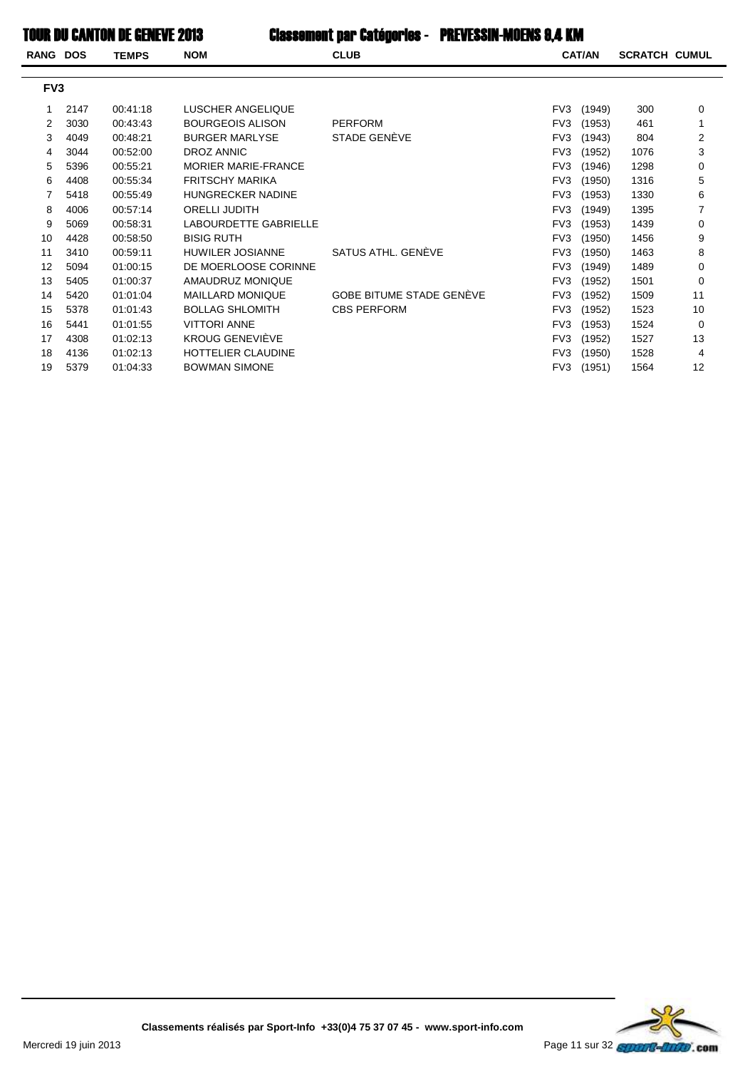### **TOUR DU CANTON DE GENEVE 2013**

| <b>RANG DOS</b> | <b>TEMPS</b> | <b>NOM</b>                 | <b>CLUB</b>                     |     |        | <b>SCRATCH CUMUL</b> |    |
|-----------------|--------------|----------------------------|---------------------------------|-----|--------|----------------------|----|
| FV <sub>3</sub> |              |                            |                                 |     |        |                      |    |
| 2147            | 00:41:18     | LUSCHER ANGELIQUE          |                                 | FV3 | (1949) | 300                  | 0  |
| 3030            | 00:43:43     | <b>BOURGEOIS ALISON</b>    | <b>PERFORM</b>                  | FV3 | (1953) | 461                  | 1  |
| 4049            | 00:48:21     | <b>BURGER MARLYSE</b>      | STADE GENEVE                    | FV3 | (1943) | 804                  | 2  |
| 3044            | 00:52:00     | DROZ ANNIC                 |                                 | FV3 | (1952) | 1076                 | 3  |
| 5396            | 00:55:21     | <b>MORIER MARIE-FRANCE</b> |                                 | FV3 | (1946) | 1298                 | 0  |
| 4408            | 00:55:34     | <b>FRITSCHY MARIKA</b>     |                                 | FV3 | (1950) | 1316                 | 5  |
| 5418            | 00:55:49     | <b>HUNGRECKER NADINE</b>   |                                 | FV3 | (1953) | 1330                 | 6  |
| 4006            | 00:57:14     | <b>ORELLI JUDITH</b>       |                                 | FV3 | (1949) | 1395                 | 7  |
| 5069            | 00:58:31     | LABOURDETTE GABRIELLE      |                                 | FV3 | (1953) | 1439                 | 0  |
| 4428            | 00:58:50     | <b>BISIG RUTH</b>          |                                 | FV3 | (1950) | 1456                 | 9  |
| 3410            | 00:59:11     | <b>HUWILER JOSIANNE</b>    | SATUS ATHL, GENEVE              | FV3 | (1950) | 1463                 | 8  |
| 5094            | 01:00:15     | DE MOERLOOSE CORINNE       |                                 | FV3 | (1949) | 1489                 | 0  |
| 5405            | 01:00:37     | AMAUDRUZ MONIQUE           |                                 | FV3 | (1952) | 1501                 | 0  |
| 5420            | 01:01:04     | <b>MAILLARD MONIQUE</b>    | <b>GOBE BITUME STADE GENEVE</b> | FV3 | (1952) | 1509                 | 11 |
| 5378            | 01:01:43     | <b>BOLLAG SHLOMITH</b>     | <b>CBS PERFORM</b>              | FV3 | (1952) | 1523                 | 10 |
| 5441            | 01:01:55     | <b>VITTORI ANNE</b>        |                                 | FV3 | (1953) | 1524                 | 0  |
| 4308            | 01:02:13     | <b>KROUG GENEVIEVE</b>     |                                 | FV3 | (1952) | 1527                 | 13 |
| 4136            | 01:02:13     | <b>HOTTELIER CLAUDINE</b>  |                                 | FV3 | (1950) | 1528                 | 4  |
| 5379            | 01:04:33     | <b>BOWMAN SIMONE</b>       |                                 |     | (1951) | 1564                 | 12 |
|                 |              |                            |                                 |     |        | <b>CAT/AN</b><br>FV3 |    |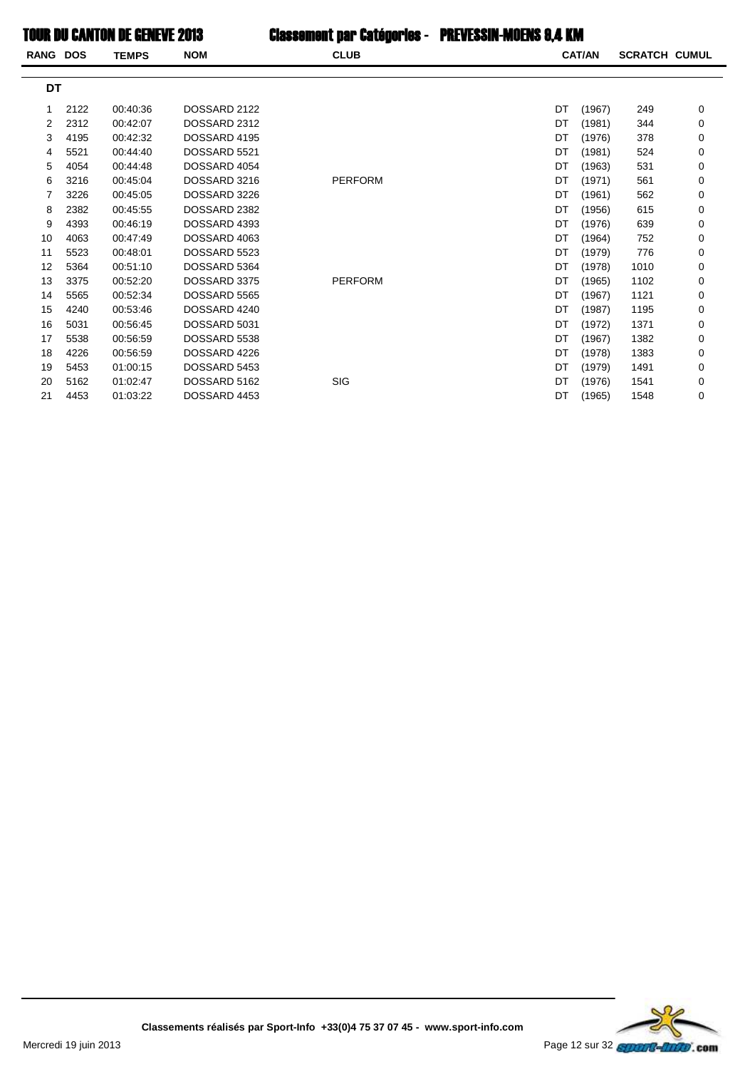TOUR DU CANTON DE GENEVE 2013 Classement par Catégories - PREVESSIN-MOENS 8,4 KM

| <b>RANG DOS</b> |      | <b>TEMPS</b> | <b>NOM</b>   | <b>CLUB</b>    |    | <b>CAT/AN</b> | <b>SCRATCH CUMUL</b> |   |
|-----------------|------|--------------|--------------|----------------|----|---------------|----------------------|---|
| DT              |      |              |              |                |    |               |                      |   |
| 1               | 2122 | 00:40:36     | DOSSARD 2122 |                | DT | (1967)        | 249                  | 0 |
| 2               | 2312 | 00:42:07     | DOSSARD 2312 |                | DT | (1981)        | 344                  | 0 |
| 3               | 4195 | 00:42:32     | DOSSARD 4195 |                | DT | (1976)        | 378                  | 0 |
| 4               | 5521 | 00:44:40     | DOSSARD 5521 |                | DT | (1981)        | 524                  | 0 |
| 5               | 4054 | 00:44:48     | DOSSARD 4054 |                | DT | (1963)        | 531                  | 0 |
| 6               | 3216 | 00:45:04     | DOSSARD 3216 | <b>PERFORM</b> | DT | (1971)        | 561                  | 0 |
| 7               | 3226 | 00:45:05     | DOSSARD 3226 |                | DT | (1961)        | 562                  | 0 |
| 8               | 2382 | 00:45:55     | DOSSARD 2382 |                | DT | (1956)        | 615                  | 0 |
| 9               | 4393 | 00:46:19     | DOSSARD 4393 |                | DT | (1976)        | 639                  | 0 |
| 10              | 4063 | 00:47:49     | DOSSARD 4063 |                | DT | (1964)        | 752                  | 0 |
| 11              | 5523 | 00:48:01     | DOSSARD 5523 |                | DT | (1979)        | 776                  | 0 |
| 12              | 5364 | 00:51:10     | DOSSARD 5364 |                | DT | (1978)        | 1010                 | 0 |
| 13              | 3375 | 00:52:20     | DOSSARD 3375 | <b>PERFORM</b> | DT | (1965)        | 1102                 | 0 |
| 14              | 5565 | 00:52:34     | DOSSARD 5565 |                | DT | (1967)        | 1121                 | 0 |
| 15              | 4240 | 00:53:46     | DOSSARD 4240 |                | DT | (1987)        | 1195                 | 0 |
| 16              | 5031 | 00:56:45     | DOSSARD 5031 |                | DT | (1972)        | 1371                 | 0 |
| 17              | 5538 | 00:56:59     | DOSSARD 5538 |                | DT | (1967)        | 1382                 | 0 |
| 18              | 4226 | 00:56:59     | DOSSARD 4226 |                | DT | (1978)        | 1383                 | 0 |
| 19              | 5453 | 01:00:15     | DOSSARD 5453 |                | DT | (1979)        | 1491                 | 0 |
| 20              | 5162 | 01:02:47     | DOSSARD 5162 | SIG            | DT | (1976)        | 1541                 | 0 |
| 21              | 4453 | 01:03:22     | DOSSARD 4453 |                | DT | (1965)        | 1548                 | 0 |

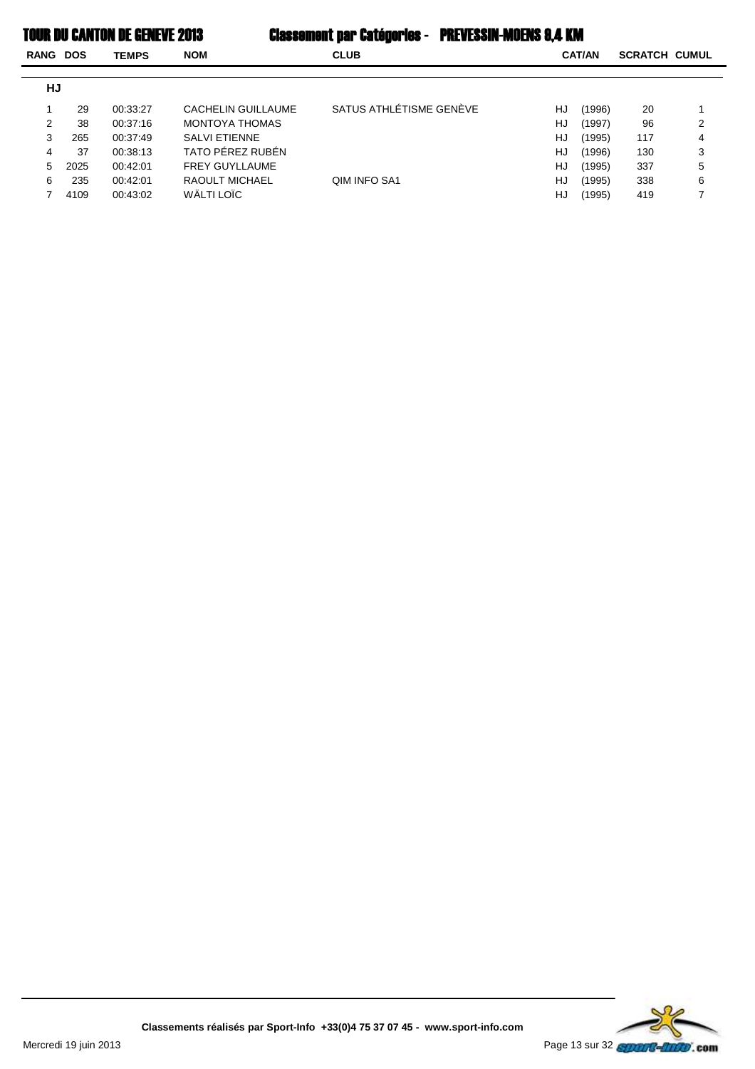| RANG | <b>CLUB</b><br><b>NOM</b><br><b>DOS</b><br><b>TEMPS</b> |          |                       |                         | <b>CAT/AN</b><br><b>SCRATCH CUMUL</b> |        |     |   |
|------|---------------------------------------------------------|----------|-----------------------|-------------------------|---------------------------------------|--------|-----|---|
| HJ   |                                                         |          |                       |                         |                                       |        |     |   |
|      | 29                                                      | 00:33:27 | CACHELIN GUILLAUME    | SATUS ATHLÉTISME GENÈVE | HJ                                    | (1996) | 20  |   |
| 2    | 38                                                      | 00:37:16 | MONTOYA THOMAS        |                         | HJ                                    | (1997) | 96  | 2 |
| 3    | 265                                                     | 00:37:49 | <b>SALVI ETIENNE</b>  |                         | HJ                                    | (1995) | 117 | 4 |
| 4    | 37                                                      | 00:38:13 | TATO PÉREZ RUBÉN      |                         | HJ                                    | (1996) | 130 | 3 |
| 5    | 2025                                                    | 00:42:01 | <b>FREY GUYLLAUME</b> |                         | HJ                                    | (1995) | 337 | 5 |
| 6    | 235                                                     | 00:42:01 | RAOULT MICHAEL        | QIM INFO SA1            | HJ                                    | (1995) | 338 | 6 |
|      | 4109                                                    | 00:43:02 | WÄLTI LOÏC            |                         | HJ                                    | (1995) | 419 |   |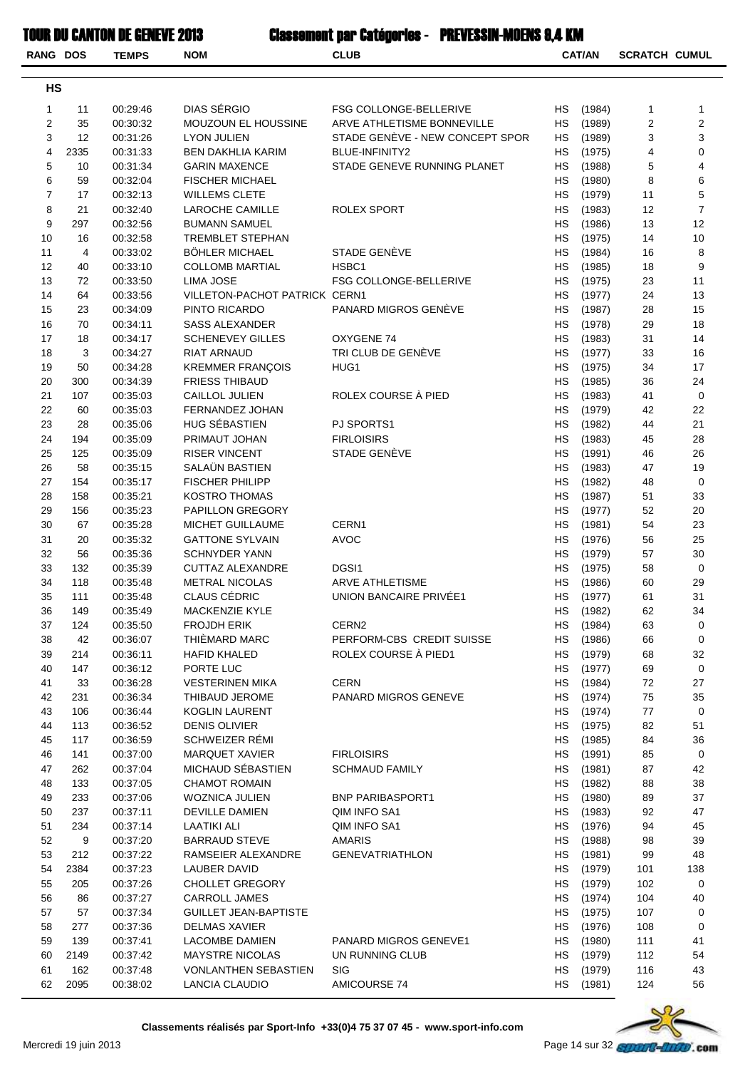| <b>RANG DOS</b> |           | <b>TEMPS</b>         | <b>NOM</b>                                           | <b>CLUB</b>                     |                        | <b>CAT/AN</b>    | <b>SCRATCH CUMUL</b> |                |
|-----------------|-----------|----------------------|------------------------------------------------------|---------------------------------|------------------------|------------------|----------------------|----------------|
|                 |           |                      |                                                      |                                 |                        |                  |                      |                |
| <b>HS</b>       |           |                      |                                                      |                                 |                        |                  |                      |                |
| 1               | 11        | 00:29:46             | DIAS SÉRGIO                                          | FSG COLLONGE-BELLERIVE          | <b>HS</b>              | (1984)           | 1                    | 1              |
| 2               | 35        | 00:30:32             | MOUZOUN EL HOUSSINE                                  | ARVE ATHLETISME BONNEVILLE      | <b>HS</b>              | (1989)           | 2                    | $\sqrt{2}$     |
| 3               | 12        | 00:31:26             | <b>LYON JULIEN</b>                                   | STADE GENÈVE - NEW CONCEPT SPOR | <b>HS</b>              | (1989)           | 3                    | 3              |
| 4               | 2335      | 00:31:33             | <b>BEN DAKHLIA KARIM</b>                             | BLUE-INFINITY2                  | <b>HS</b>              | (1975)           | 4                    | $\mathbf 0$    |
| 5               | 10        | 00:31:34             | <b>GARIN MAXENCE</b>                                 | STADE GENEVE RUNNING PLANET     | НS                     | (1988)           | 5                    | 4              |
| 6               | 59        | 00:32:04             | <b>FISCHER MICHAEL</b>                               |                                 | <b>HS</b>              | (1980)           | 8                    | 6              |
| $\overline{7}$  | 17        | 00:32:13             | <b>WILLEMS CLETE</b>                                 |                                 | <b>HS</b>              | (1979)           | 11                   | 5              |
| 8               | 21        | 00:32:40             | <b>LAROCHE CAMILLE</b>                               | ROLEX SPORT                     | <b>HS</b>              | (1983)           | 12                   | $\overline{7}$ |
| 9               | 297       | 00:32:56             | <b>BUMANN SAMUEL</b>                                 |                                 | <b>HS</b>              | (1986)           | 13                   | 12             |
| 10              | 16        | 00:32:58             | <b>TREMBLET STEPHAN</b>                              |                                 | <b>HS</b>              | (1975)           | 14                   | 10             |
| 11              | 4         | 00:33:02             | <b>BÖHLER MICHAEL</b>                                | STADE GENÈVE                    | HS                     | (1984)           | 16                   | 8              |
| 12              | 40        | 00:33:10             | <b>COLLOMB MARTIAL</b>                               | HSBC1                           | НS                     | (1985)           | 18                   | 9              |
| 13              | 72        | 00:33:50             | <b>LIMA JOSE</b>                                     | FSG COLLONGE-BELLERIVE          | <b>HS</b>              | (1975)           | 23                   | 11             |
| 14              | 64        | 00:33:56             | VILLETON-PACHOT PATRICK CERN1<br>PINTO RICARDO       | PANARD MIGROS GENÈVE            | НS<br><b>HS</b>        | (1977)           | 24                   | 13             |
| 15<br>16        | 23<br>70  | 00:34:09<br>00:34:11 | <b>SASS ALEXANDER</b>                                |                                 | НS                     | (1987)<br>(1978) | 28<br>29             | 15<br>18       |
| 17              | 18        | 00:34:17             | <b>SCHENEVEY GILLES</b>                              | OXYGENE 74                      | <b>HS</b>              | (1983)           | 31                   | 14             |
| 18              | 3         | 00:34:27             | <b>RIAT ARNAUD</b>                                   | TRI CLUB DE GENÈVE              | <b>HS</b>              | (1977)           | 33                   | 16             |
| 19              | 50        | 00:34:28             | <b>KREMMER FRANÇOIS</b>                              | HUG1                            | <b>HS</b>              | (1975)           | 34                   | 17             |
| 20              | 300       | 00:34:39             | <b>FRIESS THIBAUD</b>                                |                                 | <b>HS</b>              | (1985)           | 36                   | 24             |
| 21              | 107       | 00:35:03             | CAILLOL JULIEN                                       | ROLEX COURSE À PIED             | <b>HS</b>              | (1983)           | 41                   | 0              |
| 22              | 60        | 00:35:03             | FERNANDEZ JOHAN                                      |                                 | НS                     | (1979)           | 42                   | 22             |
| 23              | 28        | 00:35:06             | HUG SÉBASTIEN                                        | PJ SPORTS1                      | НS                     | (1982)           | 44                   | 21             |
| 24              | 194       | 00:35:09             | PRIMAUT JOHAN                                        | <b>FIRLOISIRS</b>               | <b>HS</b>              | (1983)           | 45                   | 28             |
| 25              | 125       | 00:35:09             | <b>RISER VINCENT</b>                                 | STADE GENÈVE                    | <b>HS</b>              | (1991)           | 46                   | 26             |
| 26              | 58        | 00:35:15             | SALAÜN BASTIEN                                       |                                 | <b>HS</b>              | (1983)           | 47                   | 19             |
| 27              | 154       | 00:35:17             | <b>FISCHER PHILIPP</b>                               |                                 | <b>HS</b>              | (1982)           | 48                   | 0              |
| 28              | 158       | 00:35:21             | <b>KOSTRO THOMAS</b>                                 |                                 | <b>HS</b>              | (1987)           | 51                   | 33             |
| 29              | 156       | 00:35:23             | PAPILLON GREGORY                                     |                                 | НS                     | (1977)           | 52                   | 20             |
| 30              | 67        | 00:35:28             | MICHET GUILLAUME                                     | CERN1                           | НS                     | (1981)           | 54                   | 23             |
| 31              | 20        | 00:35:32             | <b>GATTONE SYLVAIN</b>                               | <b>AVOC</b>                     | НS                     | (1976)           | 56                   | 25             |
| 32              | 56        | 00:35:36             | <b>SCHNYDER YANN</b>                                 |                                 | <b>HS</b>              | (1979)           | 57                   | 30             |
| 33              | 132       | 00:35:39             | <b>CUTTAZ ALEXANDRE</b>                              | DGSI1                           | НS                     | (1975)           | 58                   | 0              |
| 34              | 118       | 00:35:48             | <b>METRAL NICOLAS</b>                                | <b>ARVE ATHLETISME</b>          | <b>HS</b>              | (1986)           | 60                   | 29             |
| 35              | 111       | 00:35:48             | <b>CLAUS CÉDRIC</b><br>MACKENZIE KYLE                | UNION BANCAIRE PRIVÉE1          | <b>HS</b><br><b>HS</b> | (1977)           | 61                   | 31             |
| 36<br>37        | 149       | 00:35:49             | <b>FROJDH ERIK</b>                                   | CERN <sub>2</sub>               | HS                     | (1982)           | 62                   | 34<br>0        |
| 38              | 124<br>42 | 00:35:50<br>00:36:07 | THIÈMARD MARC                                        | PERFORM-CBS CREDIT SUISSE       | НS                     | (1984)<br>(1986) | 63<br>66             | 0              |
| 39              | 214       | 00:36:11             | <b>HAFID KHALED</b>                                  | ROLEX COURSE À PIED1            | НS                     | (1979)           | 68                   | 32             |
| 40              | 147       | 00:36:12             | PORTE LUC                                            |                                 | НS                     | (1977)           | 69                   | 0              |
| 41              | 33        | 00:36:28             | <b>VESTERINEN MIKA</b>                               | <b>CERN</b>                     | HS                     | (1984)           | 72                   | 27             |
| 42              | 231       | 00:36:34             | THIBAUD JEROME                                       | PANARD MIGROS GENEVE            | НS                     | (1974)           | 75                   | 35             |
| 43              | 106       | 00:36:44             | <b>KOGLIN LAURENT</b>                                |                                 | <b>HS</b>              | (1974)           | 77                   | 0              |
| 44              | 113       | 00:36:52             | <b>DENIS OLIVIER</b>                                 |                                 | HS                     | (1975)           | 82                   | 51             |
| 45              | 117       | 00:36:59             | SCHWEIZER RÉMI                                       |                                 | <b>HS</b>              | (1985)           | 84                   | 36             |
| 46              | 141       | 00:37:00             | <b>MARQUET XAVIER</b>                                | <b>FIRLOISIRS</b>               | HS                     | (1991)           | 85                   | 0              |
| 47              | 262       | 00:37:04             | MICHAUD SÉBASTIEN                                    | <b>SCHMAUD FAMILY</b>           | НS                     | (1981)           | 87                   | 42             |
| 48              | 133       | 00:37:05             | <b>CHAMOT ROMAIN</b>                                 |                                 | HS                     | (1982)           | 88                   | 38             |
| 49              | 233       | 00:37:06             | <b>WOZNICA JULIEN</b>                                | <b>BNP PARIBASPORT1</b>         | НS                     | (1980)           | 89                   | 37             |
| 50              | 237       | 00:37:11             | DEVILLE DAMIEN                                       | QIM INFO SA1                    | HS                     | (1983)           | 92                   | 47             |
| 51              | 234       | 00:37:14             | LAATIKI ALI                                          | QIM INFO SA1                    | НS                     | (1976)           | 94                   | 45             |
| 52              | 9         | 00:37:20             | <b>BARRAUD STEVE</b>                                 | <b>AMARIS</b>                   | НS                     | (1988)           | 98                   | 39             |
| 53              | 212       | 00:37:22             | RAMSEIER ALEXANDRE                                   | <b>GENEVATRIATHLON</b>          | НS                     | (1981)           | 99                   | 48             |
| 54              | 2384      | 00:37:23             | <b>LAUBER DAVID</b>                                  |                                 | HS                     | (1979)           | 101                  | 138            |
| 55              | 205       | 00:37:26             | <b>CHOLLET GREGORY</b>                               |                                 | НS                     | (1979)           | 102                  | 0              |
| 56<br>57        | 86<br>57  | 00:37:27<br>00:37:34 | <b>CARROLL JAMES</b><br><b>GUILLET JEAN-BAPTISTE</b> |                                 | НS<br>НS               | (1974)<br>(1975) | 104<br>107           | 40<br>0        |
| 58              | 277       | 00:37:36             | <b>DELMAS XAVIER</b>                                 |                                 | HS                     | (1976)           | 108                  | 0              |
| 59              | 139       | 00:37:41             | <b>LACOMBE DAMIEN</b>                                | PANARD MIGROS GENEVE1           | HS                     | (1980)           | 111                  | 41             |
| 60              | 2149      | 00:37:42             | <b>MAYSTRE NICOLAS</b>                               | UN RUNNING CLUB                 | <b>HS</b>              | (1979)           | 112                  | 54             |
| 61              | 162       | 00:37:48             | <b>VONLANTHEN SEBASTIEN</b>                          | <b>SIG</b>                      | HS.                    | (1979)           | 116                  | 43             |
| 62              | 2095      | 00:38:02             | LANCIA CLAUDIO                                       | AMICOURSE 74                    | HS                     | (1981)           | 124                  | 56             |
|                 |           |                      |                                                      |                                 |                        |                  |                      |                |

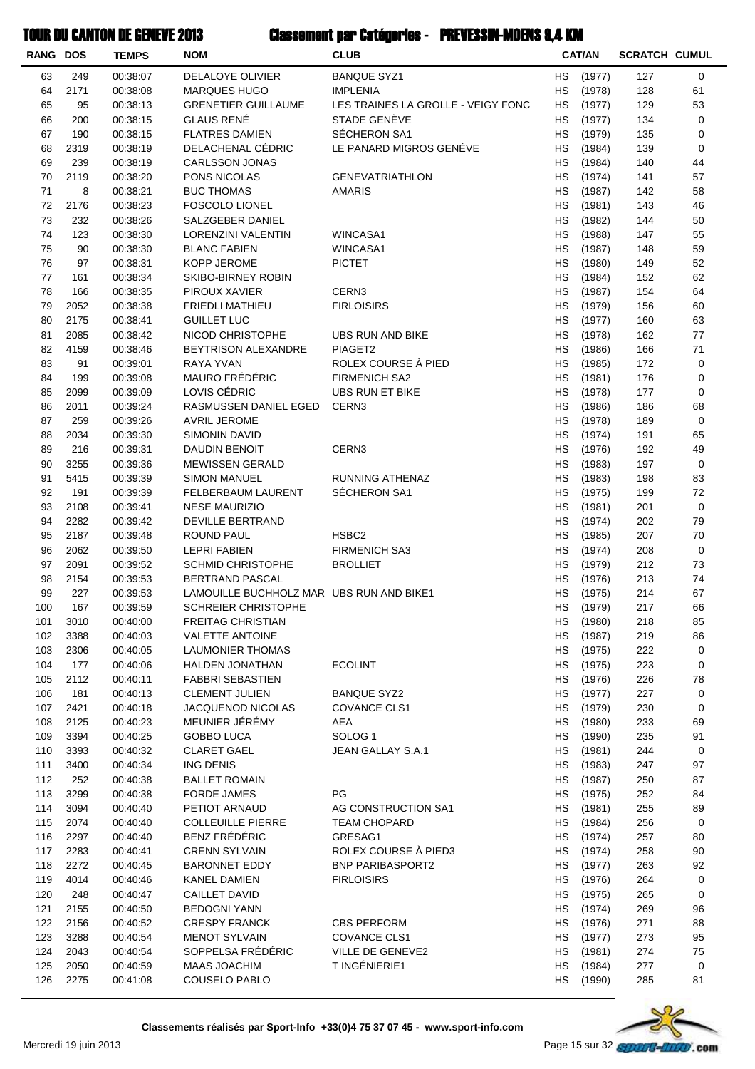| <b>RANG DOS</b> |              | <b>TEMPS</b>         | <b>NOM</b>                                                         | <b>CLUB</b>                               |                        | <b>CAT/AN</b>    | <b>SCRATCH CUMUL</b> |             |
|-----------------|--------------|----------------------|--------------------------------------------------------------------|-------------------------------------------|------------------------|------------------|----------------------|-------------|
| 63              | 249          | 00:38:07             | <b>DELALOYE OLIVIER</b>                                            | <b>BANQUE SYZ1</b>                        | <b>HS</b>              | (1977)           | 127                  | $\mathbf 0$ |
| 64              | 2171         | 00:38:08             | <b>MARQUES HUGO</b>                                                | <b>IMPLENIA</b>                           | <b>HS</b>              | (1978)           | 128                  | 61          |
| 65              | 95           | 00:38:13             | <b>GRENETIER GUILLAUME</b>                                         | LES TRAINES LA GROLLE - VEIGY FONC        | <b>HS</b>              | (1977)           | 129                  | 53          |
| 66              | 200          | 00:38:15             | <b>GLAUS RENÉ</b>                                                  | STADE GENÈVE                              | НS                     | (1977)           | 134                  | 0           |
| 67              | 190          | 00:38:15             | <b>FLATRES DAMIEN</b>                                              | SÉCHERON SA1                              | <b>HS</b>              | (1979)           | 135                  | 0           |
| 68              | 2319         | 00:38:19             | DELACHENAL CÉDRIC                                                  | LE PANARD MIGROS GENÉVE                   | НS                     | (1984)           | 139                  | 0           |
| 69              | 239          | 00:38:19             | <b>CARLSSON JONAS</b>                                              |                                           | НS                     | (1984)           | 140                  | 44          |
| 70              | 2119         | 00:38:20             | PONS NICOLAS                                                       | <b>GENEVATRIATHLON</b>                    | <b>HS</b>              | (1974)           | 141                  | 57          |
| 71              | 8            | 00:38:21             | <b>BUC THOMAS</b>                                                  | <b>AMARIS</b>                             | <b>HS</b>              | (1987)           | 142                  | 58          |
| 72              | 2176         | 00:38:23             | <b>FOSCOLO LIONEL</b>                                              |                                           | <b>HS</b>              | (1981)           | 143                  | 46          |
| 73<br>74        | 232<br>123   | 00:38:26             | SALZGEBER DANIEL                                                   |                                           | <b>HS</b>              | (1982)           | 144                  | 50          |
| 75              | 90           | 00:38:30<br>00:38:30 | LORENZINI VALENTIN<br><b>BLANC FABIEN</b>                          | WINCASA1<br>WINCASA1                      | HS<br>НS               | (1988)<br>(1987) | 147<br>148           | 55<br>59    |
| 76              | 97           | 00:38:31             | KOPP JEROME                                                        | <b>PICTET</b>                             | НS                     | (1980)           | 149                  | 52          |
| 77              | 161          | 00:38:34             | SKIBO-BIRNEY ROBIN                                                 |                                           | НS                     | (1984)           | 152                  | 62          |
| 78              | 166          | 00:38:35             | PIROUX XAVIER                                                      | CERN3                                     | <b>HS</b>              | (1987)           | 154                  | 64          |
| 79              | 2052         | 00:38:38             | <b>FRIEDLI MATHIEU</b>                                             | <b>FIRLOISIRS</b>                         | НS                     | (1979)           | 156                  | 60          |
| 80              | 2175         | 00:38:41             | <b>GUILLET LUC</b>                                                 |                                           | <b>HS</b>              | (1977)           | 160                  | 63          |
| 81              | 2085         | 00:38:42             | NICOD CHRISTOPHE                                                   | <b>UBS RUN AND BIKE</b>                   | <b>HS</b>              | (1978)           | 162                  | 77          |
| 82              | 4159         | 00:38:46             | <b>BEYTRISON ALEXANDRE</b>                                         | PIAGET2                                   | <b>HS</b>              | (1986)           | 166                  | 71          |
| 83              | 91           | 00:39:01             | RAYA YVAN                                                          | ROLEX COURSE À PIED                       | НS                     | (1985)           | 172                  | 0           |
| 84              | 199          | 00:39:08             | MAURO FRÉDÉRIC                                                     | <b>FIRMENICH SA2</b>                      | НS                     | (1981)           | 176                  | $\pmb{0}$   |
| 85              | 2099         | 00:39:09             | LOVIS CÉDRIC                                                       | <b>UBS RUN ET BIKE</b>                    | НS                     | (1978)           | 177                  | 0           |
| 86              | 2011         | 00:39:24             | RASMUSSEN DANIEL EGED                                              | CERN3                                     | НS                     | (1986)           | 186                  | 68          |
| 87              | 259          | 00:39:26             | <b>AVRIL JEROME</b>                                                |                                           | <b>HS</b>              | (1978)           | 189                  | $\pmb{0}$   |
| 88              | 2034         | 00:39:30             | <b>SIMONIN DAVID</b>                                               |                                           | <b>HS</b>              | (1974)           | 191                  | 65          |
| 89              | 216          | 00:39:31             | DAUDIN BENOIT                                                      | CERN3                                     | <b>HS</b>              | (1976)           | 192                  | 49          |
| 90              | 3255         | 00:39:36             | <b>MEWISSEN GERALD</b>                                             |                                           | <b>HS</b>              | (1983)           | 197                  | $\pmb{0}$   |
| 91              | 5415         | 00:39:39             | <b>SIMON MANUEL</b>                                                | <b>RUNNING ATHENAZ</b>                    | <b>HS</b>              | (1983)           | 198                  | 83          |
| 92              | 191          | 00:39:39             | FELBERBAUM LAURENT                                                 | SÉCHERON SA1                              | НS                     | (1975)           | 199                  | 72          |
| 93              | 2108         | 00:39:41             | <b>NESE MAURIZIO</b>                                               |                                           | НS                     | (1981)           | 201                  | 0           |
| 94              | 2282         | 00:39:42             | DEVILLE BERTRAND                                                   |                                           | НS                     | (1974)           | 202                  | 79          |
| 95              | 2187         | 00:39:48             | ROUND PAUL                                                         | HSBC <sub>2</sub>                         | <b>HS</b>              | (1985)           | 207                  | 70          |
| 96              | 2062         | 00:39:50             | <b>LEPRI FABIEN</b>                                                | <b>FIRMENICH SA3</b>                      | HS                     | (1974)           | 208                  | 0           |
| 97<br>98        | 2091         | 00:39:52             | <b>SCHMID CHRISTOPHE</b>                                           | <b>BROLLIET</b>                           | <b>HS</b><br><b>HS</b> | (1979)           | 212                  | 73          |
| 99              | 2154<br>227  | 00:39:53             | <b>BERTRAND PASCAL</b><br>LAMOUILLE BUCHHOLZ MAR UBS RUN AND BIKE1 |                                           | <b>HS</b>              | (1976)<br>(1975) | 213<br>214           | 74<br>67    |
| 100             | 167          | 00:39:53<br>00:39:59 | SCHREIER CHRISTOPHE                                                |                                           |                        | HS (1979)        | 217                  | 66          |
| 101             | 3010         | 00:40:00             | <b>FREITAG CHRISTIAN</b>                                           |                                           | HS.                    | (1980)           | 218                  | 85          |
| 102             | 3388         | 00:40:03             | <b>VALETTE ANTOINE</b>                                             |                                           | HS.                    | (1987)           | 219                  | 86          |
| 103             | 2306         | 00:40:05             | LAUMONIER THOMAS                                                   |                                           | HS                     | (1975)           | 222                  | 0           |
| 104             | 177          | 00:40:06             | <b>HALDEN JONATHAN</b>                                             | <b>ECOLINT</b>                            | HS                     | (1975)           | 223                  | 0           |
| 105             | 2112         | 00:40:11             | <b>FABBRI SEBASTIEN</b>                                            |                                           | НS                     | (1976)           | 226                  | 78          |
| 106             | 181          | 00:40:13             | <b>CLEMENT JULIEN</b>                                              | <b>BANQUE SYZ2</b>                        | <b>HS</b>              | (1977)           | 227                  | 0           |
| 107             | 2421         | 00:40:18             | JACQUENOD NICOLAS                                                  | COVANCE CLS1                              | <b>HS</b>              | (1979)           | 230                  | 0           |
| 108             | 2125         | 00:40:23             | MEUNIER JÉRÉMY                                                     | AEA                                       | <b>HS</b>              | (1980)           | 233                  | 69          |
| 109             | 3394         | 00:40:25             | <b>GOBBO LUCA</b>                                                  | SOLOG <sub>1</sub>                        | HS.                    | (1990)           | 235                  | 91          |
| 110             | 3393         | 00:40:32             | <b>CLARET GAEL</b>                                                 | JEAN GALLAY S.A.1                         | HS.                    | (1981)           | 244                  | 0           |
| 111             | 3400         | 00:40:34             | ING DENIS                                                          |                                           | HS.                    | (1983)           | 247                  | 97          |
| 112             | 252          | 00:40:38             | <b>BALLET ROMAIN</b>                                               |                                           | HS                     | (1987)           | 250                  | 87          |
| 113             | 3299         | 00:40:38             | <b>FORDE JAMES</b>                                                 | PG                                        | HS.                    | (1975)           | 252                  | 84          |
| 114             | 3094         | 00:40:40             | PETIOT ARNAUD                                                      | AG CONSTRUCTION SA1                       | НS                     | (1981)           | 255                  | 89          |
| 115             | 2074         | 00:40:40             | <b>COLLEUILLE PIERRE</b>                                           | <b>TEAM CHOPARD</b>                       | HS                     | (1984)           | 256                  | 0           |
| 116             | 2297         | 00:40:40             | <b>BENZ FRÉDÉRIC</b>                                               | GRESAG1                                   | HS.                    | (1974)           | 257                  | 80          |
| 117             | 2283         | 00:40:41             | <b>CRENN SYLVAIN</b>                                               | ROLEX COURSE À PIED3                      | HS.                    | (1974)           | 258                  | 90          |
| 118             | 2272         | 00:40:45             | <b>BARONNET EDDY</b>                                               | <b>BNP PARIBASPORT2</b>                   | НS                     | (1977)           | 263                  | 92          |
| 119             | 4014         | 00:40:46             | KANEL DAMIEN                                                       | <b>FIRLOISIRS</b>                         | НS                     | (1976)           | 264                  | 0           |
| 120             | 248          | 00:40:47             | <b>CAILLET DAVID</b>                                               |                                           | НS                     | (1975)           | 265                  | 0           |
| 121             | 2155         | 00:40:50             | <b>BEDOGNI YANN</b>                                                |                                           | HS                     | (1974)           | 269                  | 96          |
| 122<br>123      | 2156<br>3288 | 00:40:52<br>00:40:54 | <b>CRESPY FRANCK</b><br><b>MENOT SYLVAIN</b>                       | <b>CBS PERFORM</b><br><b>COVANCE CLS1</b> | HS<br><b>HS</b>        | (1976)<br>(1977) | 271<br>273           | 88<br>95    |
| 124             | 2043         | 00:40:54             | SOPPELSA FRÉDÉRIC                                                  | VILLE DE GENEVE2                          | HS                     | (1981)           | 274                  | 75          |
| 125             | 2050         | 00:40:59             | <b>MAAS JOACHIM</b>                                                | T INGÉNIERIE1                             | HS                     | (1984)           | 277                  | 0           |
| 126             | 2275         | 00:41:08             | <b>COUSELO PABLO</b>                                               |                                           | HS                     | (1990)           | 285                  | 81          |
|                 |              |                      |                                                                    |                                           |                        |                  |                      |             |

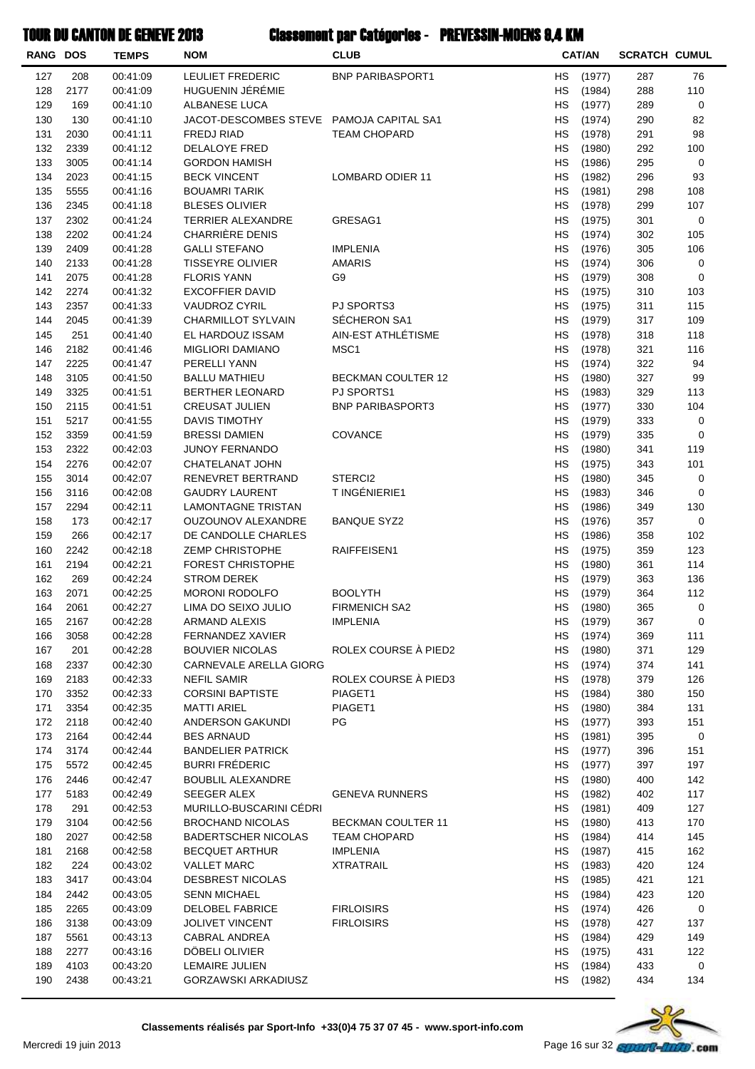| RANG DOS   |              | <b>TEMPS</b>         | <b>NOM</b>                                    | <b>CLUB</b>               |           | <b>CAT/AN</b>    | <b>SCRATCH CUMUL</b> |             |
|------------|--------------|----------------------|-----------------------------------------------|---------------------------|-----------|------------------|----------------------|-------------|
| 127        | 208          | 00:41:09             | <b>LEULIET FREDERIC</b>                       | <b>BNP PARIBASPORT1</b>   | НS        | (1977)           | 287                  | 76          |
| 128        | 2177         | 00:41:09             | HUGUENIN JÉRÉMIE                              |                           | HS        | (1984)           | 288                  | 110         |
| 129        | 169          | 00:41:10             | ALBANESE LUCA                                 |                           | HS        | (1977)           | 289                  | 0           |
| 130        | 130          | 00:41:10             | JACOT-DESCOMBES STEVE PAMOJA CAPITAL SA1      |                           | HS        | (1974)           | 290                  | 82          |
| 131        | 2030         | 00:41:11             | FREDJ RIAD                                    | <b>TEAM CHOPARD</b>       | HS        | (1978)           | 291                  | 98          |
| 132        | 2339         | 00:41:12             | DELALOYE FRED                                 |                           | HS        | (1980)           | 292                  | 100         |
| 133        | 3005         | 00:41:14             | <b>GORDON HAMISH</b>                          |                           | HS        | (1986)           | 295                  | 0           |
| 134        | 2023         | 00:41:15             | <b>BECK VINCENT</b>                           | LOMBARD ODIER 11          | <b>HS</b> | (1982)           | 296                  | 93          |
| 135        | 5555         | 00:41:16             | <b>BOUAMRI TARIK</b>                          |                           | HS        | (1981)           | 298                  | 108         |
| 136        | 2345         | 00:41:18             | <b>BLESES OLIVIER</b>                         |                           | HS        | (1978)           | 299                  | 107         |
| 137<br>138 | 2302<br>2202 | 00:41:24<br>00:41:24 | <b>TERRIER ALEXANDRE</b><br>CHARRIÈRE DENIS   | GRESAG1                   | HS<br>HS  | (1975)<br>(1974) | 301<br>302           | 0<br>105    |
| 139        | 2409         | 00:41:28             | <b>GALLI STEFANO</b>                          | <b>IMPLENIA</b>           | HS        | (1976)           | 305                  | 106         |
| 140        | 2133         | 00:41:28             | <b>TISSEYRE OLIVIER</b>                       | <b>AMARIS</b>             | HS        | (1974)           | 306                  | 0           |
| 141        | 2075         | 00:41:28             | <b>FLORIS YANN</b>                            | G9                        | HS        | (1979)           | 308                  | 0           |
| 142        | 2274         | 00:41:32             | <b>EXCOFFIER DAVID</b>                        |                           | HS        | (1975)           | 310                  | 103         |
| 143        | 2357         | 00:41:33             | <b>VAUDROZ CYRIL</b>                          | PJ SPORTS3                | HS        | (1975)           | 311                  | 115         |
| 144        | 2045         | 00:41:39             | <b>CHARMILLOT SYLVAIN</b>                     | SÉCHERON SA1              | HS        | (1979)           | 317                  | 109         |
| 145        | 251          | 00:41:40             | EL HARDOUZ ISSAM                              | AIN-EST ATHLÉTISME        | HS        | (1978)           | 318                  | 118         |
| 146        | 2182         | 00:41:46             | <b>MIGLIORI DAMIANO</b>                       | MSC1                      | HS        | (1978)           | 321                  | 116         |
| 147        | 2225         | 00:41:47             | PERELLI YANN                                  |                           | HS        | (1974)           | 322                  | 94          |
| 148        | 3105         | 00:41:50             | <b>BALLU MATHIEU</b>                          | <b>BECKMAN COULTER 12</b> | HS        | (1980)           | 327                  | 99          |
| 149        | 3325         | 00:41:51             | <b>BERTHER LEONARD</b>                        | PJ SPORTS1                | HS        | (1983)           | 329                  | 113         |
| 150        | 2115         | 00:41:51             | <b>CREUSAT JULIEN</b>                         | <b>BNP PARIBASPORT3</b>   | HS        | (1977)           | 330                  | 104         |
| 151        | 5217         | 00:41:55             | DAVIS TIMOTHY                                 |                           | <b>HS</b> | (1979)           | 333                  | 0           |
| 152        | 3359         | 00:41:59             | <b>BRESSI DAMIEN</b>                          | <b>COVANCE</b>            | HS        | (1979)           | 335                  | 0           |
| 153        | 2322         | 00:42:03             | <b>JUNOY FERNANDO</b>                         |                           | HS        | (1980)           | 341                  | 119         |
| 154        | 2276         | 00:42:07             | CHATELANAT JOHN                               |                           | HS        | (1975)           | 343                  | 101         |
| 155        | 3014         | 00:42:07             | RENEVRET BERTRAND                             | STERCI <sub>2</sub>       | HS        | (1980)           | 345                  | 0           |
| 156<br>157 | 3116<br>2294 | 00:42:08             | <b>GAUDRY LAURENT</b><br>LAMONTAGNE TRISTAN   | T INGÉNIERIE1             | HS<br>HS  | (1983)<br>(1986) | 346<br>349           | 0<br>130    |
| 158        | 173          | 00:42:11<br>00:42:17 | OUZOUNOV ALEXANDRE                            | <b>BANQUE SYZ2</b>        | HS        | (1976)           | 357                  | 0           |
| 159        | 266          | 00:42:17             | DE CANDOLLE CHARLES                           |                           | HS        | (1986)           | 358                  | 102         |
| 160        | 2242         | 00:42:18             | ZEMP CHRISTOPHE                               | RAIFFEISEN1               | HS        | (1975)           | 359                  | 123         |
| 161        | 2194         | 00:42:21             | <b>FOREST CHRISTOPHE</b>                      |                           | HS        | (1980)           | 361                  | 114         |
| 162        | 269          | 00:42:24             | <b>STROM DEREK</b>                            |                           | HS        | (1979)           | 363                  | 136         |
| 163        | 2071         | 00:42:25             | <b>MORONI RODOLFO</b>                         | <b>BOOLYTH</b>            | HS        | (1979)           | 364                  | 112         |
| 164        | 2061         | 00:42:27             | LIMA DO SEIXO JULIO                           | <b>FIRMENICH SA2</b>      | HS        | (1980)           | 365                  | 0           |
| 165        | 2167         | 00:42:28             | ARMAND ALEXIS                                 | <b>IMPLENIA</b>           | НS        | (1979)           | 367                  | 0           |
| 166        | 3058         | 00:42:28             | FERNANDEZ XAVIER                              |                           | <b>HS</b> | (1974)           | 369                  | 111         |
| 167        | 201          | 00:42:28             | <b>BOUVIER NICOLAS</b>                        | ROLEX COURSE À PIED2      | HS        | (1980)           | 371                  | 129         |
| 168        | 2337         | 00:42:30             | CARNEVALE ARELLA GIORG                        |                           | HS        | (1974)           | 374                  | 141         |
| 169        | 2183         | 00:42:33             | <b>NEFIL SAMIR</b>                            | ROLEX COURSE À PIED3      | HS        | (1978)           | 379                  | 126         |
| 170        | 3352         | 00:42:33             | <b>CORSINI BAPTISTE</b>                       | PIAGET1                   | HS        | (1984)           | 380                  | 150         |
| 171        | 3354         | 00:42:35             | <b>MATTI ARIEL</b>                            | PIAGET1                   | HS        | (1980)           | 384                  | 131         |
| 172        | 2118         | 00:42:40             | ANDERSON GAKUNDI                              | PG                        | HS        | (1977)           | 393                  | 151         |
| 173<br>174 | 2164<br>3174 | 00:42:44<br>00:42:44 | <b>BES ARNAUD</b><br><b>BANDELIER PATRICK</b> |                           | HS<br>НS  | (1981)<br>(1977) | 395<br>396           | 0<br>151    |
| 175        | 5572         | 00:42:45             | <b>BURRI FRÉDERIC</b>                         |                           | HS        | (1977)           | 397                  | 197         |
| 176        | 2446         | 00:42:47             | <b>BOUBLIL ALEXANDRE</b>                      |                           | HS        | (1980)           | 400                  | 142         |
| 177        | 5183         | 00:42:49             | SEEGER ALEX                                   | <b>GENEVA RUNNERS</b>     | HS        | (1982)           | 402                  | 117         |
| 178        | 291          | 00:42:53             | MURILLO-BUSCARINI CÉDRI                       |                           | HS        | (1981)           | 409                  | 127         |
| 179        | 3104         | 00:42:56             | <b>BROCHAND NICOLAS</b>                       | BECKMAN COULTER 11        | HS        | (1980)           | 413                  | 170         |
| 180        | 2027         | 00:42:58             | <b>BADERTSCHER NICOLAS</b>                    | <b>TEAM CHOPARD</b>       | HS        | (1984)           | 414                  | 145         |
| 181        | 2168         | 00:42:58             | <b>BECQUET ARTHUR</b>                         | IMPLENIA                  | НS        | (1987)           | 415                  | 162         |
| 182        | 224          | 00:43:02             | <b>VALLET MARC</b>                            | <b>XTRATRAIL</b>          | НS        | (1983)           | 420                  | 124         |
| 183        | 3417         | 00:43:04             | <b>DESBREST NICOLAS</b>                       |                           | HS        | (1985)           | 421                  | 121         |
| 184        | 2442         | 00:43:05             | <b>SENN MICHAEL</b>                           |                           | HS        | (1984)           | 423                  | 120         |
| 185        | 2265         | 00:43:09             | DELOBEL FABRICE                               | <b>FIRLOISIRS</b>         | HS        | (1974)           | 426                  | $\mathbf 0$ |
| 186        | 3138         | 00:43:09             | JOLIVET VINCENT                               | <b>FIRLOISIRS</b>         | HS        | (1978)           | 427                  | 137         |
| 187        | 5561         | 00:43:13             | CABRAL ANDREA                                 |                           | HS        | (1984)           | 429                  | 149         |
| 188        | 2277         | 00:43:16             | DÖBELI OLIVIER                                |                           | HS        | (1975)           | 431                  | 122         |
| 189        | 4103         | 00:43:20             | LEMAIRE JULIEN                                |                           | НS        | (1984)           | 433                  | 0           |
| 190        | 2438         | 00:43:21             | GORZAWSKI ARKADIUSZ                           |                           | НS        | (1982)           | 434                  | 134         |

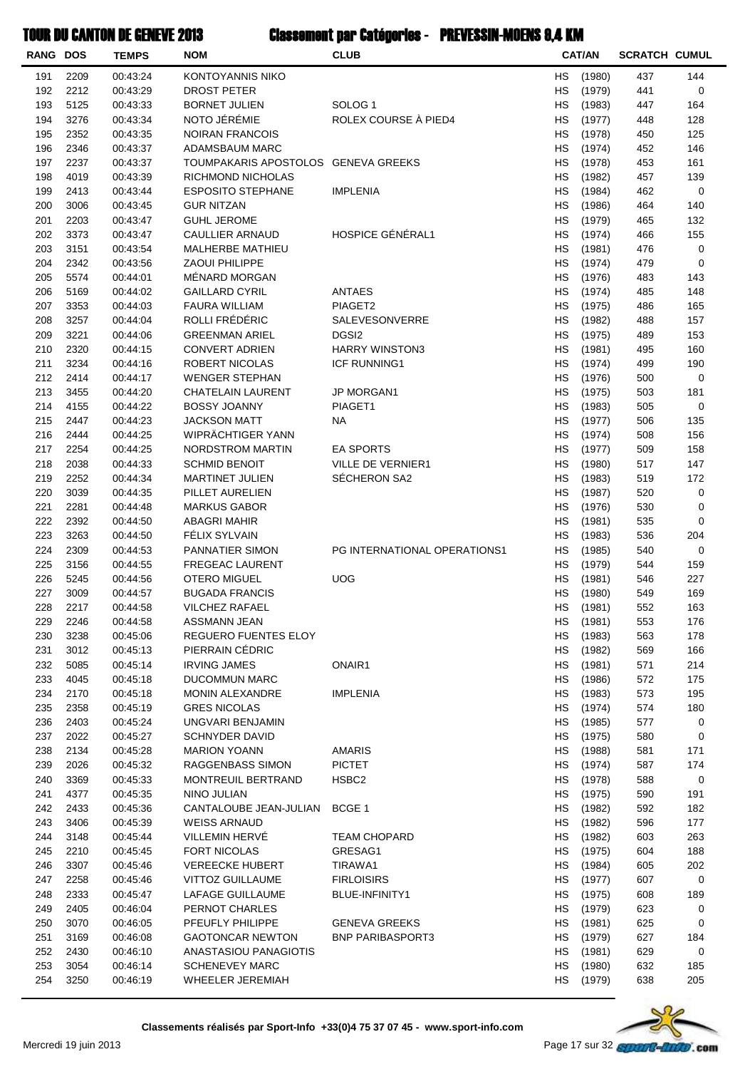| <b>RANG DOS</b> |              | <b>TEMPS</b>         | <b>NOM</b>                                    | <b>CLUB</b>                  |           | <b>CAT/AN</b>    | <b>SCRATCH CUMUL</b> |            |
|-----------------|--------------|----------------------|-----------------------------------------------|------------------------------|-----------|------------------|----------------------|------------|
| 191             | 2209         | 00:43:24             | <b>KONTOYANNIS NIKO</b>                       |                              | HS        | (1980)           | 437                  | 144        |
| 192             | 2212         | 00:43:29             | DROST PETER                                   |                              | НS        | (1979)           | 441                  | 0          |
| 193             | 5125         | 00:43:33             | <b>BORNET JULIEN</b>                          | SOLOG <sub>1</sub>           | НS        | (1983)           | 447                  | 164        |
| 194             | 3276         | 00:43:34             | NOTO JÉRÉMIE                                  | ROLEX COURSE À PIED4         | НS        | (1977)           | 448                  | 128        |
| 195             | 2352         | 00:43:35             | <b>NOIRAN FRANCOIS</b>                        |                              | НS        | (1978)           | 450                  | 125        |
| 196             | 2346         | 00:43:37             | ADAMSBAUM MARC                                |                              | НS        | (1974)           | 452                  | 146        |
| 197             | 2237         | 00:43:37             | TOUMPAKARIS APOSTOLOS GENEVA GREEKS           |                              | <b>HS</b> | (1978)           | 453                  | 161        |
| 198             | 4019         | 00:43:39             | RICHMOND NICHOLAS                             |                              | <b>HS</b> | (1982)           | 457                  | 139        |
| 199             | 2413         | 00:43:44             | <b>ESPOSITO STEPHANE</b>                      | <b>IMPLENIA</b>              | <b>HS</b> | (1984)           | 462                  | 0          |
| 200             | 3006         | 00:43:45             | <b>GUR NITZAN</b>                             |                              | HS        | (1986)           | 464                  | 140        |
| 201<br>202      | 2203         | 00:43:47             | <b>GUHL JEROME</b>                            | HOSPICE GÉNÉRAL1             | НS        | (1979)           | 465                  | 132        |
| 203             | 3373<br>3151 | 00:43:47<br>00:43:54 | CAULLIER ARNAUD<br>MALHERBE MATHIEU           |                              | НS<br>НS  | (1974)<br>(1981) | 466<br>476           | 155<br>0   |
| 204             | 2342         | 00:43:56             | <b>ZAOUI PHILIPPE</b>                         |                              | НS        | (1974)           | 479                  | 0          |
| 205             | 5574         | 00:44:01             | MÉNARD MORGAN                                 |                              | НS        | (1976)           | 483                  | 143        |
| 206             | 5169         | 00:44:02             | <b>GAILLARD CYRIL</b>                         | ANTAES                       | <b>HS</b> | (1974)           | 485                  | 148        |
| 207             | 3353         | 00:44:03             | <b>FAURA WILLIAM</b>                          | PIAGET2                      | НS        | (1975)           | 486                  | 165        |
| 208             | 3257         | 00:44:04             | ROLLI FRÉDÉRIC                                | SALEVESONVERRE               | HS        | (1982)           | 488                  | 157        |
| 209             | 3221         | 00:44:06             | <b>GREENMAN ARIEL</b>                         | DGSI <sub>2</sub>            | НS        | (1975)           | 489                  | 153        |
| 210             | 2320         | 00:44:15             | <b>CONVERT ADRIEN</b>                         | <b>HARRY WINSTON3</b>        | НS        | (1981)           | 495                  | 160        |
| 211             | 3234         | 00:44:16             | ROBERT NICOLAS                                | <b>ICF RUNNING1</b>          | НS        | (1974)           | 499                  | 190        |
| 212             | 2414         | 00:44:17             | <b>WENGER STEPHAN</b>                         |                              | НS        | (1976)           | 500                  | 0          |
| 213             | 3455         | 00:44:20             | CHATELAIN LAURENT                             | JP MORGAN1                   | НS        | (1975)           | 503                  | 181        |
| 214             | 4155         | 00:44:22             | <b>BOSSY JOANNY</b>                           | PIAGET1                      | <b>HS</b> | (1983)           | 505                  | 0          |
| 215             | 2447         | 00:44:23             | <b>JACKSON MATT</b>                           | NA                           | <b>HS</b> | (1977)           | 506                  | 135        |
| 216             | 2444         | 00:44:25             | WIPRÄCHTIGER YANN                             |                              | <b>HS</b> | (1974)           | 508                  | 156        |
| 217             | 2254         | 00:44:25             | NORDSTROM MARTIN                              | <b>EA SPORTS</b>             | HS        | (1977)           | 509                  | 158        |
| 218             | 2038         | 00:44:33             | <b>SCHMID BENOIT</b>                          | VILLE DE VERNIER1            | НS        | (1980)           | 517                  | 147        |
| 219             | 2252         | 00:44:34             | <b>MARTINET JULIEN</b>                        | SÉCHERON SA2                 | НS        | (1983)           | 519                  | 172        |
| 220             | 3039         | 00:44:35             | PILLET AURELIEN                               |                              | НS        | (1987)           | 520                  | 0          |
| 221             | 2281         | 00:44:48             | <b>MARKUS GABOR</b>                           |                              | НS        | (1976)           | 530                  | 0          |
| 222             | 2392         | 00:44:50             | <b>ABAGRI MAHIR</b>                           |                              | НS        | (1981)           | 535                  | 0          |
| 223             | 3263         | 00:44:50             | FÉLIX SYLVAIN                                 |                              | <b>HS</b> | (1983)           | 536                  | 204        |
| 224             | 2309         | 00:44:53             | PANNATIER SIMON                               | PG INTERNATIONAL OPERATIONS1 | <b>HS</b> | (1985)           | 540                  | 0          |
| 225             | 3156         | 00:44:55             | <b>FREGEAC LAURENT</b>                        |                              | НS        | (1979)           | 544                  | 159        |
| 226<br>227      | 5245<br>3009 | 00:44:56<br>00:44:57 | <b>OTERO MIGUEL</b><br><b>BUGADA FRANCIS</b>  | <b>UOG</b>                   | HS<br>НS  | (1981)<br>(1980) | 546<br>549           | 227<br>169 |
| 228             | 2217         | 00:44:58             | <b>VILCHEZ RAFAEL</b>                         |                              | HS        | (1981)           | 552                  | 163        |
| 229             | 2246         | 00:44:58             | ASSMANN JEAN                                  |                              | НS        | (1981)           | 553                  | 176        |
| 230             | 3238         | 00:45:06             | REGUERO FUENTES ELOY                          |                              | HS        | (1983)           | 563                  | 178        |
| 231             | 3012         | 00:45:13             | PIERRAIN CÉDRIC                               |                              | НS        | (1982)           | 569                  | 166        |
| 232             | 5085         | 00:45:14             | <b>IRVING JAMES</b>                           | ONAIR1                       | НS        | (1981)           | 571                  | 214        |
| 233             | 4045         | 00:45:18             | <b>DUCOMMUN MARC</b>                          |                              | HS        | (1986)           | 572                  | 175        |
| 234             | 2170         | 00:45:18             | <b>MONIN ALEXANDRE</b>                        | <b>IMPLENIA</b>              | HS        | (1983)           | 573                  | 195        |
| 235             | 2358         | 00:45:19             | <b>GRES NICOLAS</b>                           |                              | HS        | (1974)           | 574                  | 180        |
| 236             | 2403         | 00:45:24             | UNGVARI BENJAMIN                              |                              | НS        | (1985)           | 577                  | 0          |
| 237             | 2022         | 00:45:27             | <b>SCHNYDER DAVID</b>                         |                              | НS        | (1975)           | 580                  | 0          |
| 238             | 2134         | 00:45:28             | <b>MARION YOANN</b>                           | <b>AMARIS</b>                | HS        | (1988)           | 581                  | 171        |
| 239             | 2026         | 00:45:32             | RAGGENBASS SIMON                              | <b>PICTET</b>                | HS        | (1974)           | 587                  | 174        |
| 240             | 3369         | 00:45:33             | MONTREUIL BERTRAND                            | HSBC2                        | НS        | (1978)           | 588                  | 0          |
| 241             | 4377         | 00:45:35             | NINO JULIAN                                   |                              | HS        | (1975)           | 590                  | 191        |
| 242             | 2433         | 00:45:36             | CANTALOUBE JEAN-JULIAN                        | BCGE 1                       | HS        | (1982)           | 592                  | 182        |
| 243             | 3406         | 00:45:39             | <b>WEISS ARNAUD</b>                           |                              | HS        | (1982)           | 596                  | 177        |
| 244             | 3148         | 00:45:44             | VILLEMIN HERVÉ                                | <b>TEAM CHOPARD</b>          | НS        | (1982)           | 603                  | 263        |
| 245<br>246      | 2210         | 00:45:45             | <b>FORT NICOLAS</b><br><b>VEREECKE HUBERT</b> | GRESAG1                      | НS        | (1975)           | 604                  | 188        |
| 247             | 3307<br>2258 | 00:45:46<br>00:45:46 | VITTOZ GUILLAUME                              | TIRAWA1<br><b>FIRLOISIRS</b> | НS<br>HS  | (1984)<br>(1977) | 605<br>607           | 202<br>0   |
| 248             | 2333         | 00:45:47             | LAFAGE GUILLAUME                              | BLUE-INFINITY1               | HS        | (1975)           | 608                  | 189        |
| 249             | 2405         | 00:46:04             | PERNOT CHARLES                                |                              | HS        | (1979)           | 623                  | 0          |
| 250             | 3070         | 00:46:05             | PFEUFLY PHILIPPE                              | <b>GENEVA GREEKS</b>         | HS        | (1981)           | 625                  | 0          |
| 251             | 3169         | 00:46:08             | <b>GAOTONCAR NEWTON</b>                       | <b>BNP PARIBASPORT3</b>      | HS        | (1979)           | 627                  | 184        |
| 252             | 2430         | 00:46:10             | ANASTASIOU PANAGIOTIS                         |                              | HS        | (1981)           | 629                  | 0          |
| 253             | 3054         | 00:46:14             | <b>SCHENEVEY MARC</b>                         |                              | НS        | (1980)           | 632                  | 185        |
| 254             | 3250         | 00:46:19             | WHEELER JEREMIAH                              |                              | НS        | (1979)           | 638                  | 205        |
|                 |              |                      |                                               |                              |           |                  |                      |            |

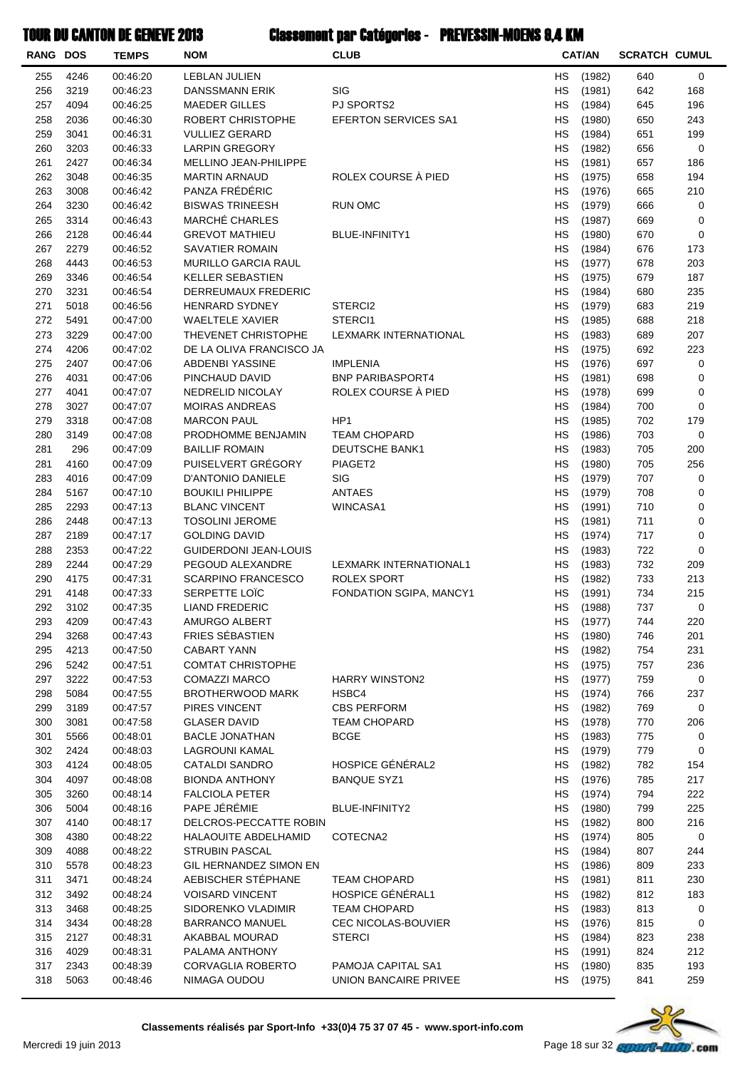| <b>RANG DOS</b> |              | <b>TEMPS</b>         | <b>NOM</b>                                   | <b>CLUB</b>                          |                 | <b>CAT/AN</b>    | <b>SCRATCH CUMUL</b> |            |
|-----------------|--------------|----------------------|----------------------------------------------|--------------------------------------|-----------------|------------------|----------------------|------------|
| 255             | 4246         | 00:46:20             | LEBLAN JULIEN                                |                                      | <b>HS</b>       | (1982)           | 640                  | 0          |
| 256             | 3219         | 00:46:23             | <b>DANSSMANN ERIK</b>                        | <b>SIG</b>                           | НS              | (1981)           | 642                  | 168        |
| 257             | 4094         | 00:46:25             | <b>MAEDER GILLES</b>                         | PJ SPORTS2                           | HS              | (1984)           | 645                  | 196        |
| 258             | 2036         | 00:46:30             | ROBERT CHRISTOPHE                            | <b>EFERTON SERVICES SA1</b>          | НS              | (1980)           | 650                  | 243        |
| 259             | 3041         | 00:46:31             | <b>VULLIEZ GERARD</b>                        |                                      | <b>HS</b>       | (1984)           | 651                  | 199        |
| 260             | 3203         | 00:46:33             | <b>LARPIN GREGORY</b>                        |                                      | <b>HS</b>       | (1982)           | 656                  | 0          |
| 261             | 2427         | 00:46:34             | MELLINO JEAN-PHILIPPE                        |                                      | <b>HS</b>       | (1981)           | 657                  | 186        |
| 262             | 3048         | 00:46:35             | <b>MARTIN ARNAUD</b>                         | ROLEX COURSE À PIED                  | HS              | (1975)           | 658                  | 194        |
| 263             | 3008         | 00:46:42             | PANZA FRÉDÉRIC                               |                                      | НS              | (1976)           | 665                  | 210        |
| 264             | 3230         | 00:46:42             | <b>BISWAS TRINEESH</b>                       | <b>RUN OMC</b>                       | HS              | (1979)           | 666                  | 0          |
| 265             | 3314         | 00:46:43             | <b>MARCHÉ CHARLES</b>                        |                                      | НS              | (1987)           | 669                  | 0          |
| 266             | 2128         | 00:46:44             | <b>GREVOT MATHIEU</b>                        | <b>BLUE-INFINITY1</b>                | HS              | (1980)           | 670                  | 0          |
| 267             | 2279         | 00:46:52             | <b>SAVATIER ROMAIN</b>                       |                                      | <b>HS</b>       | (1984)           | 676                  | 173        |
| 268             | 4443         | 00:46:53             | <b>MURILLO GARCIA RAUL</b>                   |                                      | <b>HS</b>       | (1977)           | 678                  | 203        |
| 269             | 3346<br>3231 | 00:46:54             | <b>KELLER SEBASTIEN</b>                      |                                      | <b>HS</b>       | (1975)           | 679                  | 187        |
| 270<br>271      | 5018         | 00:46:54<br>00:46:56 | DERREUMAUX FREDERIC<br><b>HENRARD SYDNEY</b> | STERCI2                              | HS<br>НS        | (1984)<br>(1979) | 680<br>683           | 235<br>219 |
| 272             | 5491         | 00:47:00             | <b>WAELTELE XAVIER</b>                       | STERCI1                              | НS              | (1985)           | 688                  | 218        |
| 273             | 3229         | 00:47:00             | THEVENET CHRISTOPHE                          | LEXMARK INTERNATIONAL                | НS              | (1983)           | 689                  | 207        |
| 274             | 4206         | 00:47:02             | DE LA OLIVA FRANCISCO JA                     |                                      | <b>HS</b>       | (1975)           | 692                  | 223        |
| 275             | 2407         | 00:47:06             | ABDENBI YASSINE                              | <b>IMPLENIA</b>                      | НS              | (1976)           | 697                  | 0          |
| 276             | 4031         | 00:47:06             | PINCHAUD DAVID                               | <b>BNP PARIBASPORT4</b>              | <b>HS</b>       | (1981)           | 698                  | 0          |
| 277             | 4041         | 00:47:07             | NEDRELID NICOLAY                             | ROLEX COURSE À PIED                  | <b>HS</b>       | (1978)           | 699                  | 0          |
| 278             | 3027         | 00:47:07             | <b>MOIRAS ANDREAS</b>                        |                                      | <b>HS</b>       | (1984)           | 700                  | 0          |
| 279             | 3318         | 00:47:08             | <b>MARCON PAUL</b>                           | HP <sub>1</sub>                      | HS              | (1985)           | 702                  | 179        |
| 280             | 3149         | 00:47:08             | PRODHOMME BENJAMIN                           | <b>TEAM CHOPARD</b>                  | НS              | (1986)           | 703                  | 0          |
| 281             | 296          | 00:47:09             | <b>BAILLIF ROMAIN</b>                        | <b>DEUTSCHE BANK1</b>                | HS              | (1983)           | 705                  | 200        |
| 281             | 4160         | 00:47:09             | PUISELVERT GRÉGORY                           | PIAGET2                              | НS              | (1980)           | 705                  | 256        |
| 283             | 4016         | 00:47:09             | D'ANTONIO DANIELE                            | SIG                                  | HS              | (1979)           | 707                  | 0          |
| 284             | 5167         | 00:47:10             | <b>BOUKILI PHILIPPE</b>                      | <b>ANTAES</b>                        | НS              | (1979)           | 708                  | 0          |
| 285             | 2293         | 00:47:13             | <b>BLANC VINCENT</b>                         | WINCASA1                             | <b>HS</b>       | (1991)           | 710                  | 0          |
| 286             | 2448         | 00:47:13             | <b>TOSOLINI JEROME</b>                       |                                      | <b>HS</b>       | (1981)           | 711                  | 0          |
| 287             | 2189         | 00:47:17             | <b>GOLDING DAVID</b>                         |                                      | HS              | (1974)           | 717                  | 0          |
| 288             | 2353         | 00:47:22             | <b>GUIDERDONI JEAN-LOUIS</b>                 |                                      | HS              | (1983)           | 722                  | 0          |
| 289             | 2244         | 00:47:29             | PEGOUD ALEXANDRE                             | <b>LEXMARK INTERNATIONAL1</b>        | НS              | (1983)           | 732                  | 209        |
| 290             | 4175         | 00:47:31             | <b>SCARPINO FRANCESCO</b>                    | <b>ROLEX SPORT</b>                   | HS              | (1982)           | 733                  | 213        |
| 291<br>292      | 4148         | 00:47:33             | SERPETTE LOIC                                | FONDATION SGIPA, MANCY1              | НS<br><b>HS</b> | (1991)           | 734                  | 215        |
| 293             | 3102<br>4209 | 00:47:35<br>00:47:43 | <b>LIAND FREDERIC</b><br>AMURGO ALBERT       |                                      | HS              | (1988)<br>(1977) | 737<br>744           | 0<br>220   |
| 294             | 3268         | 00:47:43             | FRIES SÉBASTIEN                              |                                      | HS              | (1980)           | 746                  | 201        |
| 295             | 4213         | 00:47:50             | <b>CABART YANN</b>                           |                                      | HS              | (1982)           | 754                  | 231        |
| 296             | 5242         | 00:47:51             | <b>COMTAT CHRISTOPHE</b>                     |                                      | HS              | (1975)           | 757                  | 236        |
| 297             | 3222         | 00:47:53             | <b>COMAZZI MARCO</b>                         | <b>HARRY WINSTON2</b>                | <b>HS</b>       | (1977)           | 759                  | 0          |
| 298             | 5084         | 00:47:55             | <b>BROTHERWOOD MARK</b>                      | HSBC4                                | <b>HS</b>       | (1974)           | 766                  | 237        |
| 299             | 3189         | 00:47:57             | PIRES VINCENT                                | <b>CBS PERFORM</b>                   | HS              | (1982)           | 769                  | 0          |
| 300             | 3081         | 00:47:58             | <b>GLASER DAVID</b>                          | <b>TEAM CHOPARD</b>                  | HS              | (1978)           | 770                  | 206        |
| 301             | 5566         | 00:48:01             | <b>BACLE JONATHAN</b>                        | <b>BCGE</b>                          | HS              | (1983)           | 775                  | 0          |
| 302             | 2424         | 00:48:03             | LAGROUNI KAMAL                               |                                      | <b>HS</b>       | (1979)           | 779                  | 0          |
| 303             | 4124         | 00:48:05             | <b>CATALDI SANDRO</b>                        | HOSPICE GÉNÉRAL2                     | HS              | (1982)           | 782                  | 154        |
| 304             | 4097         | 00:48:08             | <b>BIONDA ANTHONY</b>                        | <b>BANQUE SYZ1</b>                   | HS              | (1976)           | 785                  | 217        |
| 305             | 3260         | 00:48:14             | <b>FALCIOLA PETER</b>                        |                                      | HS              | (1974)           | 794                  | 222        |
| 306             | 5004         | 00:48:16             | PAPE JÉRÉMIE                                 | BLUE-INFINITY2                       | НS              | (1980)           | 799                  | 225        |
| 307             | 4140         | 00:48:17             | DELCROS-PECCATTE ROBIN                       |                                      | HS              | (1982)           | 800                  | 216        |
| 308             | 4380         | 00:48:22             | HALAOUITE ABDELHAMID                         | COTECNA2                             | НS              | (1974)           | 805                  | 0          |
| 309             | 4088         | 00:48:22             | <b>STRUBIN PASCAL</b>                        |                                      | HS              | (1984)           | 807                  | 244        |
| 310             | 5578         | 00:48:23             | GIL HERNANDEZ SIMON EN                       |                                      | НS              | (1986)           | 809                  | 233        |
| 311             | 3471         | 00:48:24             | AEBISCHER STÉPHANE                           | <b>TEAM CHOPARD</b>                  | <b>HS</b>       | (1981)           | 811                  | 230        |
| 312             | 3492         | 00:48:24             | <b>VOISARD VINCENT</b>                       | HOSPICE GÉNÉRAL1                     | HS.             | (1982)           | 812                  | 183        |
| 313             | 3468         | 00:48:25             | SIDORENKO VLADIMIR                           | <b>TEAM CHOPARD</b>                  | HS              | (1983)           | 813                  | 0          |
| 314<br>315      | 3434<br>2127 | 00:48:28<br>00:48:31 | <b>BARRANCO MANUEL</b><br>AKABBAL MOURAD     | CEC NICOLAS-BOUVIER<br><b>STERCI</b> | <b>HS</b><br>HS | (1976)           | 815<br>823           | 0          |
| 316             | 4029         | 00:48:31             | PALAMA ANTHONY                               |                                      | НS              | (1984)<br>(1991) | 824                  | 238<br>212 |
| 317             | 2343         | 00:48:39             | CORVAGLIA ROBERTO                            | PAMOJA CAPITAL SA1                   | HS              | (1980)           | 835                  | 193        |
| 318             | 5063         | 00:48:46             | NIMAGA OUDOU                                 | UNION BANCAIRE PRIVEE                | HS              | (1975)           | 841                  | 259        |
|                 |              |                      |                                              |                                      |                 |                  |                      |            |

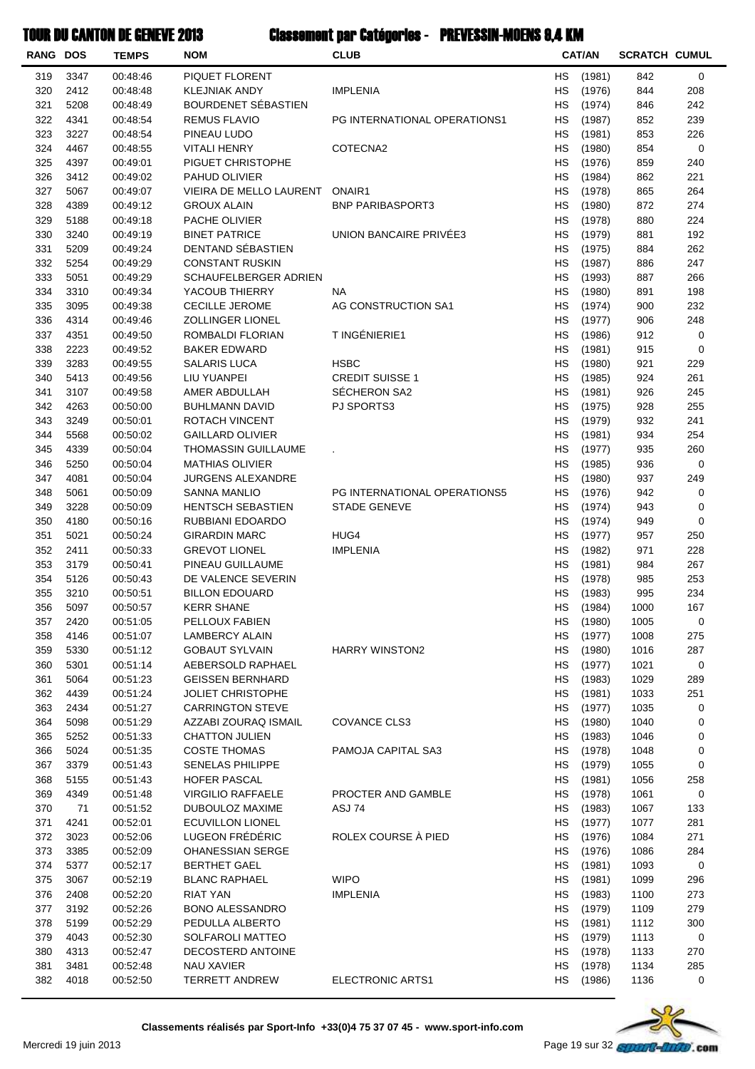| <b>RANG DOS</b> |              | <b>TEMPS</b>         | <b>NOM</b>                                   | <b>CLUB</b>                  |           | <b>CAT/AN</b>    | <b>SCRATCH CUMUL</b> |            |
|-----------------|--------------|----------------------|----------------------------------------------|------------------------------|-----------|------------------|----------------------|------------|
| 319             | 3347         | 00:48:46             | PIQUET FLORENT                               |                              | НS        | (1981)           | 842                  | 0          |
| 320             | 2412         | 00:48:48             | <b>KLEJNIAK ANDY</b>                         | <b>IMPLENIA</b>              | HS        | (1976)           | 844                  | 208        |
| 321             | 5208         | 00:48:49             | BOURDENET SÉBASTIEN                          |                              | НS        | (1974)           | 846                  | 242        |
| 322             | 4341         | 00:48:54             | <b>REMUS FLAVIO</b>                          | PG INTERNATIONAL OPERATIONS1 | НS        | (1987)           | 852                  | 239        |
| 323             | 3227         | 00:48:54             | PINEAU LUDO                                  |                              | НS        | (1981)           | 853                  | 226        |
| 324             | 4467         | 00:48:55             | <b>VITALI HENRY</b>                          | COTECNA2                     | НS        | (1980)           | 854                  | 0          |
| 325             | 4397         | 00:49:01             | PIGUET CHRISTOPHE                            |                              | НS        | (1976)           | 859                  | 240        |
| 326             | 3412         | 00:49:02             | PAHUD OLIVIER                                |                              | <b>HS</b> | (1984)           | 862                  | 221        |
| 327             | 5067         | 00:49:07             | VIEIRA DE MELLO LAURENT                      | ONAIR1                       | НS        | (1978)           | 865                  | 264        |
| 328             | 4389         | 00:49:12             | <b>GROUX ALAIN</b>                           | <b>BNP PARIBASPORT3</b>      | HS        | (1980)           | 872                  | 274        |
| 329<br>330      | 5188         | 00:49:18             | PACHE OLIVIER<br><b>BINET PATRICE</b>        | UNION BANCAIRE PRIVÉE3       | НS        | (1978)           | 880                  | 224        |
| 331             | 3240<br>5209 | 00:49:19<br>00:49:24 | DENTAND SÉBASTIEN                            |                              | НS<br>НS  | (1979)<br>(1975) | 881<br>884           | 192<br>262 |
| 332             | 5254         | 00:49:29             | <b>CONSTANT RUSKIN</b>                       |                              | НS        | (1987)           | 886                  | 247        |
| 333             | 5051         | 00:49:29             | SCHAUFELBERGER ADRIEN                        |                              | НS        | (1993)           | 887                  | 266        |
| 334             | 3310         | 00:49:34             | YACOUB THIERRY                               | NA                           | НS        | (1980)           | 891                  | 198        |
| 335             | 3095         | 00:49:38             | <b>CECILLE JEROME</b>                        | AG CONSTRUCTION SA1          | <b>HS</b> | (1974)           | 900                  | 232        |
| 336             | 4314         | 00:49:46             | <b>ZOLLINGER LIONEL</b>                      |                              | НS        | (1977)           | 906                  | 248        |
| 337             | 4351         | 00:49:50             | ROMBALDI FLORIAN                             | T INGÉNIERIE1                | HS        | (1986)           | 912                  | 0          |
| 338             | 2223         | 00:49:52             | <b>BAKER EDWARD</b>                          |                              | НS        | (1981)           | 915                  | 0          |
| 339             | 3283         | 00:49:55             | <b>SALARIS LUCA</b>                          | <b>HSBC</b>                  | НS        | (1980)           | 921                  | 229        |
| 340             | 5413         | 00:49:56             | LIU YUANPEI                                  | <b>CREDIT SUISSE 1</b>       | НS        | (1985)           | 924                  | 261        |
| 341             | 3107         | 00:49:58             | AMER ABDULLAH                                | SÉCHERON SA2                 | HS        | (1981)           | 926                  | 245        |
| 342             | 4263         | 00:50:00             | <b>BUHLMANN DAVID</b>                        | <b>PJ SPORTS3</b>            | НS        | (1975)           | 928                  | 255        |
| 343             | 3249         | 00:50:01             | ROTACH VINCENT                               |                              | <b>HS</b> | (1979)           | 932                  | 241        |
| 344             | 5568         | 00:50:02             | <b>GAILLARD OLIVIER</b>                      |                              | НS        | (1981)           | 934                  | 254        |
| 345             | 4339         | 00:50:04             | THOMASSIN GUILLAUME                          |                              | HS        | (1977)           | 935                  | 260        |
| 346             | 5250         | 00:50:04             | <b>MATHIAS OLIVIER</b>                       |                              | HS        | (1985)           | 936                  | 0          |
| 347             | 4081         | 00:50:04             | JURGENS ALEXANDRE                            |                              | НS        | (1980)           | 937                  | 249        |
| 348             | 5061         | 00:50:09             | <b>SANNA MANLIO</b>                          | PG INTERNATIONAL OPERATIONS5 | НS        | (1976)           | 942                  | 0          |
| 349<br>350      | 3228<br>4180 | 00:50:09<br>00:50:16 | <b>HENTSCH SEBASTIEN</b><br>RUBBIANI EDOARDO | <b>STADE GENEVE</b>          | НS<br>НS  | (1974)<br>(1974) | 943<br>949           | 0<br>0     |
| 351             | 5021         | 00:50:24             | GIRARDIN MARC                                | HUG4                         | НS        | (1977)           | 957                  | 250        |
| 352             | 2411         | 00:50:33             | <b>GREVOT LIONEL</b>                         | <b>IMPLENIA</b>              | <b>HS</b> | (1982)           | 971                  | 228        |
| 353             | 3179         | 00:50:41             | PINEAU GUILLAUME                             |                              | НS        | (1981)           | 984                  | 267        |
| 354             | 5126         | 00:50:43             | DE VALENCE SEVERIN                           |                              | НS        | (1978)           | 985                  | 253        |
| 355             | 3210         | 00:50:51             | <b>BILLON EDOUARD</b>                        |                              | HS        | (1983)           | 995                  | 234        |
| 356             | 5097         | 00:50:57             | <b>KERR SHANE</b>                            |                              | HS        | (1984)           | 1000                 | 167        |
| 357             | 2420         | 00:51:05             | PELLOUX FABIEN                               |                              | НS        | (1980)           | 1005                 | 0          |
| 358             | 4146         | 00:51:07             | <b>LAMBERCY ALAIN</b>                        |                              | HS        | (1977)           | 1008                 | 275        |
| 359             | 5330         | 00:51:12             | <b>GOBAUT SYLVAIN</b>                        | <b>HARRY WINSTON2</b>        | НS        | (1980)           | 1016                 | 287        |
| 360             | 5301         | 00:51:14             | AEBERSOLD RAPHAEL                            |                              | НS        | (1977)           | 1021                 | 0          |
| 361             | 5064         | 00:51:23             | <b>GEISSEN BERNHARD</b>                      |                              | HS        | (1983)           | 1029                 | 289        |
| 362             | 4439         | 00:51:24             | <b>JOLIET CHRISTOPHE</b>                     |                              | HS        | (1981)           | 1033                 | 251        |
| 363             | 2434         | 00:51:27             | <b>CARRINGTON STEVE</b>                      |                              | HS        | (1977)           | 1035                 | 0          |
| 364             | 5098         | 00:51:29             | AZZABI ZOURAQ ISMAIL                         | COVANCE CLS3                 | НS        | (1980)           | 1040                 | 0          |
| 365<br>366      | 5252         | 00:51:33             | <b>CHATTON JULIEN</b><br><b>COSTE THOMAS</b> | <b>PAMOJA CAPITAL SA3</b>    | НS        | (1983)           | 1046                 | 0          |
| 367             | 5024<br>3379 | 00:51:35<br>00:51:43 | SENELAS PHILIPPE                             |                              | НS<br>HS  | (1978)<br>(1979) | 1048<br>1055         | 0<br>0     |
| 368             | 5155         | 00:51:43             | <b>HOFER PASCAL</b>                          |                              | HS        | (1981)           | 1056                 | 258        |
| 369             | 4349         | 00:51:48             | <b>VIRGILIO RAFFAELE</b>                     | PROCTER AND GAMBLE           | HS        | (1978)           | 1061                 | 0          |
| 370             | 71           | 00:51:52             | DUBOULOZ MAXIME                              | ASJ 74                       | HS        | (1983)           | 1067                 | 133        |
| 371             | 4241         | 00:52:01             | ECUVILLON LIONEL                             |                              | HS        | (1977)           | 1077                 | 281        |
| 372             | 3023         | 00:52:06             | LUGEON FRÉDÉRIC                              | ROLEX COURSE À PIED          | HS        | (1976)           | 1084                 | 271        |
| 373             | 3385         | 00:52:09             | OHANESSIAN SERGE                             |                              | НS        | (1976)           | 1086                 | 284        |
| 374             | 5377         | 00:52:17             | <b>BERTHET GAEL</b>                          |                              | НS        | (1981)           | 1093                 | 0          |
| 375             | 3067         | 00:52:19             | <b>BLANC RAPHAEL</b>                         | <b>WIPO</b>                  | HS        | (1981)           | 1099                 | 296        |
| 376             | 2408         | 00:52:20             | <b>RIAT YAN</b>                              | <b>IMPLENIA</b>              | HS        | (1983)           | 1100                 | 273        |
| 377             | 3192         | 00:52:26             | <b>BONO ALESSANDRO</b>                       |                              | НS        | (1979)           | 1109                 | 279        |
| 378             | 5199         | 00:52:29             | PEDULLA ALBERTO                              |                              | HS        | (1981)           | 1112                 | 300        |
| 379             | 4043         | 00:52:30             | SOLFAROLI MATTEO                             |                              | HS        | (1979)           | 1113                 | 0          |
| 380             | 4313         | 00:52:47             | DECOSTERD ANTOINE                            |                              | HS        | (1978)           | 1133                 | 270        |
| 381             | 3481         | 00:52:48             | NAU XAVIER                                   |                              | НS        | (1978)           | 1134                 | 285        |
| 382             | 4018         | 00:52:50             | <b>TERRETT ANDREW</b>                        | ELECTRONIC ARTS1             | НS        | (1986)           | 1136                 | 0          |

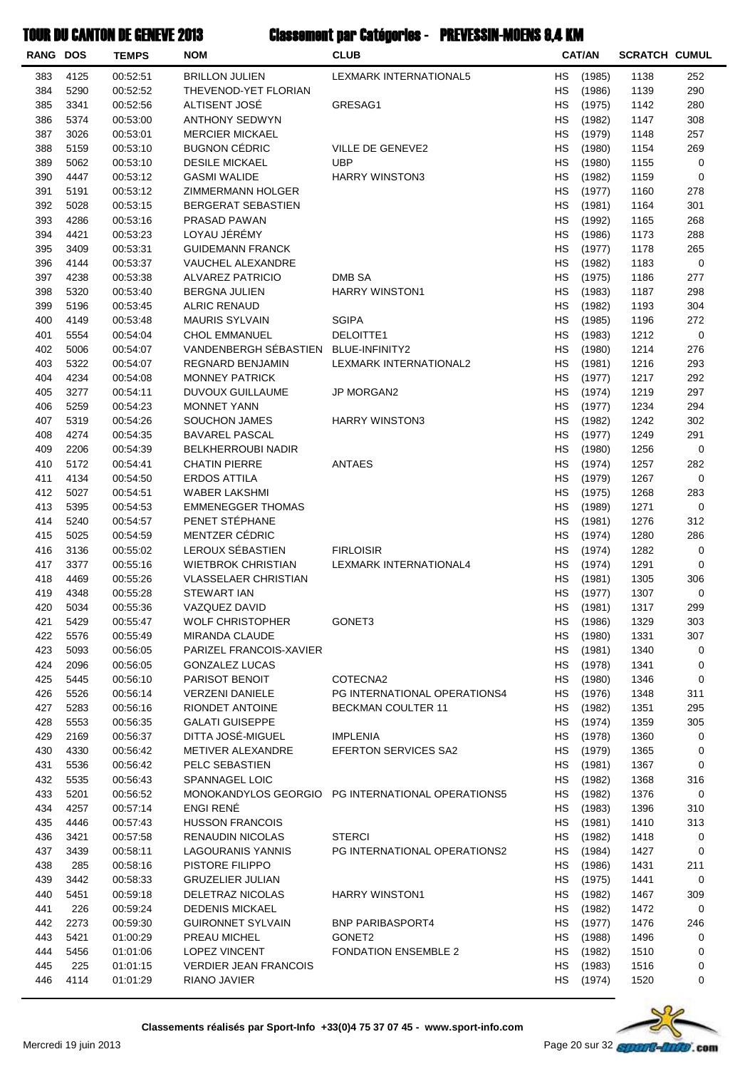| <b>RANG DOS</b> |              | <b>TEMPS</b>         | <b>NOM</b>                                    | <b>CLUB</b>                                       |                 | <b>CAT/AN</b>    | <b>SCRATCH CUMUL</b> |            |
|-----------------|--------------|----------------------|-----------------------------------------------|---------------------------------------------------|-----------------|------------------|----------------------|------------|
| 383             | 4125         | 00:52:51             | <b>BRILLON JULIEN</b>                         | LEXMARK INTERNATIONAL5                            | <b>HS</b>       | (1985)           | 1138                 | 252        |
| 384             | 5290         | 00:52:52             | THEVENOD-YET FLORIAN                          |                                                   | <b>HS</b>       | (1986)           | 1139                 | 290        |
| 385             | 3341         | 00:52:56             | ALTISENT JOSÉ                                 | GRESAG1                                           | НS              | (1975)           | 1142                 | 280        |
| 386             | 5374         | 00:53:00             | <b>ANTHONY SEDWYN</b>                         |                                                   | НS              | (1982)           | 1147                 | 308        |
| 387             | 3026         | 00:53:01             | <b>MERCIER MICKAEL</b>                        |                                                   | <b>HS</b>       | (1979)           | 1148                 | 257        |
| 388             | 5159         | 00:53:10             | <b>BUGNON CÉDRIC</b>                          | VILLE DE GENEVE2                                  | <b>HS</b>       | (1980)           | 1154                 | 269        |
| 389             | 5062         | 00:53:10             | <b>DESILE MICKAEL</b>                         | <b>UBP</b>                                        | <b>HS</b>       | (1980)           | 1155                 | 0          |
| 390             | 4447         | 00:53:12             | <b>GASMI WALIDE</b>                           | <b>HARRY WINSTON3</b>                             | <b>HS</b>       | (1982)           | 1159                 | 0          |
| 391             | 5191         | 00:53:12             | ZIMMERMANN HOLGER                             |                                                   | HS              | (1977)           | 1160                 | 278        |
| 392             | 5028         | 00:53:15             | <b>BERGERAT SEBASTIEN</b>                     |                                                   | НS              | (1981)           | 1164                 | 301        |
| 393             | 4286         | 00:53:16             | PRASAD PAWAN                                  |                                                   | <b>HS</b>       | (1992)           | 1165                 | 268        |
| 394<br>395      | 4421<br>3409 | 00:53:23<br>00:53:31 | LOYAU JÉRÉMY<br><b>GUIDEMANN FRANCK</b>       |                                                   | НS<br><b>HS</b> | (1986)           | 1173<br>1178         | 288<br>265 |
| 396             | 4144         | 00:53:37             | VAUCHEL ALEXANDRE                             |                                                   | НS              | (1977)<br>(1982) | 1183                 | 0          |
| 397             | 4238         | 00:53:38             | <b>ALVAREZ PATRICIO</b>                       | DMB SA                                            | <b>HS</b>       | (1975)           | 1186                 | 277        |
| 398             | 5320         | 00:53:40             | <b>BERGNA JULIEN</b>                          | <b>HARRY WINSTON1</b>                             | <b>HS</b>       | (1983)           | 1187                 | 298        |
| 399             | 5196         | 00:53:45             | <b>ALRIC RENAUD</b>                           |                                                   | <b>HS</b>       | (1982)           | 1193                 | 304        |
| 400             | 4149         | 00:53:48             | <b>MAURIS SYLVAIN</b>                         | <b>SGIPA</b>                                      | HS              | (1985)           | 1196                 | 272        |
| 401             | 5554         | 00:54:04             | <b>CHOL EMMANUEL</b>                          | DELOITTE1                                         | НS              | (1983)           | 1212                 | 0          |
| 402             | 5006         | 00:54:07             | VANDENBERGH SÉBASTIEN                         | BLUE-INFINITY2                                    | НS              | (1980)           | 1214                 | 276        |
| 403             | 5322         | 00:54:07             | <b>REGNARD BENJAMIN</b>                       | LEXMARK INTERNATIONAL2                            | НS              | (1981)           | 1216                 | 293        |
| 404             | 4234         | 00:54:08             | <b>MONNEY PATRICK</b>                         |                                                   | <b>HS</b>       | (1977)           | 1217                 | 292        |
| 405             | 3277         | 00:54:11             | <b>DUVOUX GUILLAUME</b>                       | JP MORGAN2                                        | НS              | (1974)           | 1219                 | 297        |
| 406             | 5259         | 00:54:23             | <b>MONNET YANN</b>                            |                                                   | <b>HS</b>       | (1977)           | 1234                 | 294        |
| 407             | 5319         | 00:54:26             | <b>SOUCHON JAMES</b>                          | <b>HARRY WINSTON3</b>                             | <b>HS</b>       | (1982)           | 1242                 | 302        |
| 408             | 4274         | 00:54:35             | <b>BAVAREL PASCAL</b>                         |                                                   | <b>HS</b>       | (1977)           | 1249                 | 291        |
| 409             | 2206         | 00:54:39             | <b>BELKHERROUBI NADIR</b>                     |                                                   | НS              | (1980)           | 1256                 | 0          |
| 410             | 5172         | 00:54:41             | <b>CHATIN PIERRE</b>                          | ANTAES                                            | НS              | (1974)           | 1257                 | 282        |
| 411             | 4134         | 00:54:50             | ERDOS ATTILA                                  |                                                   | НS              | (1979)           | 1267                 | 0          |
| 412             | 5027         | 00:54:51             | <b>WABER LAKSHMI</b>                          |                                                   | НS              | (1975)           | 1268                 | 283        |
| 413             | 5395         | 00:54:53             | <b>EMMENEGGER THOMAS</b>                      |                                                   | HS              | (1989)           | 1271                 | 0          |
| 414             | 5240         | 00:54:57             | PENET STÉPHANE                                |                                                   | <b>HS</b>       | (1981)           | 1276                 | 312        |
| 415             | 5025         | 00:54:59             | MENTZER CÉDRIC                                |                                                   | HS              | (1974)           | 1280                 | 286        |
| 416             | 3136         | 00:55:02             | LEROUX SÉBASTIEN                              | <b>FIRLOISIR</b>                                  | <b>HS</b>       | (1974)           | 1282                 | 0          |
| 417             | 3377         | 00:55:16             | <b>WIETBROK CHRISTIAN</b>                     | LEXMARK INTERNATIONAL4                            | <b>HS</b>       | (1974)           | 1291                 | 0          |
| 418             | 4469         | 00:55:26             | <b>VLASSELAER CHRISTIAN</b>                   |                                                   | НS              | (1981)           | 1305                 | 306        |
| 419             | 4348         | 00:55:28             | <b>STEWART IAN</b>                            |                                                   | <b>HS</b>       | (1977)           | 1307                 | 0          |
| 420<br>421      | 5034<br>5429 | 00:55:36<br>00:55:47 | VAZQUEZ DAVID<br><b>WOLF CHRISTOPHER</b>      | GONET3                                            | HS<br>HS        | (1981)<br>(1986) | 1317<br>1329         | 299<br>303 |
| 422             | 5576         | 00:55:49             | <b>MIRANDA CLAUDE</b>                         |                                                   | НS              | (1980)           | 1331                 | 307        |
| 423             | 5093         | 00:56:05             | PARIZEL FRANCOIS-XAVIER                       |                                                   | HS              | (1981)           | 1340                 | 0          |
| 424             | 2096         | 00:56:05             | <b>GONZALEZ LUCAS</b>                         |                                                   | HS.             | (1978)           | 1341                 | 0          |
| 425             | 5445         | 00:56:10             | PARISOT BENOIT                                | COTECNA2                                          | <b>HS</b>       | (1980)           | 1346                 | 0          |
| 426             | 5526         | 00:56:14             | <b>VERZENI DANIELE</b>                        | PG INTERNATIONAL OPERATIONS4                      | HS.             | (1976)           | 1348                 | 311        |
| 427             | 5283         | 00:56:16             | <b>RIONDET ANTOINE</b>                        | BECKMAN COULTER 11                                | НS              | (1982)           | 1351                 | 295        |
| 428             | 5553         | 00:56:35             | <b>GALATI GUISEPPE</b>                        |                                                   | HS              | (1974)           | 1359                 | 305        |
| 429             | 2169         | 00:56:37             | DITTA JOSÉ-MIGUEL                             | <b>IMPLENIA</b>                                   | НS              | (1978)           | 1360                 | 0          |
| 430             | 4330         | 00:56:42             | METIVER ALEXANDRE                             | EFERTON SERVICES SA2                              | HS              | (1979)           | 1365                 | 0          |
| 431             | 5536         | 00:56:42             | PELC SEBASTIEN                                |                                                   | HS              | (1981)           | 1367                 | 0          |
| 432             | 5535         | 00:56:43             | SPANNAGEL LOIC                                |                                                   | <b>HS</b>       | (1982)           | 1368                 | 316        |
| 433             | 5201         | 00:56:52             |                                               | MONOKANDYLOS GEORGIO PG INTERNATIONAL OPERATIONS5 | НS              | (1982)           | 1376                 | 0          |
| 434             | 4257         | 00:57:14             | ENGI RENÉ                                     |                                                   | HS              | (1983)           | 1396                 | 310        |
| 435             | 4446         | 00:57:43             | <b>HUSSON FRANCOIS</b>                        |                                                   | HS              | (1981)           | 1410                 | 313        |
| 436             | 3421         | 00:57:58             | <b>RENAUDIN NICOLAS</b>                       | <b>STERCI</b>                                     | HS.             | (1982)           | 1418                 | 0          |
| 437             | 3439         | 00:58:11             | <b>LAGOURANIS YANNIS</b>                      | PG INTERNATIONAL OPERATIONS2                      | НS              | (1984)           | 1427                 | 0          |
| 438             | 285          | 00:58:16             | PISTORE FILIPPO                               |                                                   | HS              | (1986)           | 1431                 | 211        |
| 439             | 3442         | 00:58:33             | <b>GRUZELIER JULIAN</b>                       |                                                   | HS              | (1975)           | 1441                 | 0          |
| 440             | 5451         | 00:59:18             | DELETRAZ NICOLAS                              | <b>HARRY WINSTON1</b>                             | НS              | (1982)           | 1467                 | 309        |
| 441             | 226          | 00:59:24             | <b>DEDENIS MICKAEL</b>                        |                                                   | HS.             | (1982)           | 1472                 | 0          |
| 442             | 2273         | 00:59:30             | <b>GUIRONNET SYLVAIN</b>                      | <b>BNP PARIBASPORT4</b>                           | HS.             | (1977)           | 1476                 | 246        |
| 443<br>444      | 5421<br>5456 | 01:00:29             | PREAU MICHEL                                  | GONET2<br><b>FONDATION ENSEMBLE 2</b>             | HS<br>НS        | (1988)           | 1496                 | 0<br>0     |
| 445             | 225          | 01:01:06<br>01:01:15 | LOPEZ VINCENT<br><b>VERDIER JEAN FRANCOIS</b> |                                                   | HS              | (1982)<br>(1983) | 1510<br>1516         | 0          |
| 446             | 4114         | 01:01:29             | RIANO JAVIER                                  |                                                   | НS              | (1974)           | 1520                 | 0          |
|                 |              |                      |                                               |                                                   |                 |                  |                      |            |

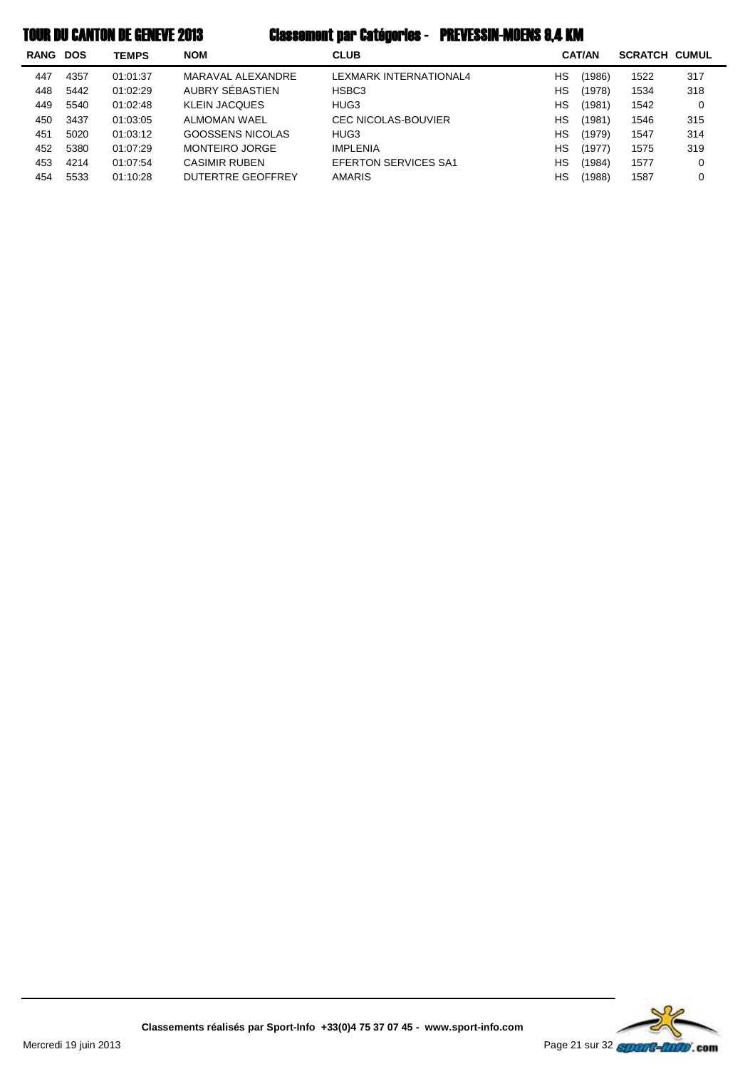| <b>RANG</b> | <b>DOS</b> | <b>TEMPS</b> | <b>NOM</b>           | <b>CLUB</b>                 |    | <b>CAT/AN</b> | <b>SCRATCH CUMUL</b> |     |
|-------------|------------|--------------|----------------------|-----------------------------|----|---------------|----------------------|-----|
| 447         | 4357       | 01:01:37     | MARAVAL ALEXANDRE    | LEXMARK INTERNATIONAL4      | НS | (1986)        | 1522                 | 317 |
| 448         | 5442       | 01:02:29     | AUBRY SÉBASTIEN      | HSBC3                       | НS | (1978)        | 1534                 | 318 |
| 449         | 5540       | 01:02:48     | <b>KLEIN JACQUES</b> | HUG3                        | HS | (1981)        | 1542                 | 0   |
| 450         | 3437       | 01:03:05     | ALMOMAN WAEL         | <b>CEC NICOLAS-BOUVIER</b>  | HS | (1981)        | 1546                 | 315 |
| 451         | 5020       | 01:03:12     | GOOSSENS NICOLAS     | HUG3                        | HS | (1979)        | 1547                 | 314 |
| 452         | 5380       | 01:07:29     | MONTEIRO JORGE       | <b>IMPLENIA</b>             | HS | (1977)        | 1575                 | 319 |
| 453         | 4214       | 01:07:54     | <b>CASIMIR RUBEN</b> | <b>EFERTON SERVICES SA1</b> | НS | (1984)        | 1577                 | 0   |
| 454         | 5533       | 01:10:28     | DUTERTRE GEOFFREY    | <b>AMARIS</b>               | НS | (1988)        | 1587                 | 0   |

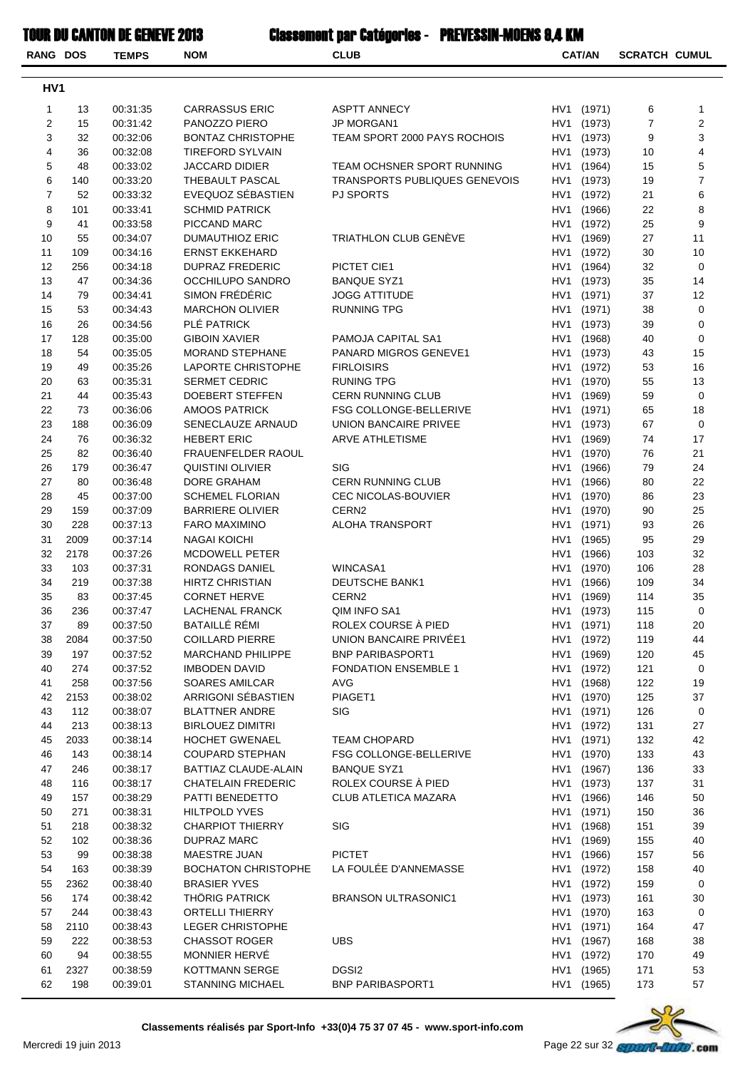| <b>RANG DOS</b> |             | <b>TEMPS</b>         | <b>NOM</b>                             | <b>CLUB</b>                            | <b>CAT/AN</b> |                          | <b>SCRATCH CUMUL</b> |                         |
|-----------------|-------------|----------------------|----------------------------------------|----------------------------------------|---------------|--------------------------|----------------------|-------------------------|
| HV <sub>1</sub> |             |                      |                                        |                                        |               |                          |                      |                         |
| 1               | 13          | 00:31:35             | <b>CARRASSUS ERIC</b>                  | <b>ASPTT ANNECY</b>                    |               | HV1 (1971)               | 6                    | 1                       |
| 2               | 15          | 00:31:42             | PANOZZO PIERO                          | <b>JP MORGAN1</b>                      | HV1           | (1973)                   | 7                    | $\overline{\mathbf{c}}$ |
| 3               | 32          | 00:32:06             | <b>BONTAZ CHRISTOPHE</b>               | TEAM SPORT 2000 PAYS ROCHOIS           | HV1           | (1973)                   | 9                    | 3                       |
| 4               | 36          | 00:32:08             | <b>TIREFORD SYLVAIN</b>                |                                        |               | HV1 (1973)               | 10                   | 4                       |
| 5               | 48          | 00:33:02             | <b>JACCARD DIDIER</b>                  | TEAM OCHSNER SPORT RUNNING             | HV1           | (1964)                   | 15                   | 5                       |
| 6               | 140         | 00:33:20             | THEBAULT PASCAL                        | TRANSPORTS PUBLIQUES GENEVOIS          | HV1           | (1973)                   | 19                   | $\overline{7}$          |
| $\overline{7}$  | 52          | 00:33:32             | EVEQUOZ SÉBASTIEN                      | <b>PJ SPORTS</b>                       | HV1           | (1972)                   | 21                   | 6                       |
| 8               | 101         | 00:33:41             | <b>SCHMID PATRICK</b>                  |                                        | HV1           | (1966)                   | 22                   | 8                       |
| 9               | 41          | 00:33:58             | PICCAND MARC                           |                                        | HV1           | (1972)                   | 25                   | 9                       |
| 10              | 55          | 00:34:07             | <b>DUMAUTHIOZ ERIC</b>                 | TRIATHLON CLUB GENÈVE                  |               | HV1 (1969)               | 27                   | 11                      |
| 11              | 109         | 00:34:16             | <b>ERNST EKKEHARD</b>                  |                                        | HV1           | (1972)                   | 30                   | 10                      |
| 12              | 256         | 00:34:18             | <b>DUPRAZ FREDERIC</b>                 | PICTET CIE1                            | HV1           | (1964)                   | 32                   | 0                       |
| 13              | 47          | 00:34:36             | OCCHILUPO SANDRO                       | <b>BANQUE SYZ1</b>                     |               | HV1 (1973)               | 35                   | 14                      |
| 14              | 79          | 00:34:41             | SIMON FRÉDÉRIC                         | JOGG ATTITUDE                          |               | HV1 (1971)               | 37                   | 12                      |
| 15              | 53          | 00:34:43             | <b>MARCHON OLIVIER</b>                 | RUNNING TPG                            | HV1           | (1971)                   | 38                   | 0                       |
| 16              | 26          | 00:34:56             | PLÉ PATRICK                            |                                        | HV1           | (1973)                   | 39                   | 0                       |
| 17              | 128         | 00:35:00             | <b>GIBOIN XAVIER</b>                   | PAMOJA CAPITAL SA1                     | HV1           | (1968)                   | 40                   | 0                       |
| 18              | 54          | 00:35:05             | <b>MORAND STEPHANE</b>                 | PANARD MIGROS GENEVE1                  |               | HV1 (1973)               | 43                   | 15                      |
| 19              | 49          | 00:35:26             | <b>LAPORTE CHRISTOPHE</b>              | <b>FIRLOISIRS</b>                      | HV1           | (1972)                   | 53                   | 16                      |
| 20              | 63          | 00:35:31             | SERMET CEDRIC                          | <b>RUNING TPG</b>                      | HV1           | (1970)                   | 55                   | 13                      |
| 21              | 44          | 00:35:43             | DOEBERT STEFFEN                        | <b>CERN RUNNING CLUB</b>               | HV1           | (1969)                   | 59                   | 0                       |
| 22              | 73          | 00:36:06             | <b>AMOOS PATRICK</b>                   | <b>FSG COLLONGE-BELLERIVE</b>          |               | HV1 (1971)               | 65                   | 18                      |
| 23              | 188         | 00:36:09             | SENECLAUZE ARNAUD                      | UNION BANCAIRE PRIVEE                  |               | HV1 (1973)               | 67                   | 0                       |
| 24              | 76          | 00:36:32             | <b>HEBERT ERIC</b>                     | <b>ARVE ATHLETISME</b>                 | HV1           | (1969)                   | 74                   | 17                      |
| 25              | 82          | 00:36:40             | FRAUENFELDER RAOUL                     |                                        | HV1           | (1970)                   | 76                   | 21                      |
| 26<br>27        | 179<br>80   | 00:36:47<br>00:36:48 | <b>QUISTINI OLIVIER</b><br>DORE GRAHAM | SIG<br><b>CERN RUNNING CLUB</b>        | HV1           | (1966)                   | 79                   | 24<br>22                |
| 28              | 45          | 00:37:00             | <b>SCHEMEL FLORIAN</b>                 | CEC NICOLAS-BOUVIER                    | HV1           | HV1 (1966)<br>(1970)     | 80<br>86             | 23                      |
| 29              | 159         | 00:37:09             | <b>BARRIERE OLIVIER</b>                | CERN <sub>2</sub>                      | HV1           | (1970)                   | 90                   | 25                      |
| 30              | 228         | 00:37:13             | <b>FARO MAXIMINO</b>                   | <b>ALOHA TRANSPORT</b>                 | HV1           | (1971)                   | 93                   | 26                      |
| 31              | 2009        | 00:37:14             | <b>NAGAI KOICHI</b>                    |                                        | HV1           | (1965)                   | 95                   | 29                      |
| 32              | 2178        | 00:37:26             | <b>MCDOWELL PETER</b>                  |                                        | HV1           | (1966)                   | 103                  | 32                      |
| 33              | 103         | 00:37:31             | RONDAGS DANIEL                         | WINCASA1                               | HV1           | (1970)                   | 106                  | 28                      |
| 34              | 219         | 00:37:38             | <b>HIRTZ CHRISTIAN</b>                 | DEUTSCHE BANK1                         | HV1           | (1966)                   | 109                  | 34                      |
| 35              | 83          | 00:37:45             | <b>CORNET HERVE</b>                    | CERN2                                  |               | HV1 (1969)               | 114                  | 35                      |
| 36              | 236         | 00:37:47             | LACHENAL FRANCK                        | QIM INFO SA1                           |               | HV1 (1973)               | 115                  | $\Omega$                |
| 37              | 89          | 00:37:50             | BATAILLÉ RÉMI                          | ROLEX COURSE À PIED                    |               | HV1 (1971)               | 118                  | 20                      |
| 38              | 2084        | 00:37:50             | <b>COILLARD PIERRE</b>                 | UNION BANCAIRE PRIVÉE1                 |               | HV1 (1972)               | 119                  | 44                      |
| 39              | 197         | 00:37:52             | <b>MARCHAND PHILIPPE</b>               | <b>BNP PARIBASPORT1</b>                |               | HV1 (1969)               | 120                  | 45                      |
| 40              | 274         | 00:37:52             | <b>IMBODEN DAVID</b>                   | <b>FONDATION ENSEMBLE 1</b>            |               | HV1 (1972)               | 121                  | 0                       |
| 41              | 258         | 00:37:56             | <b>SOARES AMILCAR</b>                  | AVG                                    | HV1           | (1968)                   | 122                  | 19                      |
| 42              | 2153        | 00:38:02             | ARRIGONI SÉBASTIEN                     | PIAGET1                                |               | HV1 (1970)               | 125                  | 37                      |
| 43              | 112         | 00:38:07             | <b>BLATTNER ANDRE</b>                  | <b>SIG</b>                             |               | HV1 (1971)               | 126                  | 0                       |
| 44              | 213         | 00:38:13             | <b>BIRLOUEZ DIMITRI</b>                |                                        |               | HV1 (1972)               | 131                  | 27                      |
| 45              | 2033        | 00:38:14             | HOCHET GWENAEL                         | <b>TEAM CHOPARD</b>                    |               | HV1 (1971)               | 132                  | 42                      |
| 46              | 143         | 00:38:14             | <b>COUPARD STEPHAN</b>                 | <b>FSG COLLONGE-BELLERIVE</b>          |               | HV1 (1970)               | 133                  | 43                      |
| 47              | 246         | 00:38:17             | BATTIAZ CLAUDE-ALAIN                   | <b>BANQUE SYZ1</b>                     |               | HV1 (1967)               | 136                  | 33                      |
| 48              | 116         | 00:38:17             | <b>CHATELAIN FREDERIC</b>              | ROLEX COURSE À PIED                    |               | HV1 (1973)               | 137                  | 31                      |
| 49              | 157         | 00:38:29             | PATTI BENEDETTO                        | CLUB ATLETICA MAZARA                   |               | HV1 (1966)               | 146                  | 50                      |
| 50              | 271         | 00:38:31             | <b>HILTPOLD YVES</b>                   |                                        |               | HV1 (1971)               | 150                  | 36                      |
| 51              | 218         | 00:38:32             | <b>CHARPIOT THIERRY</b>                | SIG                                    |               | HV1 (1968)               | 151                  | 39                      |
| 52              | 102         | 00:38:36             | DUPRAZ MARC                            |                                        |               | HV1 (1969)               | 155                  | 40                      |
| 53              | 99          | 00:38:38             | MAESTRE JUAN                           | <b>PICTET</b><br>LA FOULÉE D'ANNEMASSE |               | HV1 (1966)               | 157                  | 56                      |
| 54              | 163         | 00:38:39             | <b>BOCHATON CHRISTOPHE</b>             |                                        | HV1           | (1972)                   | 158                  | 40                      |
| 55<br>56        | 2362<br>174 | 00:38:40<br>00:38:42 | <b>BRASIER YVES</b><br>THÖRIG PATRICK  | <b>BRANSON ULTRASONIC1</b>             |               | HV1 (1972)<br>HV1 (1973) | 159<br>161           | 0<br>30                 |
| 57              | 244         | 00:38:43             | <b>ORTELLI THIERRY</b>                 |                                        |               | HV1 (1970)               | 163                  | 0                       |
| 58              | 2110        | 00:38:43             | LEGER CHRISTOPHE                       |                                        |               | HV1 (1971)               | 164                  | 47                      |
| 59              | 222         | 00:38:53             | <b>CHASSOT ROGER</b>                   | <b>UBS</b>                             | HV1           | (1967)                   | 168                  | 38                      |
| 60              | 94          | 00:38:55             | MONNIER HERVÉ                          |                                        | HV1           | (1972)                   | 170                  | 49                      |
| 61              | 2327        | 00:38:59             | KOTTMANN SERGE                         | DGSI <sub>2</sub>                      | HV1           | (1965)                   | 171                  | 53                      |
| 62              | 198         | 00:39:01             | <b>STANNING MICHAEL</b>                | <b>BNP PARIBASPORT1</b>                |               | HV1 (1965)               | 173                  | 57                      |
|                 |             |                      |                                        |                                        |               |                          |                      |                         |

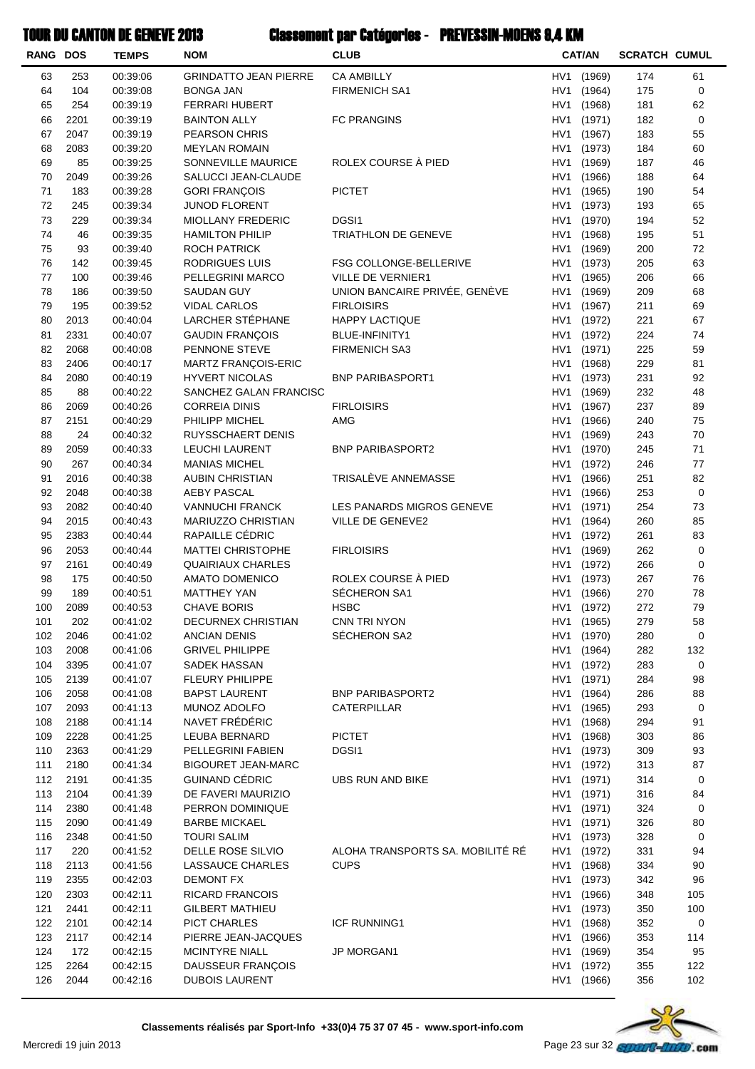| <b>RANG DOS</b> |              | <b>TEMPS</b>         | <b>NOM</b>                                           | <b>CLUB</b>                      |            | <b>CAT/AN</b>            | <b>SCRATCH CUMUL</b> |                |
|-----------------|--------------|----------------------|------------------------------------------------------|----------------------------------|------------|--------------------------|----------------------|----------------|
| 63              | 253          | 00:39:06             | <b>GRINDATTO JEAN PIERRE</b>                         | <b>CA AMBILLY</b>                | HV1        | (1969)                   | 174                  | 61             |
| 64              | 104          | 00:39:08             | <b>BONGA JAN</b>                                     | <b>FIRMENICH SA1</b>             | HV1        | (1964)                   | 175                  | 0              |
| 65              | 254          | 00:39:19             | <b>FERRARI HUBERT</b>                                |                                  | HV1        | (1968)                   | 181                  | 62             |
| 66              | 2201         | 00:39:19             | <b>BAINTON ALLY</b>                                  | <b>FC PRANGINS</b>               | HV1        | (1971)                   | 182                  | 0              |
| 67              | 2047         | 00:39:19             | <b>PEARSON CHRIS</b>                                 |                                  | HV1        | (1967)                   | 183                  | 55             |
| 68              | 2083         | 00:39:20             | <b>MEYLAN ROMAIN</b>                                 |                                  | HV1        | (1973)                   | 184                  | 60             |
| 69              | 85           | 00:39:25             | SONNEVILLE MAURICE                                   | ROLEX COURSE À PIED              | HV1        | (1969)                   | 187                  | 46             |
| 70<br>71        | 2049<br>183  | 00:39:26<br>00:39:28 | SALUCCI JEAN-CLAUDE<br><b>GORI FRANÇOIS</b>          | <b>PICTET</b>                    | HV1<br>HV1 | (1966)<br>(1965)         | 188<br>190           | 64<br>54       |
| 72              | 245          | 00:39:34             | <b>JUNOD FLORENT</b>                                 |                                  | HV1        | (1973)                   | 193                  | 65             |
| 73              | 229          | 00:39:34             | MIOLLANY FREDERIC                                    | DGSI1                            | HV1        | (1970)                   | 194                  | 52             |
| 74              | 46           | 00:39:35             | <b>HAMILTON PHILIP</b>                               | <b>TRIATHLON DE GENEVE</b>       | HV1        | (1968)                   | 195                  | 51             |
| 75              | 93           | 00:39:40             | ROCH PATRICK                                         |                                  | HV1        | (1969)                   | 200                  | 72             |
| 76              | 142          | 00:39:45             | RODRIGUES LUIS                                       | FSG COLLONGE-BELLERIVE           |            | HV1 (1973)               | 205                  | 63             |
| 77              | 100          | 00:39:46             | PELLEGRINI MARCO                                     | VILLE DE VERNIER1                | HV1        | (1965)                   | 206                  | 66             |
| 78              | 186          | 00:39:50             | <b>SAUDAN GUY</b>                                    | UNION BANCAIRE PRIVÉE, GENÈVE    | HV1        | (1969)                   | 209                  | 68             |
| 79              | 195          | 00:39:52             | <b>VIDAL CARLOS</b>                                  | <b>FIRLOISIRS</b>                | HV1        | (1967)                   | 211                  | 69             |
| 80              | 2013         | 00:40:04             | LARCHER STÉPHANE                                     | <b>HAPPY LACTIQUE</b>            | HV1        | (1972)                   | 221                  | 67             |
| 81              | 2331         | 00:40:07             | <b>GAUDIN FRANÇOIS</b>                               | BLUE-INFINITY1                   | HV1        | (1972)                   | 224                  | 74             |
| 82              | 2068         | 00:40:08             | PENNONE STEVE                                        | <b>FIRMENICH SA3</b>             | HV1        | (1971)                   | 225                  | 59             |
| 83<br>84        | 2406<br>2080 | 00:40:17<br>00:40:19 | MARTZ FRANÇOIS-ERIC<br><b>HYVERT NICOLAS</b>         | <b>BNP PARIBASPORT1</b>          | HV1<br>HV1 | (1968)<br>(1973)         | 229<br>231           | 81<br>92       |
| 85              | 88           | 00:40:22             | SANCHEZ GALAN FRANCISC                               |                                  | HV1        | (1969)                   | 232                  | 48             |
| 86              | 2069         | 00:40:26             | <b>CORREIA DINIS</b>                                 | <b>FIRLOISIRS</b>                | HV1        | (1967)                   | 237                  | 89             |
| 87              | 2151         | 00:40:29             | PHILIPP MICHEL                                       | AMG                              | HV1        | (1966)                   | 240                  | 75             |
| 88              | 24           | 00:40:32             | RUYSSCHAERT DENIS                                    |                                  | HV1        | (1969)                   | 243                  | 70             |
| 89              | 2059         | 00:40:33             | LEUCHI LAURENT                                       | <b>BNP PARIBASPORT2</b>          | HV1        | (1970)                   | 245                  | 71             |
| 90              | 267          | 00:40:34             | <b>MANIAS MICHEL</b>                                 |                                  | HV1        | (1972)                   | 246                  | 77             |
| 91              | 2016         | 00:40:38             | <b>AUBIN CHRISTIAN</b>                               | TRISALÈVE ANNEMASSE              | HV1        | (1966)                   | 251                  | 82             |
| 92              | 2048         | 00:40:38             | <b>AEBY PASCAL</b>                                   |                                  | HV1        | (1966)                   | 253                  | 0              |
| 93              | 2082         | 00:40:40             | <b>VANNUCHI FRANCK</b>                               | LES PANARDS MIGROS GENEVE        | HV1        | (1971)                   | 254                  | 73             |
| 94              | 2015         | 00:40:43             | MARIUZZO CHRISTIAN                                   | VILLE DE GENEVE2                 | HV1        | (1964)                   | 260                  | 85             |
| 95              | 2383         | 00:40:44             | RAPAILLE CÉDRIC                                      |                                  | HV1        | (1972)                   | 261                  | 83             |
| 96<br>97        | 2053<br>2161 | 00:40:44<br>00:40:49 | <b>MATTEI CHRISTOPHE</b><br><b>QUAIRIAUX CHARLES</b> | <b>FIRLOISIRS</b>                | HV1<br>HV1 | (1969)                   | 262<br>266           | 0<br>$\pmb{0}$ |
| 98              | 175          | 00:40:50             | AMATO DOMENICO                                       | ROLEX COURSE À PIED              | HV1        | (1972)<br>(1973)         | 267                  | 76             |
| 99              | 189          | 00:40:51             | <b>MATTHEY YAN</b>                                   | SÉCHERON SA1                     | HV1        | (1966)                   | 270                  | 78             |
| 100             | 2089         | 00:40:53             | <b>CHAVE BORIS</b>                                   | HSBC                             |            | HV1 (1972)               | 272                  | 79             |
| 101             | 202          | 00:41:02             | DECURNEX CHRISTIAN                                   | CNN TRI NYON                     |            | HV1 (1965)               | 279                  | 58             |
| 102             | 2046         | 00:41:02             | ANCIAN DENIS                                         | SÉCHERON SA2                     |            | HV1 (1970)               | 280                  | 0              |
| 103             | 2008         | 00:41:06             | <b>GRIVEL PHILIPPE</b>                               |                                  |            | HV1 (1964)               | 282                  | 132            |
| 104             | 3395         | 00:41:07             | SADEK HASSAN                                         |                                  |            | HV1 (1972)               | 283                  | 0              |
| 105             | 2139         | 00:41:07             | FLEURY PHILIPPE                                      |                                  |            | HV1 (1971)               | 284                  | 98             |
| 106             | 2058         | 00:41:08             | <b>BAPST LAURENT</b>                                 | <b>BNP PARIBASPORT2</b>          |            | HV1 (1964)               | 286                  | 88             |
| 107             | 2093         | 00:41:13             | MUNOZ ADOLFO                                         | CATERPILLAR                      |            | HV1 (1965)               | 293                  | 0              |
| 108             | 2188         | 00:41:14             | NAVET FRÉDÉRIC                                       |                                  |            | HV1 (1968)               | 294                  | 91             |
| 109<br>110      | 2228<br>2363 | 00:41:25<br>00:41:29 | LEUBA BERNARD<br>PELLEGRINI FABIEN                   | <b>PICTET</b><br>DGSI1           |            | HV1 (1968)<br>HV1 (1973) | 303<br>309           | 86<br>93       |
| 111             | 2180         | 00:41:34             | <b>BIGOURET JEAN-MARC</b>                            |                                  |            | HV1 (1972)               | 313                  | 87             |
| 112             | 2191         | 00:41:35             | <b>GUINAND CÉDRIC</b>                                | UBS RUN AND BIKE                 |            | HV1 (1971)               | 314                  | 0              |
| 113             | 2104         | 00:41:39             | DE FAVERI MAURIZIO                                   |                                  |            | HV1 (1971)               | 316                  | 84             |
| 114             | 2380         | 00:41:48             | PERRON DOMINIQUE                                     |                                  |            | HV1 (1971)               | 324                  | 0              |
| 115             | 2090         | 00:41:49             | <b>BARBE MICKAEL</b>                                 |                                  |            | HV1 (1971)               | 326                  | 80             |
| 116             | 2348         | 00:41:50             | <b>TOURI SALIM</b>                                   |                                  |            | HV1 (1973)               | 328                  | 0              |
| 117             | 220          | 00:41:52             | DELLE ROSE SILVIO                                    | ALOHA TRANSPORTS SA. MOBILITÉ RÉ |            | HV1 (1972)               | 331                  | 94             |
| 118             | 2113         | 00:41:56             | LASSAUCE CHARLES                                     | <b>CUPS</b>                      |            | HV1 (1968)               | 334                  | 90             |
| 119             | 2355         | 00:42:03             | <b>DEMONT FX</b>                                     |                                  |            | HV1 (1973)               | 342                  | 96             |
| 120             | 2303         | 00:42:11             | <b>RICARD FRANCOIS</b>                               |                                  |            | HV1 (1966)               | 348                  | 105            |
| 121             | 2441         | 00:42:11             | <b>GILBERT MATHIEU</b>                               |                                  |            | HV1 (1973)               | 350                  | 100            |
| 122<br>123      | 2101<br>2117 | 00:42:14             | PICT CHARLES<br>PIERRE JEAN-JACQUES                  | ICF RUNNING1                     |            | HV1 (1968)               | 352                  | 0<br>114       |
| 124             | 172          | 00:42:14<br>00:42:15 | <b>MCINTYRE NIALL</b>                                | JP MORGAN1                       |            | HV1 (1966)<br>HV1 (1969) | 353<br>354           | 95             |
| 125             | 2264         | 00:42:15             | DAUSSEUR FRANÇOIS                                    |                                  |            | HV1 (1972)               | 355                  | 122            |
| 126             | 2044         | 00:42:16             | <b>DUBOIS LAURENT</b>                                |                                  |            | HV1 (1966)               | 356                  | 102            |
|                 |              |                      |                                                      |                                  |            |                          |                      |                |

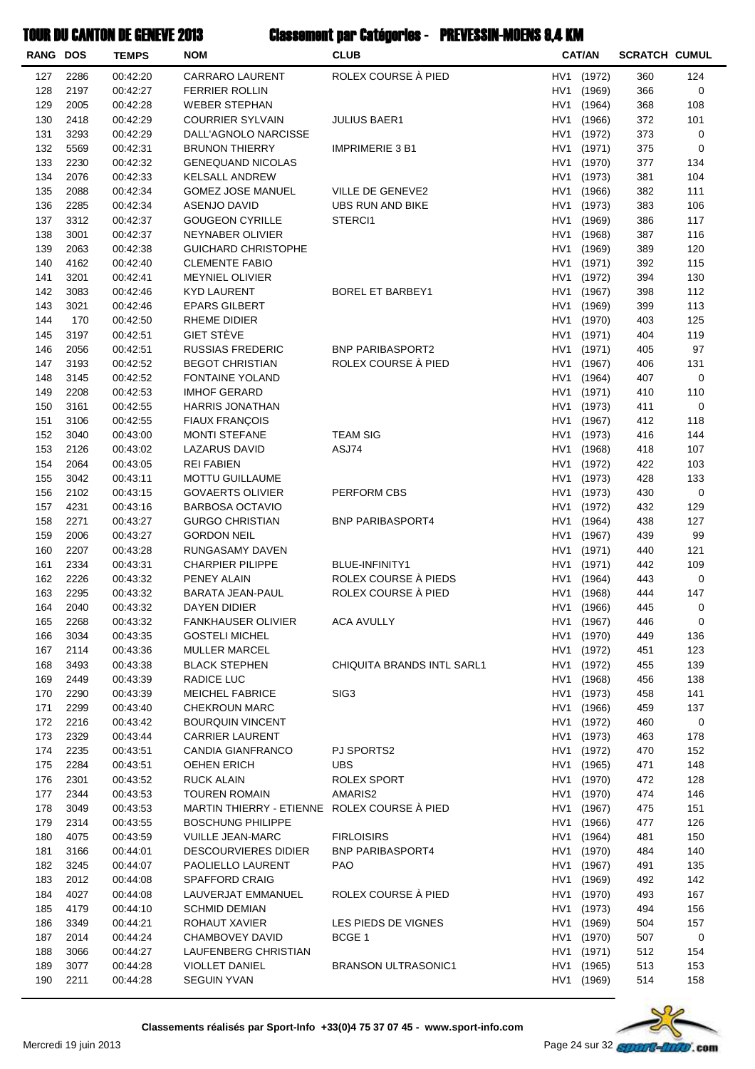| <b>RANG DOS</b> |              | <b>TEMPS</b>         | <b>NOM</b>                                    | <b>CLUB</b>                                 |            | <b>CAT/AN</b>            | <b>SCRATCH CUMUL</b> |            |
|-----------------|--------------|----------------------|-----------------------------------------------|---------------------------------------------|------------|--------------------------|----------------------|------------|
| 127             | 2286         | 00:42:20             | <b>CARRARO LAURENT</b>                        | ROLEX COURSE À PIED                         | HV1        | (1972)                   | 360                  | 124        |
| 128             | 2197         | 00:42:27             | <b>FERRIER ROLLIN</b>                         |                                             | HV1        | (1969)                   | 366                  | 0          |
| 129             | 2005         | 00:42:28             | <b>WEBER STEPHAN</b>                          |                                             | HV1        | (1964)                   | 368                  | 108        |
| 130             | 2418         | 00:42:29             | <b>COURRIER SYLVAIN</b>                       | <b>JULIUS BAER1</b>                         | HV1        | (1966)                   | 372                  | 101        |
| 131             | 3293         | 00:42:29             | DALL'AGNOLO NARCISSE                          |                                             | HV1        | (1972)                   | 373                  | 0          |
| 132             | 5569         | 00:42:31             | <b>BRUNON THIERRY</b>                         | <b>IMPRIMERIE 3 B1</b>                      | HV1        | (1971)                   | 375                  | 0          |
| 133             | 2230         | 00:42:32             | <b>GENEQUAND NICOLAS</b>                      |                                             | HV1        | (1970)                   | 377                  | 134        |
| 134             | 2076         | 00:42:33             | <b>KELSALL ANDREW</b>                         |                                             | HV1        | (1973)                   | 381                  | 104        |
| 135<br>136      | 2088<br>2285 | 00:42:34             | <b>GOMEZ JOSE MANUEL</b>                      | VILLE DE GENEVE2<br>UBS RUN AND BIKE        | HV1<br>HV1 | (1966)<br>(1973)         | 382<br>383           | 111<br>106 |
| 137             | 3312         | 00:42:34<br>00:42:37 | ASENJO DAVID<br><b>GOUGEON CYRILLE</b>        | STERCI1                                     | HV1        | (1969)                   | 386                  | 117        |
| 138             | 3001         | 00:42:37             | NEYNABER OLIVIER                              |                                             | HV1        | (1968)                   | 387                  | 116        |
| 139             | 2063         | 00:42:38             | <b>GUICHARD CHRISTOPHE</b>                    |                                             | HV1        | (1969)                   | 389                  | 120        |
| 140             | 4162         | 00:42:40             | <b>CLEMENTE FABIO</b>                         |                                             | HV1        | (1971)                   | 392                  | 115        |
| 141             | 3201         | 00:42:41             | <b>MEYNIEL OLIVIER</b>                        |                                             | HV1        | (1972)                   | 394                  | 130        |
| 142             | 3083         | 00:42:46             | <b>KYD LAURENT</b>                            | <b>BOREL ET BARBEY1</b>                     | HV1        | (1967)                   | 398                  | 112        |
| 143             | 3021         | 00:42:46             | <b>EPARS GILBERT</b>                          |                                             | HV1        | (1969)                   | 399                  | 113        |
| 144             | 170          | 00:42:50             | <b>RHEME DIDIER</b>                           |                                             | HV1        | (1970)                   | 403                  | 125        |
| 145             | 3197         | 00:42:51             | GIET STÈVE                                    |                                             | HV1        | (1971)                   | 404                  | 119        |
| 146             | 2056         | 00:42:51             | <b>RUSSIAS FREDERIC</b>                       | <b>BNP PARIBASPORT2</b>                     | HV1        | (1971)                   | 405                  | 97         |
| 147             | 3193         | 00:42:52             | <b>BEGOT CHRISTIAN</b>                        | ROLEX COURSE À PIED                         | HV1        | (1967)                   | 406                  | 131        |
| 148             | 3145         | 00:42:52             | <b>FONTAINE YOLAND</b>                        |                                             | HV1        | (1964)                   | 407                  | 0          |
| 149<br>150      | 2208<br>3161 | 00:42:53<br>00:42:55 | <b>IMHOF GERARD</b><br><b>HARRIS JONATHAN</b> |                                             | HV1<br>HV1 | (1971)<br>(1973)         | 410<br>411           | 110<br>0   |
| 151             | 3106         | 00:42:55             | <b>FIAUX FRANÇOIS</b>                         |                                             | HV1        | (1967)                   | 412                  | 118        |
| 152             | 3040         | 00:43:00             | <b>MONTI STEFANE</b>                          | <b>TEAM SIG</b>                             | HV1        | (1973)                   | 416                  | 144        |
| 153             | 2126         | 00:43:02             | LAZARUS DAVID                                 | ASJ74                                       | HV1        | (1968)                   | 418                  | 107        |
| 154             | 2064         | 00:43:05             | <b>REI FABIEN</b>                             |                                             | HV1        | (1972)                   | 422                  | 103        |
| 155             | 3042         | 00:43:11             | <b>MOTTU GUILLAUME</b>                        |                                             | HV1        | (1973)                   | 428                  | 133        |
| 156             | 2102         | 00:43:15             | <b>GOVAERTS OLIVIER</b>                       | PERFORM CBS                                 | HV1        | (1973)                   | 430                  | 0          |
| 157             | 4231         | 00:43:16             | <b>BARBOSA OCTAVIO</b>                        |                                             | HV1        | (1972)                   | 432                  | 129        |
| 158             | 2271         | 00:43:27             | <b>GURGO CHRISTIAN</b>                        | <b>BNP PARIBASPORT4</b>                     | HV1        | (1964)                   | 438                  | 127        |
| 159             | 2006         | 00:43:27             | <b>GORDON NEIL</b>                            |                                             | HV1        | (1967)                   | 439                  | 99         |
| 160             | 2207         | 00:43:28             | RUNGASAMY DAVEN                               |                                             | HV1        | (1971)                   | 440                  | 121        |
| 161             | 2334         | 00:43:31             | <b>CHARPIER PILIPPE</b>                       | <b>BLUE-INFINITY1</b>                       | HV1        | (1971)                   | 442                  | 109        |
| 162<br>163      | 2226<br>2295 | 00:43:32<br>00:43:32 | PENEY ALAIN<br><b>BARATA JEAN-PAUL</b>        | ROLEX COURSE À PIEDS<br>ROLEX COURSE À PIED | HV1<br>HV1 | (1964)                   | 443<br>444           | 0<br>147   |
| 164             | 2040         | 00:43:32             | DAYEN DIDIER                                  |                                             |            | (1968)<br>HV1 (1966)     | 445                  | 0          |
| 165             | 2268         | 00:43:32             | <b>FANKHAUSER OLIVIER</b>                     | <b>ACA AVULLY</b>                           |            | HV1 (1967)               | 446                  | 0          |
| 166             | 3034         | 00:43:35             | <b>GOSTELI MICHEL</b>                         |                                             |            | HV1 (1970)               | 449                  | 136        |
| 167             | 2114         | 00:43:36             | <b>MULLER MARCEL</b>                          |                                             |            | HV1 (1972)               | 451                  | 123        |
| 168             | 3493         | 00:43:38             | <b>BLACK STEPHEN</b>                          | CHIQUITA BRANDS INTL SARL1                  |            | HV1 (1972)               | 455                  | 139        |
| 169             | 2449         | 00:43:39             | RADICE LUC                                    |                                             |            | HV1 (1968)               | 456                  | 138        |
| 170             | 2290         | 00:43:39             | <b>MEICHEL FABRICE</b>                        | SIG <sub>3</sub>                            |            | HV1 (1973)               | 458                  | 141        |
| 171             | 2299         | 00:43:40             | <b>CHEKROUN MARC</b>                          |                                             | HV1        | (1966)                   | 459                  | 137        |
| 172             | 2216         | 00:43:42             | <b>BOURQUIN VINCENT</b>                       |                                             |            | HV1 (1972)               | 460                  | 0          |
| 173             | 2329         | 00:43:44             | <b>CARRIER LAURENT</b>                        |                                             |            | HV1 (1973)               | 463                  | 178        |
| 174             | 2235         | 00:43:51             | CANDIA GIANFRANCO                             | PJ SPORTS2                                  |            | HV1 (1972)               | 470                  | 152        |
| 175             | 2284         | 00:43:51             | OEHEN ERICH                                   | <b>UBS</b>                                  | HV1        | (1965)<br>(1970)         | 471                  | 148        |
| 176<br>177      | 2301<br>2344 | 00:43:52<br>00:43:53 | <b>RUCK ALAIN</b><br><b>TOUREN ROMAIN</b>     | <b>ROLEX SPORT</b><br>AMARIS2               | HV1<br>HV1 | (1970)                   | 472<br>474           | 128<br>146 |
| 178             | 3049         | 00:43:53             | MARTIN THIERRY - ETIENNE ROLEX COURSE À PIED  |                                             |            | HV1 (1967)               | 475                  | 151        |
| 179             | 2314         | 00:43:55             | <b>BOSCHUNG PHILIPPE</b>                      |                                             | HV1        | (1966)                   | 477                  | 126        |
| 180             | 4075         | 00:43:59             | <b>VUILLE JEAN-MARC</b>                       | <b>FIRLOISIRS</b>                           | HV1        | (1964)                   | 481                  | 150        |
| 181             | 3166         | 00:44:01             | <b>DESCOURVIERES DIDIER</b>                   | <b>BNP PARIBASPORT4</b>                     |            | HV1 (1970)               | 484                  | 140        |
| 182             | 3245         | 00:44:07             | PAOLIELLO LAURENT                             | <b>PAO</b>                                  |            | HV1 (1967)               | 491                  | 135        |
| 183             | 2012         | 00:44:08             | SPAFFORD CRAIG                                |                                             |            | HV1 (1969)               | 492                  | 142        |
| 184             | 4027         | 00:44:08             | LAUVERJAT EMMANUEL                            | ROLEX COURSE À PIED                         | HV1        | (1970)                   | 493                  | 167        |
| 185             | 4179         | 00:44:10             | <b>SCHMID DEMIAN</b>                          |                                             |            | HV1 (1973)               | 494                  | 156        |
| 186             | 3349         | 00:44:21             | ROHAUT XAVIER                                 | LES PIEDS DE VIGNES                         |            | HV1 (1969)               | 504                  | 157        |
| 187             | 2014         | 00:44:24             | CHAMBOVEY DAVID                               | BCGE 1                                      |            | HV1 (1970)               | 507                  | 0          |
| 188             | 3066         | 00:44:27             | LAUFENBERG CHRISTIAN                          |                                             | HV1        | (1971)                   | 512                  | 154        |
| 189<br>190      | 3077<br>2211 | 00:44:28             | <b>VIOLLET DANIEL</b><br><b>SEGUIN YVAN</b>   | <b>BRANSON ULTRASONIC1</b>                  |            | HV1 (1965)<br>HV1 (1969) | 513<br>514           | 153<br>158 |
|                 |              | 00:44:28             |                                               |                                             |            |                          |                      |            |

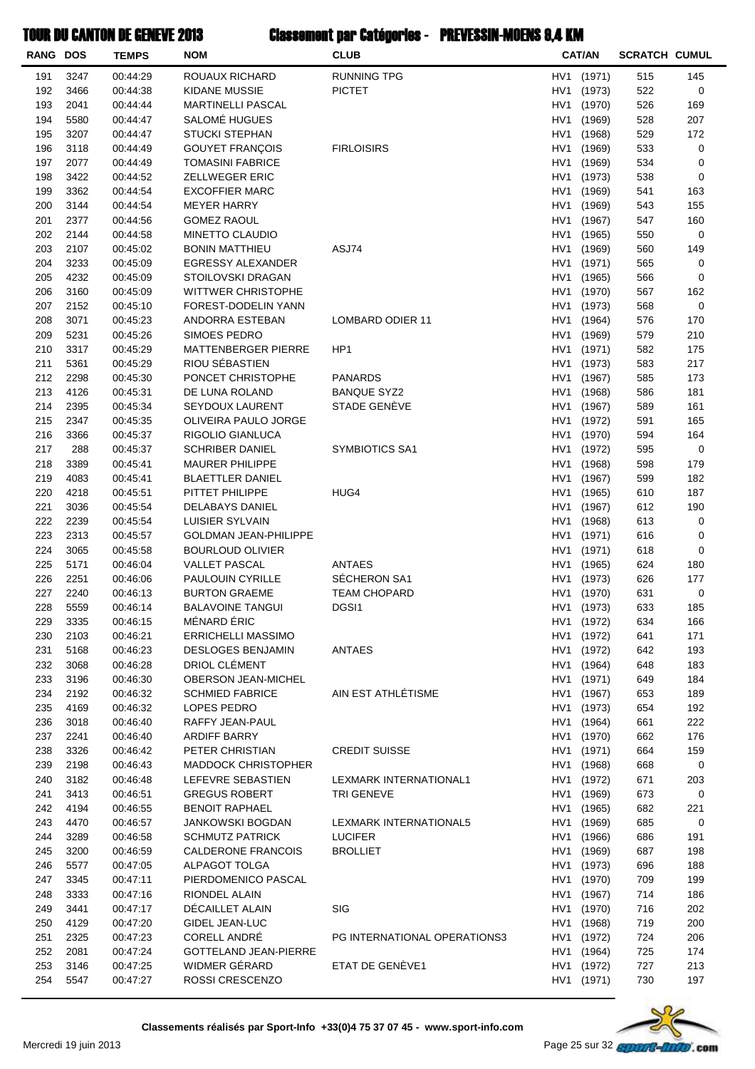| <b>RANG DOS</b> |              | <b>TEMPS</b>         | <b>NOM</b>                                       | <b>CLUB</b>                  |                 | <b>CAT/AN</b>    | <b>SCRATCH CUMUL</b> |            |
|-----------------|--------------|----------------------|--------------------------------------------------|------------------------------|-----------------|------------------|----------------------|------------|
| 191             | 3247         | 00:44:29             | ROUAUX RICHARD                                   | <b>RUNNING TPG</b>           | HV1             | (1971)           | 515                  | 145        |
| 192             | 3466         | 00:44:38             | <b>KIDANE MUSSIE</b>                             | <b>PICTET</b>                | HV1             | (1973)           | 522                  | 0          |
| 193             | 2041         | 00:44:44             | <b>MARTINELLI PASCAL</b>                         |                              | HV1             | (1970)           | 526                  | 169        |
| 194             | 5580         | 00:44:47             | SALOMÉ HUGUES                                    |                              | HV1             | (1969)           | 528                  | 207        |
| 195             | 3207         | 00:44:47             | <b>STUCKI STEPHAN</b>                            |                              | HV <sub>1</sub> | (1968)           | 529                  | 172        |
| 196             | 3118         | 00:44:49             | <b>GOUYET FRANÇOIS</b>                           | <b>FIRLOISIRS</b>            | HV <sub>1</sub> | (1969)           | 533                  | 0          |
| 197             | 2077         | 00:44:49             | <b>TOMASINI FABRICE</b>                          |                              | HV1             | (1969)           | 534                  | 0          |
| 198             | 3422         | 00:44:52             | <b>ZELLWEGER ERIC</b>                            |                              | HV1             | (1973)           | 538                  | 0          |
| 199             | 3362         | 00:44:54             | <b>EXCOFFIER MARC</b>                            |                              | HV1             | (1969)           | 541                  | 163        |
| 200             | 3144         | 00:44:54             | <b>MEYER HARRY</b>                               |                              | HV1             | (1969)           | 543                  | 155        |
| 201             | 2377         | 00:44:56             | <b>GOMEZ RAOUL</b>                               |                              | HV1             | (1967)           | 547                  | 160        |
| 202<br>203      | 2144<br>2107 | 00:44:58<br>00:45:02 | MINETTO CLAUDIO                                  | ASJ74                        | HV1<br>HV1      | (1965)           | 550<br>560           | 0<br>149   |
| 204             | 3233         | 00:45:09             | <b>BONIN MATTHIEU</b><br>EGRESSY ALEXANDER       |                              | HV <sub>1</sub> | (1969)<br>(1971) | 565                  | 0          |
| 205             | 4232         | 00:45:09             | <b>STOILOVSKI DRAGAN</b>                         |                              | HV <sub>1</sub> | (1965)           | 566                  | 0          |
| 206             | 3160         | 00:45:09             | <b>WITTWER CHRISTOPHE</b>                        |                              | HV1             | (1970)           | 567                  | 162        |
| 207             | 2152         | 00:45:10             | FOREST-DODELIN YANN                              |                              | HV1             | (1973)           | 568                  | 0          |
| 208             | 3071         | 00:45:23             | ANDORRA ESTEBAN                                  | LOMBARD ODIER 11             | HV1             | (1964)           | 576                  | 170        |
| 209             | 5231         | 00:45:26             | <b>SIMOES PEDRO</b>                              |                              | HV1             | (1969)           | 579                  | 210        |
| 210             | 3317         | 00:45:29             | MATTENBERGER PIERRE                              | HP <sub>1</sub>              | HV1             | (1971)           | 582                  | 175        |
| 211             | 5361         | 00:45:29             | RIOU SÉBASTIEN                                   |                              | HV1             | (1973)           | 583                  | 217        |
| 212             | 2298         | 00:45:30             | PONCET CHRISTOPHE                                | <b>PANARDS</b>               | HV <sub>1</sub> | (1967)           | 585                  | 173        |
| 213             | 4126         | 00:45:31             | DE LUNA ROLAND                                   | <b>BANQUE SYZ2</b>           | HV <sub>1</sub> | (1968)           | 586                  | 181        |
| 214             | 2395         | 00:45:34             | <b>SEYDOUX LAURENT</b>                           | STADE GENÈVE                 | HV1             | (1967)           | 589                  | 161        |
| 215             | 2347         | 00:45:35             | OLIVEIRA PAULO JORGE                             |                              | HV1             | (1972)           | 591                  | 165        |
| 216             | 3366         | 00:45:37             | RIGOLIO GIANLUCA                                 |                              | HV1             | (1970)           | 594                  | 164        |
| 217             | 288          | 00:45:37             | <b>SCHRIBER DANIEL</b>                           | <b>SYMBIOTICS SA1</b>        | HV1             | (1972)           | 595                  | 0          |
| 218             | 3389         | 00:45:41             | <b>MAURER PHILIPPE</b>                           |                              | HV1             | (1968)           | 598                  | 179        |
| 219             | 4083         | 00:45:41             | <b>BLAETTLER DANIEL</b>                          |                              | HV1             | (1967)           | 599                  | 182        |
| 220             | 4218         | 00:45:51             | PITTET PHILIPPE                                  | HUG4                         | HV1             | (1965)           | 610                  | 187        |
| 221             | 3036         | 00:45:54             | DELABAYS DANIEL                                  |                              | HV <sub>1</sub> | (1967)           | 612                  | 190        |
| 222             | 2239         | 00:45:54             | LUISIER SYLVAIN                                  |                              | HV <sub>1</sub> | (1968)           | 613                  | 0          |
| 223             | 2313         | 00:45:57             | <b>GOLDMAN JEAN-PHILIPPE</b>                     |                              | HV1             | (1971)           | 616                  | 0          |
| 224             | 3065         | 00:45:58             | <b>BOURLOUD OLIVIER</b>                          |                              | HV1             | (1971)           | 618                  | 0          |
| 225<br>226      | 5171<br>2251 | 00:46:04<br>00:46:06 | <b>VALLET PASCAL</b><br>PAULOUIN CYRILLE         | ANTAES<br>SÉCHERON SA1       | HV1<br>HV1      | (1965)<br>(1973) | 624<br>626           | 180<br>177 |
| 227             | 2240         | 00:46:13             | <b>BURTON GRAEME</b>                             | <b>TEAM CHOPARD</b>          | HV1             | (1970)           | 631                  | 0          |
| 228             | 5559         | 00:46:14             | <b>BALAVOINE TANGUI</b>                          | DGSI1                        |                 | HV1 (1973)       | 633                  | 185        |
| 229             | 3335         | 00:46:15             | MÉNARD ÉRIC                                      |                              |                 | HV1 (1972)       | 634                  | 166        |
| 230             | 2103         | 00:46:21             | <b>ERRICHELLI MASSIMO</b>                        |                              | HV1             | (1972)           | 641                  | 171        |
| 231             | 5168         | 00:46:23             | <b>DESLOGES BENJAMIN</b>                         | <b>ANTAES</b>                | HV1             | (1972)           | 642                  | 193        |
| 232             | 3068         | 00:46:28             | DRIOL CLÉMENT                                    |                              |                 | HV1 (1964)       | 648                  | 183        |
| 233             | 3196         | 00:46:30             | <b>OBERSON JEAN-MICHEL</b>                       |                              |                 | HV1 (1971)       | 649                  | 184        |
| 234             | 2192         | 00:46:32             | <b>SCHMIED FABRICE</b>                           | AIN EST ATHLÉTISME           | HV1             | (1967)           | 653                  | 189        |
| 235             | 4169         | 00:46:32             | LOPES PEDRO                                      |                              | HV1             | (1973)           | 654                  | 192        |
| 236             | 3018         | 00:46:40             | RAFFY JEAN-PAUL                                  |                              | HV1             | (1964)           | 661                  | 222        |
| 237             | 2241         | 00:46:40             | <b>ARDIFF BARRY</b>                              |                              |                 | HV1 (1970)       | 662                  | 176        |
| 238             | 3326         | 00:46:42             | PETER CHRISTIAN                                  | <b>CREDIT SUISSE</b>         | HV1             | (1971)           | 664                  | 159        |
| 239             | 2198         | 00:46:43             | <b>MADDOCK CHRISTOPHER</b>                       |                              | HV1             | (1968)           | 668                  | 0          |
| 240             | 3182         | 00:46:48             | LEFEVRE SEBASTIEN                                | LEXMARK INTERNATIONAL1       | HV1             | (1972)           | 671                  | 203        |
| 241             | 3413         | 00:46:51             | <b>GREGUS ROBERT</b>                             | <b>TRI GENEVE</b>            |                 | HV1 (1969)       | 673                  | 0          |
| 242<br>243      | 4194<br>4470 | 00:46:55<br>00:46:57 | <b>BENOIT RAPHAEL</b><br><b>JANKOWSKI BOGDAN</b> | LEXMARK INTERNATIONAL5       | HV1<br>HV1      | (1965)<br>(1969) | 682<br>685           | 221<br>0   |
| 244             | 3289         | 00:46:58             | <b>SCHMUTZ PATRICK</b>                           | <b>LUCIFER</b>               | HV1             | (1966)           | 686                  | 191        |
| 245             | 3200         | 00:46:59             | <b>CALDERONE FRANCOIS</b>                        | <b>BROLLIET</b>              |                 | HV1 (1969)       | 687                  | 198        |
| 246             | 5577         | 00:47:05             | ALPAGOT TOLGA                                    |                              | HV1             | (1973)           | 696                  | 188        |
| 247             | 3345         | 00:47:11             | PIERDOMENICO PASCAL                              |                              | HV1             | (1970)           | 709                  | 199        |
| 248             | 3333         | 00:47:16             | RIONDEL ALAIN                                    |                              | HV1             | (1967)           | 714                  | 186        |
| 249             | 3441         | 00:47:17             | DÉCAILLET ALAIN                                  | SIG                          |                 | HV1 (1970)       | 716                  | 202        |
| 250             | 4129         | 00:47:20             | <b>GIDEL JEAN-LUC</b>                            |                              |                 | HV1 (1968)       | 719                  | 200        |
| 251             | 2325         | 00:47:23             | CORELL ANDRÉ                                     | PG INTERNATIONAL OPERATIONS3 | HV1             | (1972)           | 724                  | 206        |
| 252             | 2081         | 00:47:24             | <b>GOTTELAND JEAN-PIERRE</b>                     |                              | HV1             | (1964)           | 725                  | 174        |
| 253             | 3146         | 00:47:25             | WIDMER GÉRARD                                    | ETAT DE GENÈVE1              | HV1             | (1972)           | 727                  | 213        |
| 254             | 5547         | 00:47:27             | ROSSI CRESCENZO                                  |                              |                 | HV1 (1971)       | 730                  | 197        |
|                 |              |                      |                                                  |                              |                 |                  |                      |            |

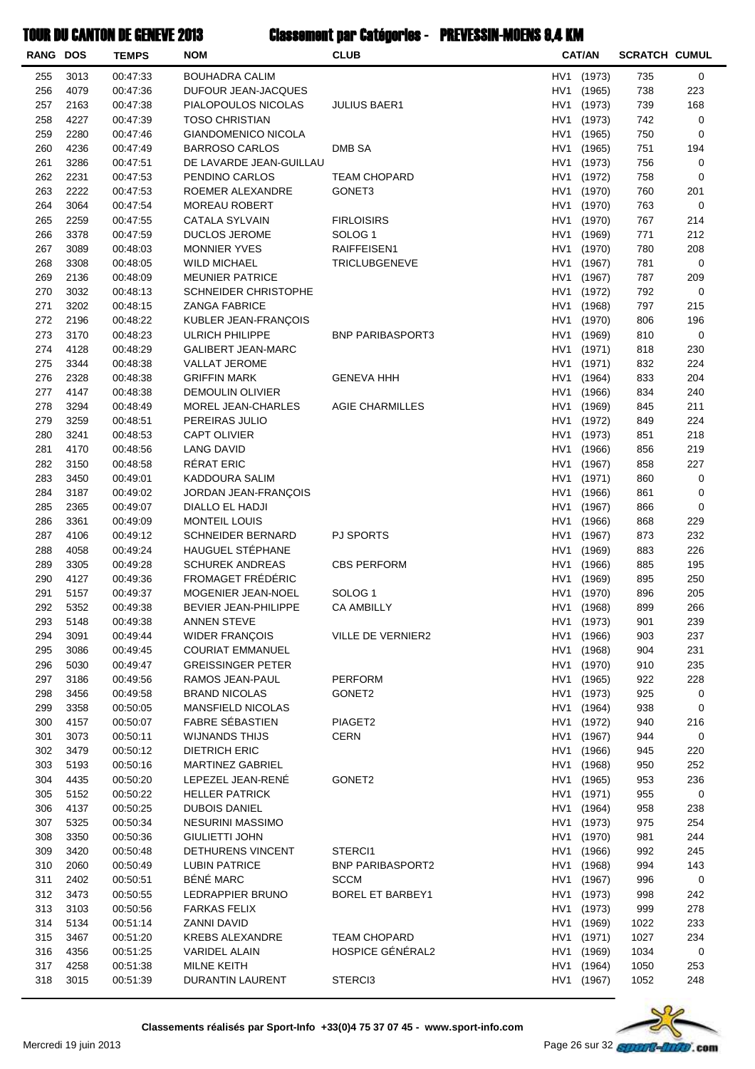| <b>RANG DOS</b> |              | <b>TEMPS</b>         | <b>NOM</b>                                   | <b>CLUB</b>                             |                                    | <b>CAT/AN</b>    | <b>SCRATCH CUMUL</b> |             |
|-----------------|--------------|----------------------|----------------------------------------------|-----------------------------------------|------------------------------------|------------------|----------------------|-------------|
| 255             | 3013         | 00:47:33             | <b>BOUHADRA CALIM</b>                        |                                         | HV1                                | (1973)           | 735                  | 0           |
| 256             | 4079         | 00:47:36             | DUFOUR JEAN-JACQUES                          |                                         | HV <sub>1</sub>                    | (1965)           | 738                  | 223         |
| 257             | 2163         | 00:47:38             | PIALOPOULOS NICOLAS                          | <b>JULIUS BAER1</b>                     | HV1                                | (1973)           | 739                  | 168         |
| 258             | 4227         | 00:47:39             | <b>TOSO CHRISTIAN</b>                        |                                         | HV1                                | (1973)           | 742                  | 0           |
| 259             | 2280         | 00:47:46             | <b>GIANDOMENICO NICOLA</b>                   |                                         | HV1                                | (1965)           | 750                  | 0           |
| 260             | 4236         | 00:47:49             | <b>BARROSO CARLOS</b>                        | <b>DMB SA</b>                           | HV1                                | (1965)           | 751                  | 194         |
| 261             | 3286         | 00:47:51             | DE LAVARDE JEAN-GUILLAU                      |                                         | HV1                                | (1973)           | 756                  | 0           |
| 262             | 2231         | 00:47:53             | PENDINO CARLOS                               | <b>TEAM CHOPARD</b>                     | HV1                                | (1972)           | 758                  | 0           |
| 263             | 2222         | 00:47:53             | ROEMER ALEXANDRE                             | GONET <sub>3</sub>                      | HV1                                | (1970)           | 760                  | 201         |
| 264<br>265      | 3064<br>2259 | 00:47:54             | <b>MOREAU ROBERT</b>                         |                                         | HV <sub>1</sub><br>HV <sub>1</sub> | (1970)<br>(1970) | 763<br>767           | 0<br>214    |
| 266             | 3378         | 00:47:55<br>00:47:59 | CATALA SYLVAIN<br>DUCLOS JEROME              | <b>FIRLOISIRS</b><br>SOLOG <sub>1</sub> | HV <sub>1</sub>                    | (1969)           | 771                  | 212         |
| 267             | 3089         | 00:48:03             | <b>MONNIER YVES</b>                          | RAIFFEISEN1                             | HV1                                | (1970)           | 780                  | 208         |
| 268             | 3308         | 00:48:05             | <b>WILD MICHAEL</b>                          | <b>TRICLUBGENEVE</b>                    | HV1                                | (1967)           | 781                  | 0           |
| 269             | 2136         | 00:48:09             | <b>MEUNIER PATRICE</b>                       |                                         | HV1                                | (1967)           | 787                  | 209         |
| 270             | 3032         | 00:48:13             | <b>SCHNEIDER CHRISTOPHE</b>                  |                                         | HV1                                | (1972)           | 792                  | $\mathbf 0$ |
| 271             | 3202         | 00:48:15             | <b>ZANGA FABRICE</b>                         |                                         | HV <sub>1</sub>                    | (1968)           | 797                  | 215         |
| 272             | 2196         | 00:48:22             | KUBLER JEAN-FRANÇOIS                         |                                         | HV1                                | (1970)           | 806                  | 196         |
| 273             | 3170         | 00:48:23             | <b>ULRICH PHILIPPE</b>                       | <b>BNP PARIBASPORT3</b>                 | HV <sub>1</sub>                    | (1969)           | 810                  | 0           |
| 274             | 4128         | 00:48:29             | <b>GALIBERT JEAN-MARC</b>                    |                                         | HV1                                | (1971)           | 818                  | 230         |
| 275             | 3344         | 00:48:38             | <b>VALLAT JEROME</b>                         |                                         | HV1                                | (1971)           | 832                  | 224         |
| 276             | 2328         | 00:48:38             | <b>GRIFFIN MARK</b>                          | <b>GENEVA HHH</b>                       | HV1                                | (1964)           | 833                  | 204         |
| 277             | 4147         | 00:48:38             | <b>DEMOULIN OLIVIER</b>                      |                                         | HV1                                | (1966)           | 834                  | 240         |
| 278             | 3294         | 00:48:49             | MOREL JEAN-CHARLES                           | <b>AGIE CHARMILLES</b>                  | HV1                                | (1969)           | 845                  | 211         |
| 279             | 3259         | 00:48:51             | PEREIRAS JULIO                               |                                         | HV <sub>1</sub>                    | (1972)           | 849                  | 224         |
| 280             | 3241         | 00:48:53             | <b>CAPT OLIVIER</b>                          |                                         | HV <sub>1</sub>                    | (1973)           | 851                  | 218         |
| 281             | 4170         | 00:48:56             | <b>LANG DAVID</b>                            |                                         | HV <sub>1</sub>                    | (1966)           | 856                  | 219         |
| 282             | 3150         | 00:48:58             | RÉRAT ERIC                                   |                                         | HV <sub>1</sub>                    | (1967)           | 858                  | 227         |
| 283             | 3450         | 00:49:01             | KADDOURA SALIM                               |                                         | HV1                                | (1971)           | 860                  | 0           |
| 284             | 3187         | 00:49:02             | JORDAN JEAN-FRANÇOIS                         |                                         | HV <sub>1</sub>                    | (1966)           | 861                  | 0           |
| 285             | 2365         | 00:49:07             | DIALLO EL HADJI                              |                                         | HV1                                | (1967)           | 866                  | 0           |
| 286             | 3361         | 00:49:09             | MONTEIL LOUIS                                |                                         | HV1                                | (1966)           | 868                  | 229         |
| 287<br>288      | 4106<br>4058 | 00:49:12             | <b>SCHNEIDER BERNARD</b><br>HAUGUEL STÉPHANE | PJ SPORTS                               | HV1<br>HV1                         | (1967)<br>(1969) | 873                  | 232<br>226  |
| 289             | 3305         | 00:49:24<br>00:49:28 | <b>SCHUREK ANDREAS</b>                       | <b>CBS PERFORM</b>                      | HV1                                | (1966)           | 883<br>885           | 195         |
| 290             | 4127         | 00:49:36             | FROMAGET FRÉDÉRIC                            |                                         | HV <sub>1</sub>                    | (1969)           | 895                  | 250         |
| 291             | 5157         | 00:49:37             | MOGENIER JEAN-NOEL                           | SOLOG <sub>1</sub>                      | HV1                                | (1970)           | 896                  | 205         |
| 292             | 5352         | 00:49:38             | <b>BEVIER JEAN-PHILIPPE</b>                  | <b>CA AMBILLY</b>                       |                                    | HV1 (1968)       | 899                  | 266         |
| 293             | 5148         | 00:49:38             | ANNEN STEVE                                  |                                         |                                    | HV1 (1973)       | 901                  | 239         |
| 294             | 3091         | 00:49:44             | WIDER FRANÇOIS                               | <b>VILLE DE VERNIER2</b>                | HV1                                | (1966)           | 903                  | 237         |
| 295             | 3086         | 00:49:45             | <b>COURIAT EMMANUEL</b>                      |                                         | HV1                                | (1968)           | 904                  | 231         |
| 296             | 5030         | 00:49:47             | <b>GREISSINGER PETER</b>                     |                                         | HV1                                | (1970)           | 910                  | 235         |
| 297             | 3186         | 00:49:56             | RAMOS JEAN-PAUL                              | <b>PERFORM</b>                          | HV1                                | (1965)           | 922                  | 228         |
| 298             | 3456         | 00:49:58             | <b>BRAND NICOLAS</b>                         | GONET2                                  | HV1                                | (1973)           | 925                  | 0           |
| 299             | 3358         | 00:50:05             | MANSFIELD NICOLAS                            |                                         | HV1                                | (1964)           | 938                  | 0           |
| 300             | 4157         | 00:50:07             | <b>FABRE SÉBASTIEN</b>                       | PIAGET2                                 | HV1                                | (1972)           | 940                  | 216         |
| 301             | 3073         | 00:50:11             | <b>WIJNANDS THIJS</b>                        | <b>CERN</b>                             | HV1                                | (1967)           | 944                  | 0           |
| 302             | 3479         | 00:50:12             | <b>DIETRICH ERIC</b>                         |                                         | HV1                                | (1966)           | 945                  | 220         |
| 303             | 5193         | 00:50:16             | MARTINEZ GABRIEL                             |                                         | HV <sub>1</sub>                    | (1968)           | 950                  | 252         |
| 304             | 4435         | 00:50:20             | LEPEZEL JEAN-RENE                            | GONET2                                  | HV <sub>1</sub>                    | (1965)           | 953                  | 236         |
| 305             | 5152         | 00:50:22             | <b>HELLER PATRICK</b>                        |                                         | HV1                                | (1971)           | 955                  | 0           |
| 306<br>307      | 4137<br>5325 | 00:50:25<br>00:50:34 | <b>DUBOIS DANIEL</b><br>NESURINI MASSIMO     |                                         | HV1<br>HV1                         | (1964)<br>(1973) | 958<br>975           | 238<br>254  |
| 308             | 3350         | 00:50:36             | <b>GIULIETTI JOHN</b>                        |                                         | HV1                                | (1970)           | 981                  | 244         |
| 309             | 3420         | 00:50:48             | DETHURENS VINCENT                            | STERCI1                                 | HV1                                | (1966)           | 992                  | 245         |
| 310             | 2060         | 00:50:49             | <b>LUBIN PATRICE</b>                         | <b>BNP PARIBASPORT2</b>                 | HV1                                | (1968)           | 994                  | 143         |
| 311             | 2402         | 00:50:51             | BÉNÉ MARC                                    | SCCM                                    | HV1                                | (1967)           | 996                  | 0           |
| 312             | 3473         | 00:50:55             | LEDRAPPIER BRUNO                             | <b>BOREL ET BARBEY1</b>                 | HV <sub>1</sub>                    | (1973)           | 998                  | 242         |
| 313             | 3103         | 00:50:56             | <b>FARKAS FELIX</b>                          |                                         | HV <sub>1</sub>                    | (1973)           | 999                  | 278         |
| 314             | 5134         | 00:51:14             | ZANNI DAVID                                  |                                         | HV1                                | (1969)           | 1022                 | 233         |
| 315             | 3467         | 00:51:20             | <b>KREBS ALEXANDRE</b>                       | <b>TEAM CHOPARD</b>                     | HV1                                | (1971)           | 1027                 | 234         |
| 316             | 4356         | 00:51:25             | <b>VARIDEL ALAIN</b>                         | HOSPICE GÉNÉRAL2                        | HV1                                | (1969)           | 1034                 | 0           |
| 317             | 4258         | 00:51:38             | MILNE KEITH                                  |                                         | HV1                                | (1964)           | 1050                 | 253         |
| 318             | 3015         | 00:51:39             | DURANTIN LAURENT                             | STERCI3                                 | HV1                                | (1967)           | 1052                 | 248         |
|                 |              |                      |                                              |                                         |                                    |                  |                      |             |

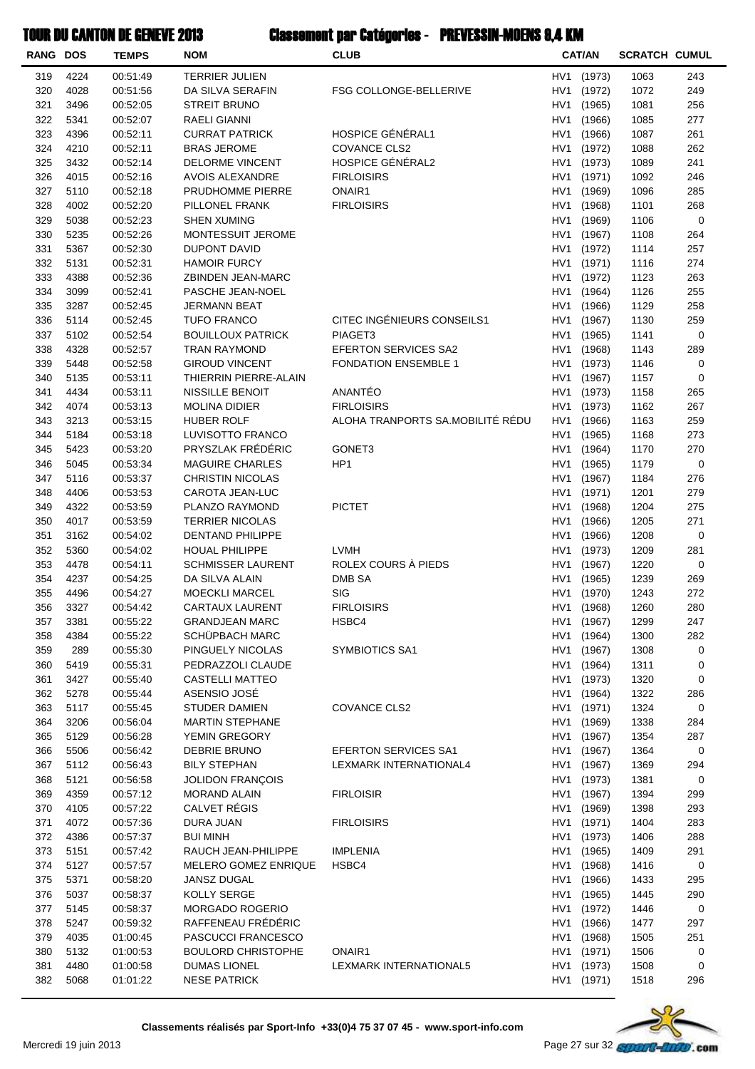| <b>RANG DOS</b> |              | <b>TEMPS</b>         | <b>NOM</b>                                      | CLUB                             |                        | <b>CAT/AN</b>    | <b>SCRATCH CUMUL</b> |            |
|-----------------|--------------|----------------------|-------------------------------------------------|----------------------------------|------------------------|------------------|----------------------|------------|
| 319             | 4224         | 00:51:49             | TERRIER JULIEN                                  |                                  | HV <sub>1</sub>        | (1973)           | 1063                 | 243        |
| 320             | 4028         | 00:51:56             | DA SILVA SERAFIN                                | FSG COLLONGE-BELLERIVE           | HV1                    | (1972)           | 1072                 | 249        |
| 321             | 3496         | 00:52:05             | <b>STREIT BRUNO</b>                             |                                  | HV <sub>1</sub>        | (1965)           | 1081                 | 256        |
| 322             | 5341         | 00:52:07             | <b>RAELI GIANNI</b>                             |                                  | HV <sub>1</sub>        | (1966)           | 1085                 | 277        |
| 323             | 4396         | 00:52:11             | <b>CURRAT PATRICK</b>                           | HOSPICE GÉNÉRAL1                 | HV1                    | (1966)           | 1087                 | 261        |
| 324             | 4210         | 00:52:11             | <b>BRAS JEROME</b>                              | <b>COVANCE CLS2</b>              | HV1                    | (1972)           | 1088                 | 262        |
| 325             | 3432         | 00:52:14             | <b>DELORME VINCENT</b>                          | HOSPICE GÉNÉRAL2                 | HV1                    | (1973)           | 1089                 | 241        |
| 326             | 4015         | 00:52:16             | AVOIS ALEXANDRE                                 | <b>FIRLOISIRS</b>                | HV1                    | (1971)           | 1092                 | 246        |
| 327             | 5110         | 00:52:18             | PRUDHOMME PIERRE                                | ONAIR1                           | HV1                    | (1969)           | 1096                 | 285        |
| 328             | 4002         | 00:52:20             | PILLONEL FRANK                                  | <b>FIRLOISIRS</b>                | HV1                    | (1968)           | 1101                 | 268        |
| 329             | 5038         | 00:52:23             | <b>SHEN XUMING</b>                              |                                  | HV1                    | (1969)           | 1106                 | 0          |
| 330<br>331      | 5235<br>5367 | 00:52:26<br>00:52:30 | MONTESSUIT JEROME<br>DUPONT DAVID               |                                  | HV <sub>1</sub><br>HV1 | (1967)           | 1108                 | 264<br>257 |
| 332             | 5131         | 00:52:31             | <b>HAMOIR FURCY</b>                             |                                  | HV1                    | (1972)<br>(1971) | 1114<br>1116         | 274        |
| 333             | 4388         | 00:52:36             | ZBINDEN JEAN-MARC                               |                                  | HV1                    | (1972)           | 1123                 | 263        |
| 334             | 3099         | 00:52:41             | PASCHE JEAN-NOEL                                |                                  | HV1                    | (1964)           | 1126                 | 255        |
| 335             | 3287         | 00:52:45             | <b>JERMANN BEAT</b>                             |                                  | HV1                    | (1966)           | 1129                 | 258        |
| 336             | 5114         | 00:52:45             | <b>TUFO FRANCO</b>                              | CITEC INGÉNIEURS CONSEILS1       | HV1                    | (1967)           | 1130                 | 259        |
| 337             | 5102         | 00:52:54             | <b>BOUILLOUX PATRICK</b>                        | PIAGET3                          | HV1                    | (1965)           | 1141                 | 0          |
| 338             | 4328         | 00:52:57             | <b>TRAN RAYMOND</b>                             | EFERTON SERVICES SA2             | HV <sub>1</sub>        | (1968)           | 1143                 | 289        |
| 339             | 5448         | 00:52:58             | <b>GIROUD VINCENT</b>                           | <b>FONDATION ENSEMBLE 1</b>      | HV <sub>1</sub>        | (1973)           | 1146                 | 0          |
| 340             | 5135         | 00:53:11             | THIERRIN PIERRE-ALAIN                           |                                  | HV <sub>1</sub>        | (1967)           | 1157                 | 0          |
| 341             | 4434         | 00:53:11             | NISSILLE BENOIT                                 | ANANTÉO                          | HV1                    | (1973)           | 1158                 | 265        |
| 342             | 4074         | 00:53:13             | <b>MOLINA DIDIER</b>                            | <b>FIRLOISIRS</b>                | HV1                    | (1973)           | 1162                 | 267        |
| 343             | 3213         | 00:53:15             | <b>HUBER ROLF</b>                               | ALOHA TRANPORTS SA.MOBILITÉ RÉDU | HV <sub>1</sub>        | (1966)           | 1163                 | 259        |
| 344             | 5184         | 00:53:18             | LUVISOTTO FRANCO                                |                                  | HV1                    | (1965)           | 1168                 | 273        |
| 345             | 5423         | 00:53:20             | PRYSZLAK FRÉDÉRIC                               | GONET3                           | HV1                    | (1964)           | 1170                 | 270        |
| 346             | 5045         | 00:53:34             | <b>MAGUIRE CHARLES</b>                          | HP <sub>1</sub>                  | HV1                    | (1965)           | 1179                 | 0          |
| 347             | 5116         | 00:53:37             | <b>CHRISTIN NICOLAS</b>                         |                                  | HV <sub>1</sub>        | (1967)           | 1184                 | 276        |
| 348             | 4406         | 00:53:53             | CAROTA JEAN-LUC                                 |                                  | HV <sub>1</sub>        | (1971)           | 1201                 | 279        |
| 349             | 4322         | 00:53:59             | PLANZO RAYMOND                                  | <b>PICTET</b>                    | HV1                    | (1968)           | 1204                 | 275        |
| 350             | 4017         | 00:53:59             | <b>TERRIER NICOLAS</b>                          |                                  | HV1                    | (1966)           | 1205                 | 271        |
| 351             | 3162         | 00:54:02             | <b>DENTAND PHILIPPE</b>                         |                                  | HV1                    | (1966)           | 1208                 | 0          |
| 352             | 5360         | 00:54:02             | <b>HOUAL PHILIPPE</b>                           | <b>LVMH</b>                      | HV1                    | (1973)           | 1209                 | 281        |
| 353             | 4478         | 00:54:11             | <b>SCHMISSER LAURENT</b>                        | ROLEX COURS À PIEDS              | HV1                    | (1967)           | 1220                 | 0          |
| 354             | 4237         | 00:54:25             | DA SILVA ALAIN                                  | DMB SA                           | HV1                    | (1965)           | 1239                 | 269        |
| 355             | 4496         | 00:54:27             | <b>MOECKLI MARCEL</b>                           | SIG                              | HV1                    | (1970)           | 1243                 | 272        |
| 356             | 3327<br>3381 | 00:54:42<br>00:55:22 | <b>CARTAUX LAURENT</b><br><b>GRANDJEAN MARC</b> | <b>FIRLOISIRS</b><br>HSBC4       | HV1                    | (1968)           | 1260                 | 280<br>247 |
| 357<br>358      | 4384         | 00:55:22             | SCHÜPBACH MARC                                  |                                  | HV1<br>HV1             | (1967)<br>(1964) | 1299<br>1300         | 282        |
| 359             | 289          | 00:55:30             | PINGUELY NICOLAS                                | SYMBIOTICS SA1                   | HV1                    | (1967)           | 1308                 | 0          |
| 360             | 5419         | 00:55:31             | PEDRAZZOLI CLAUDE                               |                                  | HV1                    | (1964)           | 1311                 | 0          |
| 361             | 3427         | 00:55:40             | CASTELLI MATTEO                                 |                                  | HV1                    | (1973)           | 1320                 | 0          |
| 362             | 5278         | 00:55:44             | ASENSIO JOSÉ                                    |                                  | HV1                    | (1964)           | 1322                 | 286        |
| 363             | 5117         | 00:55:45             | <b>STUDER DAMIEN</b>                            | <b>COVANCE CLS2</b>              | HV1                    | (1971)           | 1324                 | 0          |
| 364             | 3206         | 00:56:04             | <b>MARTIN STEPHANE</b>                          |                                  | HV1                    | (1969)           | 1338                 | 284        |
| 365             | 5129         | 00:56:28             | YEMIN GREGORY                                   |                                  | HV1                    | (1967)           | 1354                 | 287        |
| 366             | 5506         | 00:56:42             | DEBRIE BRUNO                                    | EFERTON SERVICES SA1             | HV1                    | (1967)           | 1364                 | 0          |
| 367             | 5112         | 00:56:43             | <b>BILY STEPHAN</b>                             | LEXMARK INTERNATIONAL4           | HV1                    | (1967)           | 1369                 | 294        |
| 368             | 5121         | 00:56:58             | <b>JOLIDON FRANÇOIS</b>                         |                                  | HV1                    | (1973)           | 1381                 | 0          |
| 369             | 4359         | 00:57:12             | <b>MORAND ALAIN</b>                             | <b>FIRLOISIR</b>                 | HV1                    | (1967)           | 1394                 | 299        |
| 370             | 4105         | 00:57:22             | CALVET RÉGIS                                    |                                  | HV1                    | (1969)           | 1398                 | 293        |
| 371             | 4072         | 00:57:36             | DURA JUAN                                       | <b>FIRLOISIRS</b>                | HV1                    | (1971)           | 1404                 | 283        |
| 372             | 4386         | 00:57:37             | <b>BUI MINH</b>                                 |                                  | HV1                    | (1973)           | 1406                 | 288        |
| 373             | 5151         | 00:57:42             | RAUCH JEAN-PHILIPPE                             | <b>IMPLENIA</b>                  | HV1                    | (1965)           | 1409                 | 291        |
| 374             | 5127         | 00:57:57             | MELERO GOMEZ ENRIQUE                            | HSBC4                            | HV1                    | (1968)           | 1416                 | 0          |
| 375             | 5371         | 00:58:20             | JANSZ DUGAL                                     |                                  | HV1                    | (1966)           | 1433                 | 295        |
| 376             | 5037         | 00:58:37             | KOLLY SERGE                                     |                                  | HV1                    | (1965)           | 1445                 | 290        |
| 377             | 5145         | 00:58:37             | MORGADO ROGERIO                                 |                                  | HV1                    | (1972)           | 1446                 | 0          |
| 378             | 5247         | 00:59:32             | RAFFENEAU FRÉDÉRIC                              |                                  | HV1                    | (1966)           | 1477                 | 297        |
| 379             | 4035         | 01:00:45             | PASCUCCI FRANCESCO                              |                                  | HV1                    | (1968)           | 1505                 | 251        |
| 380             | 5132         | 01:00:53             | <b>BOULORD CHRISTOPHE</b>                       | ONAIR1                           | HV1                    | (1971)           | 1506                 | 0          |
| 381             | 4480         | 01:00:58             | <b>DUMAS LIONEL</b>                             | LEXMARK INTERNATIONAL5           | HV <sub>1</sub>        | (1973)           | 1508                 | 0          |
| 382             | 5068         | 01:01:22             | <b>NESE PATRICK</b>                             |                                  | HV1                    | (1971)           | 1518                 | 296        |

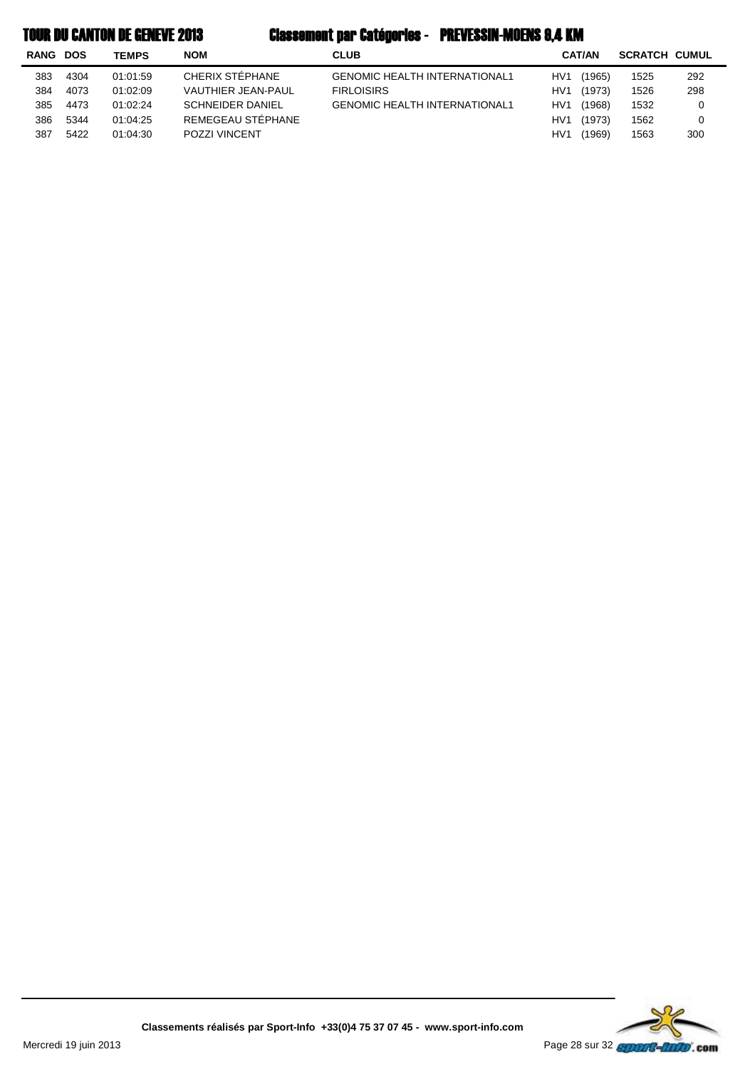| RANG | <b>DOS</b> | <b>TEMPS</b> | <b>NOM</b>              | <b>CLUB</b>                          |                 | <b>CAT/AN</b> | <b>SCRATCH CUMUL</b> |     |
|------|------------|--------------|-------------------------|--------------------------------------|-----------------|---------------|----------------------|-----|
| 383  | 4304       | 01:01:59     | CHERIX STÉPHANE         | <b>GENOMIC HEALTH INTERNATIONAL1</b> | HV1             | (1965)        | 1525                 | 292 |
| 384  | 4073       | 01:02:09     | VAUTHIER JEAN-PAUL      | <b>FIRLOISIRS</b>                    | HV1             | (1973)        | 1526                 | 298 |
| 385  | 4473       | 01:02:24     | <b>SCHNEIDER DANIEL</b> | <b>GENOMIC HEALTH INTERNATIONAL1</b> | HV1             | (1968)        | 1532                 | 0   |
| 386  | 5344       | 01:04:25     | REMEGEAU STÉPHANE       |                                      | HV <sub>1</sub> | (1973)        | 1562                 | 0   |
| 387  | 5422       | 01:04:30     | <b>POZZI VINCENT</b>    |                                      | HV <sup>1</sup> | (1969)        | 1563                 | 300 |

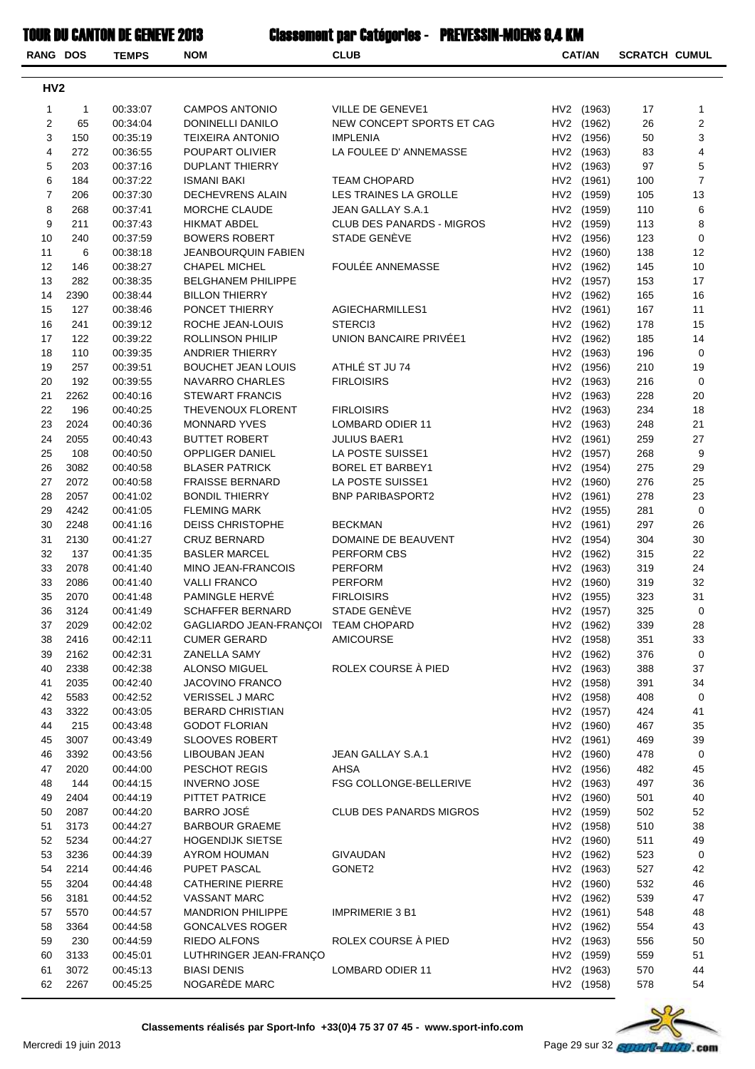| <b>RANG DOS</b> |              | <b>TEMPS</b>         | <b>NOM</b>                                          | <b>CLUB</b>                    | <b>CAT/AN</b>            | <b>SCRATCH CUMUL</b> |                |
|-----------------|--------------|----------------------|-----------------------------------------------------|--------------------------------|--------------------------|----------------------|----------------|
| HV <sub>2</sub> |              |                      |                                                     |                                |                          |                      |                |
| 1               | 1            | 00:33:07             | <b>CAMPOS ANTONIO</b>                               | VILLE DE GENEVE1               | HV2 (1963)               | 17                   | 1              |
| $\overline{2}$  | 65           | 00:34:04             | DONINELLI DANILO                                    | NEW CONCEPT SPORTS ET CAG      | HV2 (1962)               | 26                   | 2              |
| 3               | 150          | 00:35:19             | <b>TEIXEIRA ANTONIO</b>                             | <b>IMPLENIA</b>                | HV2 (1956)               | 50                   | 3              |
| 4               | 272          | 00:36:55             | POUPART OLIVIER                                     | LA FOULEE D' ANNEMASSE         | HV2 (1963)               | 83                   | 4              |
| 5               | 203          | 00:37:16             | DUPLANT THIERRY                                     |                                | HV2 (1963)               | 97                   | 5              |
| 6               | 184          | 00:37:22             | <b>ISMANI BAKI</b>                                  | <b>TEAM CHOPARD</b>            | HV2 (1961)               | 100                  | $\overline{7}$ |
| $\overline{7}$  | 206          | 00:37:30             | DECHEVRENS ALAIN                                    | LES TRAINES LA GROLLE          | HV2 (1959)               | 105                  | 13             |
| 8               | 268          | 00:37:41             | MORCHE CLAUDE                                       | JEAN GALLAY S.A.1              | HV2 (1959)               | 110                  | 6              |
| 9               | 211          | 00:37:43             | <b>HIKMAT ABDEL</b>                                 | CLUB DES PANARDS - MIGROS      | HV2 (1959)               | 113                  | 8              |
| 10              | 240          | 00:37:59             | <b>BOWERS ROBERT</b>                                | STADE GENÈVE                   | HV2 (1956)               | 123                  | 0              |
| 11              | 6            | 00:38:18             | <b>JEANBOURQUIN FABIEN</b>                          |                                | HV2 (1960)               | 138                  | 12             |
| 12              | 146          | 00:38:27             | <b>CHAPEL MICHEL</b>                                | FOULÉE ANNEMASSE               | HV2 (1962)               | 145                  | 10             |
| 13              | 282          | 00:38:35             | <b>BELGHANEM PHILIPPE</b>                           |                                | HV2 (1957)               | 153                  | 17             |
| 14              | 2390         | 00:38:44             | <b>BILLON THIERRY</b>                               |                                | HV2 (1962)               | 165                  | 16             |
| 15              | 127          | 00:38:46             | PONCET THIERRY                                      | AGIECHARMILLES1                | HV2 (1961)               | 167                  | 11             |
| 16              | 241          | 00:39:12             | ROCHE JEAN-LOUIS                                    | STERCI3                        | HV2 (1962)               | 178                  | 15             |
| 17              | 122          | 00:39:22             | <b>ROLLINSON PHILIP</b>                             | UNION BANCAIRE PRIVÉE1         | HV2 (1962)               | 185                  | 14             |
| 18<br>19        | 110          | 00:39:35             | ANDRIER THIERRY                                     | ATHLÉ ST JU 74                 | HV2 (1963)               | 196                  | 0              |
| 20              | 257          | 00:39:51<br>00:39:55 | <b>BOUCHET JEAN LOUIS</b><br><b>NAVARRO CHARLES</b> |                                | HV2 (1956)               | 210                  | 19             |
| 21              | 192<br>2262  | 00:40:16             | <b>STEWART FRANCIS</b>                              | <b>FIRLOISIRS</b>              | HV2 (1963)<br>HV2 (1963) | 216<br>228           | 0<br>20        |
| 22              | 196          | 00:40:25             | THEVENOUX FLORENT                                   | <b>FIRLOISIRS</b>              | HV2 (1963)               | 234                  | 18             |
| 23              | 2024         | 00:40:36             | <b>MONNARD YVES</b>                                 | LOMBARD ODIER 11               | HV2 (1963)               | 248                  | 21             |
| 24              | 2055         | 00:40:43             | <b>BUTTET ROBERT</b>                                | <b>JULIUS BAER1</b>            | HV2 (1961)               | 259                  | 27             |
| 25              | 108          | 00:40:50             | OPPLIGER DANIEL                                     | LA POSTE SUISSE1               | HV2 (1957)               | 268                  | 9              |
| 26              | 3082         | 00:40:58             | <b>BLASER PATRICK</b>                               | <b>BOREL ET BARBEY1</b>        | HV2 (1954)               | 275                  | 29             |
| 27              | 2072         | 00:40:58             | <b>FRAISSE BERNARD</b>                              | LA POSTE SUISSE1               | HV2 (1960)               | 276                  | 25             |
| 28              | 2057         | 00:41:02             | <b>BONDIL THIERRY</b>                               | <b>BNP PARIBASPORT2</b>        | HV2 (1961)               | 278                  | 23             |
| 29              | 4242         | 00:41:05             | <b>FLEMING MARK</b>                                 |                                | HV2 (1955)               | 281                  | 0              |
| 30              | 2248         | 00:41:16             | <b>DEISS CHRISTOPHE</b>                             | <b>BECKMAN</b>                 | HV2 (1961)               | 297                  | 26             |
| 31              | 2130         | 00:41:27             | <b>CRUZ BERNARD</b>                                 | DOMAINE DE BEAUVENT            | HV2 (1954)               | 304                  | 30             |
| 32              | 137          | 00:41:35             | <b>BASLER MARCEL</b>                                | PERFORM CBS                    | HV2 (1962)               | 315                  | 22             |
| 33              | 2078         | 00:41:40             | MINO JEAN-FRANCOIS                                  | PERFORM                        | HV2 (1963)               | 319                  | 24             |
| 33              | 2086         | 00:41:40             | <b>VALLI FRANCO</b>                                 | <b>PERFORM</b>                 | HV2 (1960)               | 319                  | 32             |
| 35              | 2070         | 00:41:48             | PAMINGLE HERVE                                      | <b>FIRLOISIRS</b>              | HV2 (1955)               | 323                  | 31             |
| 36              | 3124         | 00:41:49             | <b>SCHAFFER BERNARD</b>                             | STADE GENÈVE                   | HV2 (1957)               | 325                  | 0              |
| 37              | 2029         | 00:42:02             | GAGLIARDO JEAN-FRANÇOI TEAM CHOPARD                 |                                | HV2 (1962)               | 339                  | 28             |
| 38              | 2416         | 00:42:11             | <b>CUMER GERARD</b>                                 | <b>AMICOURSE</b>               | HV2 (1958)               | 351                  | 33             |
| 39              | 2162         | 00:42:31             | ZANELLA SAMY                                        |                                | HV2 (1962)               | 376                  | 0              |
| 40              | 2338         | 00:42:38             | ALONSO MIGUEL                                       | ROLEX COURSE À PIED            | HV2 (1963)               | 388                  | 37             |
| 41              | 2035         | 00:42:40             | <b>JACOVINO FRANCO</b>                              |                                | HV2 (1958)               | 391                  | 34             |
| 42              | 5583         | 00:42:52             | <b>VERISSEL J MARC</b>                              |                                | HV2 (1958)               | 408                  | 0              |
| 43              | 3322         | 00:43:05             | <b>BERARD CHRISTIAN</b>                             |                                | HV2 (1957)               | 424                  | 41             |
| 44              | 215          | 00:43:48             | <b>GODOT FLORIAN</b>                                |                                | HV2 (1960)               | 467                  | 35             |
| 45              | 3007         | 00:43:49             | <b>SLOOVES ROBERT</b>                               |                                | HV2 (1961)               | 469                  | 39             |
| 46              | 3392         | 00:43:56             | LIBOUBAN JEAN                                       | JEAN GALLAY S.A.1              | HV2 (1960)               | 478                  | 0              |
| 47              | 2020<br>144  | 00:44:00             | PESCHOT REGIS                                       | AHSA                           | HV2 (1956)<br>HV2 (1963) | 482                  | 45             |
| 48<br>49        |              | 00:44:15             | <b>INVERNO JOSE</b><br>PITTET PATRICE               | <b>FSG COLLONGE-BELLERIVE</b>  |                          | 497<br>501           | 36<br>40       |
| 50              | 2404<br>2087 | 00:44:19<br>00:44:20 | BARRO JOSÉ                                          | <b>CLUB DES PANARDS MIGROS</b> | HV2 (1960)<br>HV2 (1959) | 502                  | 52             |
| 51              | 3173         | 00:44:27             | <b>BARBOUR GRAEME</b>                               |                                | HV2 (1958)               | 510                  | 38             |
| 52              | 5234         | 00:44:27             | <b>HOGENDIJK SIETSE</b>                             |                                | HV2 (1960)               | 511                  | 49             |
| 53              | 3236         | 00:44:39             | AYROM HOUMAN                                        | GIVAUDAN                       | HV2 (1962)               | 523                  | 0              |
| 54              | 2214         | 00:44:46             | PUPET PASCAL                                        | GONET2                         | HV2 (1963)               | 527                  | 42             |
| 55              | 3204         | 00:44:48             | <b>CATHERINE PIERRE</b>                             |                                | HV2 (1960)               | 532                  | 46             |
| 56              | 3181         | 00:44:52             | <b>VASSANT MARC</b>                                 |                                | HV2 (1962)               | 539                  | 47             |
| 57              | 5570         | 00:44:57             | <b>MANDRION PHILIPPE</b>                            | <b>IMPRIMERIE 3 B1</b>         | HV2 (1961)               | 548                  | 48             |
| 58              | 3364         | 00:44:58             | <b>GONCALVES ROGER</b>                              |                                | HV2 (1962)               | 554                  | 43             |
| 59              | 230          | 00:44:59             | <b>RIEDO ALFONS</b>                                 | ROLEX COURSE À PIED            | HV2 (1963)               | 556                  | 50             |
| 60              | 3133         | 00:45:01             | LUTHRINGER JEAN-FRANÇO                              |                                | HV2 (1959)               | 559                  | 51             |
| 61              | 3072         | 00:45:13             | <b>BIASI DENIS</b>                                  | LOMBARD ODIER 11               | HV2 (1963)               | 570                  | 44             |
| 62              | 2267         | 00:45:25             | NOGARÈDE MARC                                       |                                | HV2 (1958)               | 578                  | 54             |

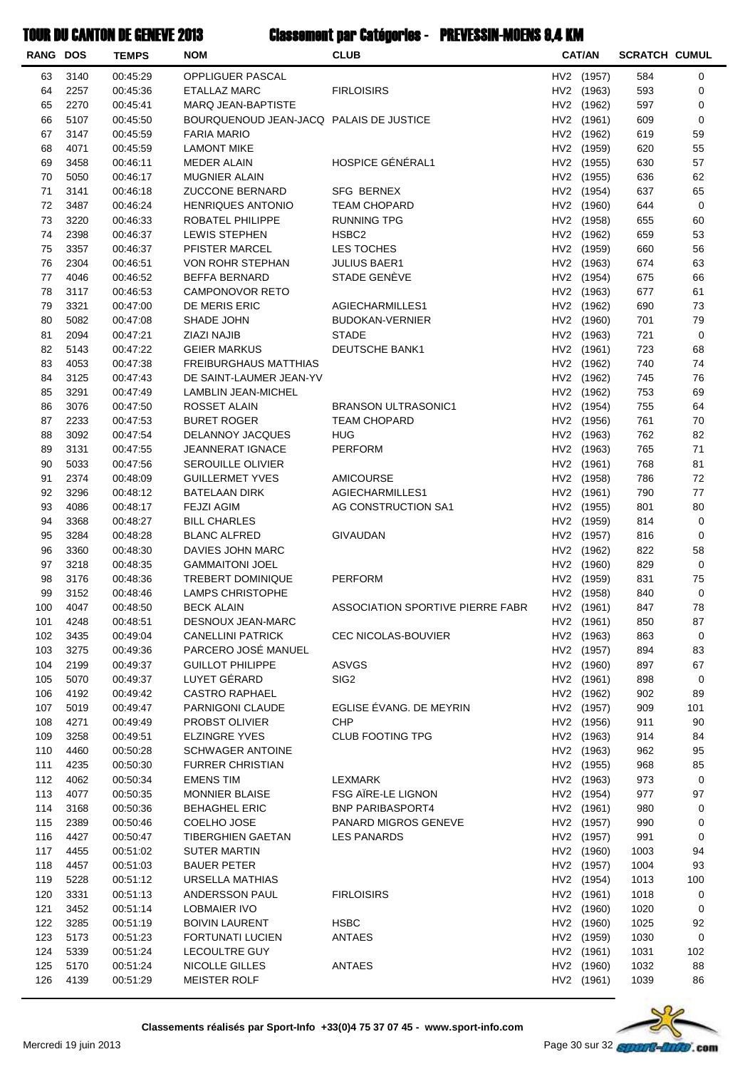| <b>RANG DOS</b> |              | <b>TEMPS</b>         | <b>NOM</b>                                         | <b>CLUB</b>                      | <b>CAT/AN</b>            | <b>SCRATCH CUMUL</b> |             |
|-----------------|--------------|----------------------|----------------------------------------------------|----------------------------------|--------------------------|----------------------|-------------|
| 63              | 3140         | 00:45:29             | OPPLIGUER PASCAL                                   |                                  | HV2 (1957)               | 584                  | 0           |
| 64              | 2257         | 00:45:36             | <b>ETALLAZ MARC</b>                                | <b>FIRLOISIRS</b>                | HV2 (1963)               | 593                  | 0           |
| 65              | 2270         | 00:45:41             | <b>MARQ JEAN-BAPTISTE</b>                          |                                  | HV2 (1962)               | 597                  | 0           |
| 66              | 5107         | 00:45:50             | BOURQUENOUD JEAN-JACQ PALAIS DE JUSTICE            |                                  | HV2 (1961)               | 609                  | 0           |
| 67              | 3147         | 00:45:59             | <b>FARIA MARIO</b>                                 |                                  | HV2 (1962)               | 619                  | 59          |
| 68              | 4071         | 00:45:59             | LAMONT MIKE                                        |                                  | HV2 (1959)               | 620                  | 55          |
| 69              | 3458         | 00:46:11             | MEDER ALAIN                                        | HOSPICE GÉNÉRAL1                 | HV2 (1955)               | 630                  | 57          |
| 70              | 5050         | 00:46:17             | <b>MUGNIER ALAIN</b>                               |                                  | HV2 (1955)               | 636                  | 62          |
| 71              | 3141         | 00:46:18             | <b>ZUCCONE BERNARD</b>                             | SFG BERNEX                       | HV2 (1954)               | 637                  | 65          |
| 72              | 3487         | 00:46:24             | <b>HENRIQUES ANTONIO</b>                           | <b>TEAM CHOPARD</b>              | HV2 (1960)               | 644                  | $\pmb{0}$   |
| 73              | 3220         | 00:46:33             | ROBATEL PHILIPPE                                   | <b>RUNNING TPG</b>               | HV2 (1958)               | 655                  | 60          |
| 74              | 2398         | 00:46:37             | <b>LEWIS STEPHEN</b>                               | HSBC <sub>2</sub>                | HV2 (1962)               | 659                  | 53          |
| 75              | 3357         | 00:46:37             | PFISTER MARCEL                                     | LES TOCHES                       | HV2 (1959)               | 660                  | 56          |
| 76              | 2304         | 00:46:51             | VON ROHR STEPHAN                                   | <b>JULIUS BAER1</b>              | HV2 (1963)               | 674                  | 63          |
| 77              | 4046         | 00:46:52             | <b>BEFFA BERNARD</b>                               | STADE GENÈVE                     | HV2 (1954)               | 675                  | 66          |
| 78              | 3117         | 00:46:53             | CAMPONOVOR RETO                                    |                                  | HV2 (1963)               | 677                  | 61          |
| 79              | 3321         | 00:47:00             | DE MERIS ERIC                                      | AGIECHARMILLES1                  | HV2 (1962)               | 690                  | 73          |
| 80              | 5082         | 00:47:08             | SHADE JOHN                                         | <b>BUDOKAN-VERNIER</b>           | HV2 (1960)               | 701                  | 79          |
| 81              | 2094         | 00:47:21             | ZIAZI NAJIB                                        | <b>STADE</b>                     | HV2 (1963)               | 721                  | $\pmb{0}$   |
| 82              | 5143         | 00:47:22             | <b>GEIER MARKUS</b>                                | DEUTSCHE BANK1                   | HV2 (1961)               | 723                  | 68          |
| 83              | 4053         | 00:47:38             | <b>FREIBURGHAUS MATTHIAS</b>                       |                                  | HV2 (1962)               | 740                  | 74          |
| 84              | 3125         | 00:47:43             | DE SAINT-LAUMER JEAN-YV                            |                                  | HV2 (1962)               | 745                  | 76          |
| 85              | 3291         | 00:47:49             | LAMBLIN JEAN-MICHEL                                |                                  | HV2 (1962)               | 753                  | 69          |
| 86              | 3076         | 00:47:50             | ROSSET ALAIN                                       | <b>BRANSON ULTRASONIC1</b>       | HV2 (1954)               | 755                  | 64          |
| 87              | 2233         | 00:47:53             | <b>BURET ROGER</b>                                 | <b>TEAM CHOPARD</b>              | HV2 (1956)               | 761                  | 70          |
| 88              | 3092         | 00:47:54             | DELANNOY JACQUES                                   | HUG                              | HV2 (1963)               | 762                  | 82          |
| 89              | 3131         | 00:47:55             | <b>JEANNERAT IGNACE</b>                            | PERFORM                          | HV2 (1963)               | 765                  | 71          |
| 90              | 5033         | 00:47:56             | <b>SEROUILLE OLIVIER</b>                           |                                  | HV2 (1961)               | 768                  | 81          |
| 91              | 2374         | 00:48:09             | <b>GUILLERMET YVES</b>                             | <b>AMICOURSE</b>                 | HV2 (1958)               | 786                  | 72          |
| 92              | 3296         | 00:48:12             | BATELAAN DIRK                                      | AGIECHARMILLES1                  | HV2 (1961)               | 790                  | 77          |
| 93              | 4086         | 00:48:17             | <b>FEJZI AGIM</b>                                  | AG CONSTRUCTION SA1              | HV2 (1955)               | 801                  | 80          |
| 94              | 3368         | 00:48:27             | <b>BILL CHARLES</b>                                |                                  | HV2 (1959)               | 814                  | 0           |
| 95              | 3284         | 00:48:28             | <b>BLANC ALFRED</b>                                | GIVAUDAN                         | HV2 (1957)               | 816                  | 0           |
| 96              | 3360         | 00:48:30             | DAVIES JOHN MARC                                   |                                  | HV2 (1962)               | 822                  | 58          |
| 97              | 3218         | 00:48:35             | <b>GAMMAITONI JOEL</b>                             |                                  | HV2 (1960)               | 829                  | 0           |
| 98              | 3176         | 00:48:36             | <b>TREBERT DOMINIQUE</b>                           | <b>PERFORM</b>                   | HV2 (1959)               | 831                  | 75          |
| 99              | 3152         | 00:48:46             | LAMPS CHRISTOPHE                                   |                                  | HV2 (1958)               | 840                  | 0           |
| 100             | 4047         | 00:48:50             | <b>BECK ALAIN</b>                                  | ASSOCIATION SPORTIVE PIERRE FABR | HV2 (1961)               | 847                  | 78          |
| 101             | 4248         | 00:48:51             | DESNOUX JEAN-MARC                                  |                                  | HV2 (1961)               | 850                  | 87          |
| 102             | 3435         | 00:49:04             | <b>CANELLINI PATRICK</b>                           | CEC NICOLAS-BOUVIER              | HV2 (1963)               | 863                  | 0           |
| 103             | 3275         | 00:49:36             | PARCERO JOSÉ MANUEL                                |                                  | HV2 (1957)               | 894                  | 83          |
| 104             | 2199         | 00:49:37             | <b>GUILLOT PHILIPPE</b>                            | ASVGS                            | HV2 (1960)               | 897                  | 67          |
| 105             | 5070         | 00:49:37             | LUYET GÉRARD                                       | SIG <sub>2</sub>                 | HV2 (1961)               | 898                  | 0           |
| 106             | 4192         | 00:49:42             | <b>CASTRO RAPHAEL</b>                              |                                  | HV2 (1962)               | 902                  | 89          |
| 107             | 5019         | 00:49:47             | PARNIGONI CLAUDE                                   | EGLISE ÉVANG. DE MEYRIN<br>CHP   | HV2 (1957)               | 909                  | 101         |
| 108<br>109      | 4271<br>3258 | 00:49:49             | PROBST OLIVIER<br><b>ELZINGRE YVES</b>             | <b>CLUB FOOTING TPG</b>          | HV2 (1956)<br>HV2 (1963) | 911<br>914           | 90<br>84    |
| 110             | 4460         | 00:49:51<br>00:50:28 |                                                    |                                  | HV2 (1963)               | 962                  | 95          |
| 111             | 4235         | 00:50:30             | <b>SCHWAGER ANTOINE</b><br><b>FURRER CHRISTIAN</b> |                                  |                          | 968                  |             |
| 112             | 4062         | 00:50:34             | <b>EMENS TIM</b>                                   | LEXMARK                          | HV2 (1955)<br>HV2 (1963) | 973                  | 85<br>0     |
| 113             | 4077         | 00:50:35             | <b>MONNIER BLAISE</b>                              | FSG AIRE-LE LIGNON               | HV2 (1954)               | 977                  | 97          |
| 114             | 3168         | 00:50:36             | <b>BEHAGHEL ERIC</b>                               | <b>BNP PARIBASPORT4</b>          | HV2 (1961)               | 980                  | 0           |
| 115             | 2389         | 00:50:46             | COELHO JOSE                                        | PANARD MIGROS GENEVE             | HV2 (1957)               | 990                  | 0           |
| 116             | 4427         | 00:50:47             | TIBERGHIEN GAETAN                                  | <b>LES PANARDS</b>               | HV2 (1957)               | 991                  | 0           |
| 117             | 4455         | 00:51:02             | SUTER MARTIN                                       |                                  | HV2 (1960)               | 1003                 | 94          |
| 118             | 4457         | 00:51:03             | BAUER PETER                                        |                                  | HV2 (1957)               | 1004                 | 93          |
| 119             | 5228         | 00:51:12             | URSELLA MATHIAS                                    |                                  | HV2 (1954)               | 1013                 | 100         |
| 120             | 3331         | 00:51:13             | ANDERSSON PAUL                                     | <b>FIRLOISIRS</b>                | HV2 (1961)               | 1018                 | 0           |
| 121             | 3452         | 00:51:14             | LOBMAIER IVO                                       |                                  | HV2 (1960)               | 1020                 | 0           |
| 122             | 3285         | 00:51:19             | <b>BOIVIN LAURENT</b>                              | <b>HSBC</b>                      | HV2 (1960)               | 1025                 | 92          |
| 123             | 5173         | 00:51:23             | <b>FORTUNATI LUCIEN</b>                            | ANTAES                           | HV2 (1959)               | 1030                 | $\mathsf 0$ |
| 124             | 5339         | 00:51:24             | <b>LECOULTRE GUY</b>                               |                                  | HV2 (1961)               | 1031                 | 102         |
| 125             | 5170         | 00:51:24             | NICOLLE GILLES                                     | <b>ANTAES</b>                    | HV2 (1960)               | 1032                 | 88          |
| 126             | 4139         | 00:51:29             | MEISTER ROLF                                       |                                  | HV2 (1961)               | 1039                 | 86          |
|                 |              |                      |                                                    |                                  |                          |                      |             |

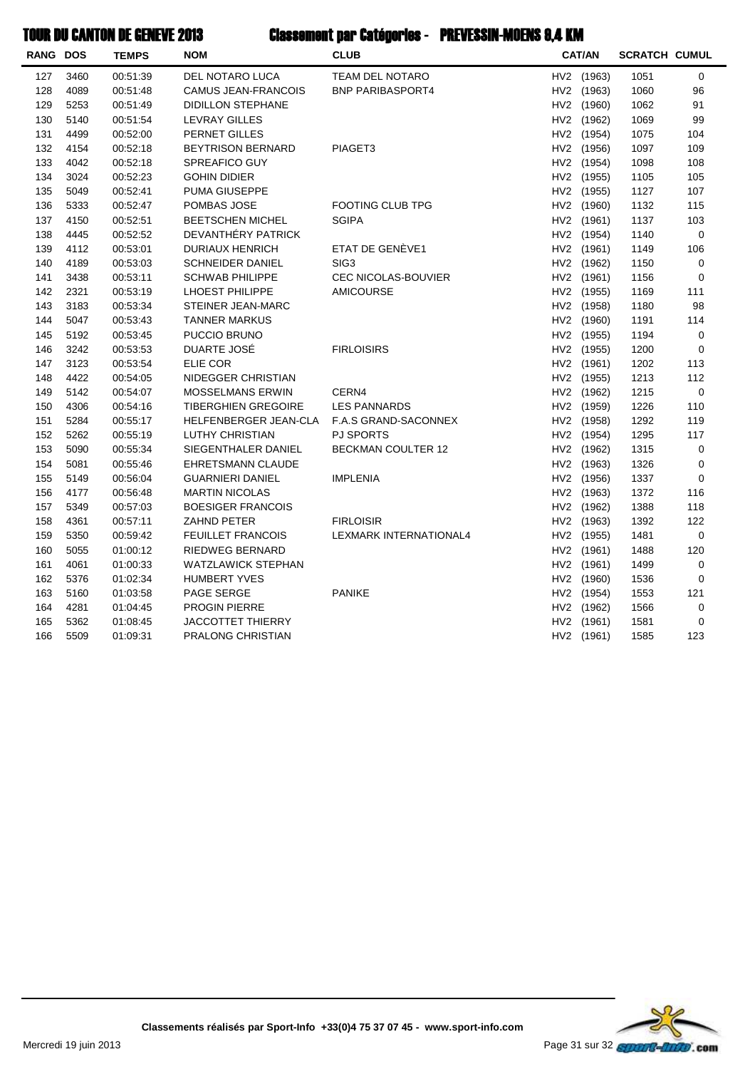| <b>RANG DOS</b> |      | <b>TEMPS</b> | <b>NOM</b>                 | <b>CLUB</b>                 | <b>CAT/AN</b> | <b>SCRATCH CUMUL</b> |             |
|-----------------|------|--------------|----------------------------|-----------------------------|---------------|----------------------|-------------|
| 127             | 3460 | 00:51:39     | DEL NOTARO LUCA            | TEAM DEL NOTARO             | HV2 (1963)    | 1051                 | 0           |
| 128             | 4089 | 00:51:48     | CAMUS JEAN-FRANCOIS        | <b>BNP PARIBASPORT4</b>     | HV2 (1963)    | 1060                 | 96          |
| 129             | 5253 | 00:51:49     | <b>DIDILLON STEPHANE</b>   |                             | HV2 (1960)    | 1062                 | 91          |
| 130             | 5140 | 00:51:54     | <b>LEVRAY GILLES</b>       |                             | HV2 (1962)    | 1069                 | 99          |
| 131             | 4499 | 00:52:00     | PERNET GILLES              |                             | HV2 (1954)    | 1075                 | 104         |
| 132             | 4154 | 00:52:18     | <b>BEYTRISON BERNARD</b>   | PIAGET3                     | HV2 (1956)    | 1097                 | 109         |
| 133             | 4042 | 00:52:18     | SPREAFICO GUY              |                             | HV2 (1954)    | 1098                 | 108         |
| 134             | 3024 | 00:52:23     | <b>GOHIN DIDIER</b>        |                             | HV2 (1955)    | 1105                 | 105         |
| 135             | 5049 | 00:52:41     | PUMA GIUSEPPE              |                             | HV2 (1955)    | 1127                 | 107         |
| 136             | 5333 | 00:52:47     | POMBAS JOSE                | <b>FOOTING CLUB TPG</b>     | HV2 (1960)    | 1132                 | 115         |
| 137             | 4150 | 00:52:51     | <b>BEETSCHEN MICHEL</b>    | <b>SGIPA</b>                | HV2 (1961)    | 1137                 | 103         |
| 138             | 4445 | 00:52:52     | DEVANTHÉRY PATRICK         |                             | HV2 (1954)    | 1140                 | $\mathbf 0$ |
| 139             | 4112 | 00:53:01     | DURIAUX HENRICH            | ETAT DE GENÈVE1             | HV2 (1961)    | 1149                 | 106         |
| 140             | 4189 | 00:53:03     | <b>SCHNEIDER DANIEL</b>    | SIG <sub>3</sub>            | HV2 (1962)    | 1150                 | 0           |
| 141             | 3438 | 00:53:11     | <b>SCHWAB PHILIPPE</b>     | <b>CEC NICOLAS-BOUVIER</b>  | HV2 (1961)    | 1156                 | 0           |
| 142             | 2321 | 00:53:19     | LHOEST PHILIPPE            | <b>AMICOURSE</b>            | HV2 (1955)    | 1169                 | 111         |
| 143             | 3183 | 00:53:34     | STEINER JEAN-MARC          |                             | HV2 (1958)    | 1180                 | 98          |
| 144             | 5047 | 00:53:43     | <b>TANNER MARKUS</b>       |                             | HV2 (1960)    | 1191                 | 114         |
| 145             | 5192 | 00:53:45     | PUCCIO BRUNO               |                             | HV2 (1955)    | 1194                 | 0           |
| 146             | 3242 | 00:53:53     | DUARTE JOSÉ                | <b>FIRLOISIRS</b>           | HV2 (1955)    | 1200                 | $\mathbf 0$ |
| 147             | 3123 | 00:53:54     | ELIE COR                   |                             | HV2 (1961)    | 1202                 | 113         |
| 148             | 4422 | 00:54:05     | NIDEGGER CHRISTIAN         |                             | HV2 (1955)    | 1213                 | 112         |
| 149             | 5142 | 00:54:07     | <b>MOSSELMANS ERWIN</b>    | CERN4                       | HV2 (1962)    | 1215                 | $\mathbf 0$ |
| 150             | 4306 | 00:54:16     | <b>TIBERGHIEN GREGOIRE</b> | <b>LES PANNARDS</b>         | HV2 (1959)    | 1226                 | 110         |
| 151             | 5284 | 00:55:17     | HELFENBERGER JEAN-CLA      | <b>F.A.S GRAND-SACONNEX</b> | HV2 (1958)    | 1292                 | 119         |
| 152             | 5262 | 00:55:19     | <b>LUTHY CHRISTIAN</b>     | <b>PJ SPORTS</b>            | HV2 (1954)    | 1295                 | 117         |
| 153             | 5090 | 00:55:34     | SIEGENTHALER DANIEL        | BECKMAN COULTER 12          | HV2 (1962)    | 1315                 | 0           |
| 154             | 5081 | 00:55:46     | EHRETSMANN CLAUDE          |                             | HV2 (1963)    | 1326                 | $\mathbf 0$ |
| 155             | 5149 | 00:56:04     | <b>GUARNIERI DANIEL</b>    | <b>IMPLENIA</b>             | HV2 (1956)    | 1337                 | 0           |
| 156             | 4177 | 00:56:48     | <b>MARTIN NICOLAS</b>      |                             | HV2 (1963)    | 1372                 | 116         |
| 157             | 5349 | 00:57:03     | <b>BOESIGER FRANCOIS</b>   |                             | HV2 (1962)    | 1388                 | 118         |
| 158             | 4361 | 00:57:11     | ZAHND PETER                | <b>FIRLOISIR</b>            | HV2 (1963)    | 1392                 | 122         |
| 159             | 5350 | 00:59:42     | <b>FEUILLET FRANCOIS</b>   | LEXMARK INTERNATIONAL4      | HV2 (1955)    | 1481                 | 0           |
| 160             | 5055 | 01:00:12     | RIEDWEG BERNARD            |                             | HV2 (1961)    | 1488                 | 120         |
| 161             | 4061 | 01:00:33     | WATZLAWICK STEPHAN         |                             | HV2 (1961)    | 1499                 | $\mathbf 0$ |
| 162             | 5376 | 01:02:34     | <b>HUMBERT YVES</b>        |                             | HV2 (1960)    | 1536                 | 0           |
| 163             | 5160 | 01:03:58     | <b>PAGE SERGE</b>          | <b>PANIKE</b>               | HV2 (1954)    | 1553                 | 121         |
| 164             | 4281 | 01:04:45     | <b>PROGIN PIERRE</b>       |                             | HV2 (1962)    | 1566                 | 0           |
| 165             | 5362 | 01:08:45     | <b>JACCOTTET THIERRY</b>   |                             | HV2 (1961)    | 1581                 | 0           |
| 166             | 5509 | 01:09:31     | PRALONG CHRISTIAN          |                             | HV2 (1961)    | 1585                 | 123         |
|                 |      |              |                            |                             |               |                      |             |